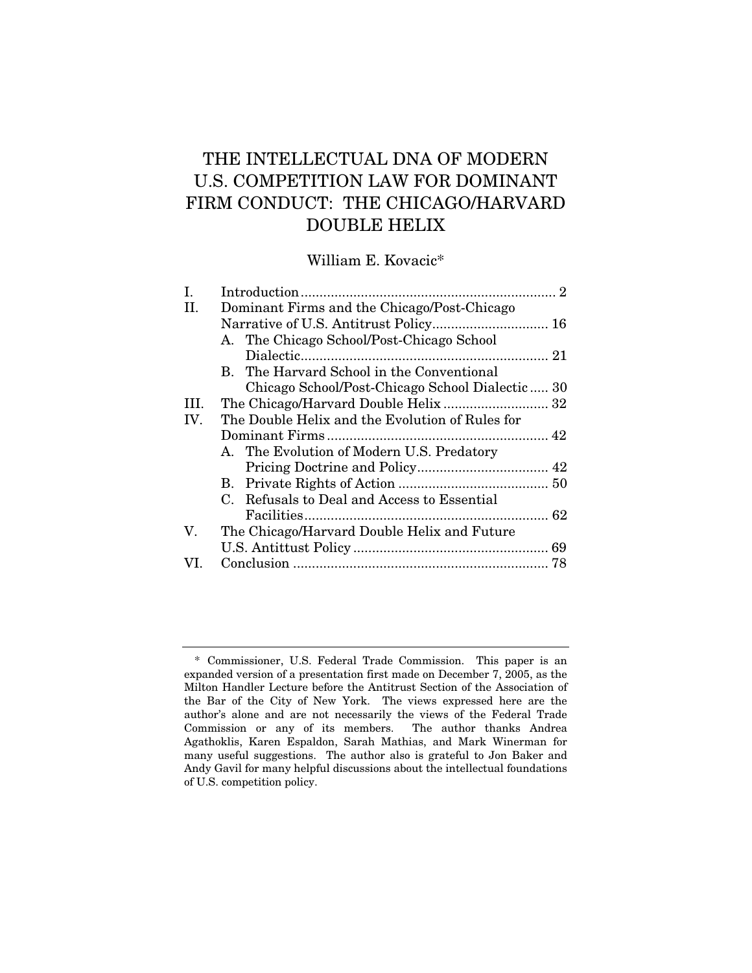# THE INTELLECTUAL DNA OF MODERN U.S. COMPETITION LAW FOR DOMINANT FIRM CONDUCT: THE CHICAGO/HARVARD DOUBLE HELIX

William E. Kovacic\*

| Ι.   |                                                 |  |
|------|-------------------------------------------------|--|
| Η.   | Dominant Firms and the Chicago/Post-Chicago     |  |
|      |                                                 |  |
|      | A. The Chicago School/Post-Chicago School       |  |
|      |                                                 |  |
|      | B. The Harvard School in the Conventional       |  |
|      | Chicago School/Post-Chicago School Dialectic 30 |  |
| III. |                                                 |  |
| IV.  | The Double Helix and the Evolution of Rules for |  |
|      |                                                 |  |
|      | A. The Evolution of Modern U.S. Predatory       |  |
|      |                                                 |  |
|      |                                                 |  |
|      | C. Refusals to Deal and Access to Essential     |  |
|      |                                                 |  |
| V.   | The Chicago/Harvard Double Helix and Future     |  |
|      |                                                 |  |
| VI.  |                                                 |  |
|      |                                                 |  |

 <sup>\*</sup> Commissioner, U.S. Federal Trade Commission. This paper is an expanded version of a presentation first made on December 7, 2005, as the Milton Handler Lecture before the Antitrust Section of the Association of the Bar of the City of New York. The views expressed here are the author's alone and are not necessarily the views of the Federal Trade Commission or any of its members. The author thanks Andrea Agathoklis, Karen Espaldon, Sarah Mathias, and Mark Winerman for many useful suggestions. The author also is grateful to Jon Baker and Andy Gavil for many helpful discussions about the intellectual foundations of U.S. competition policy.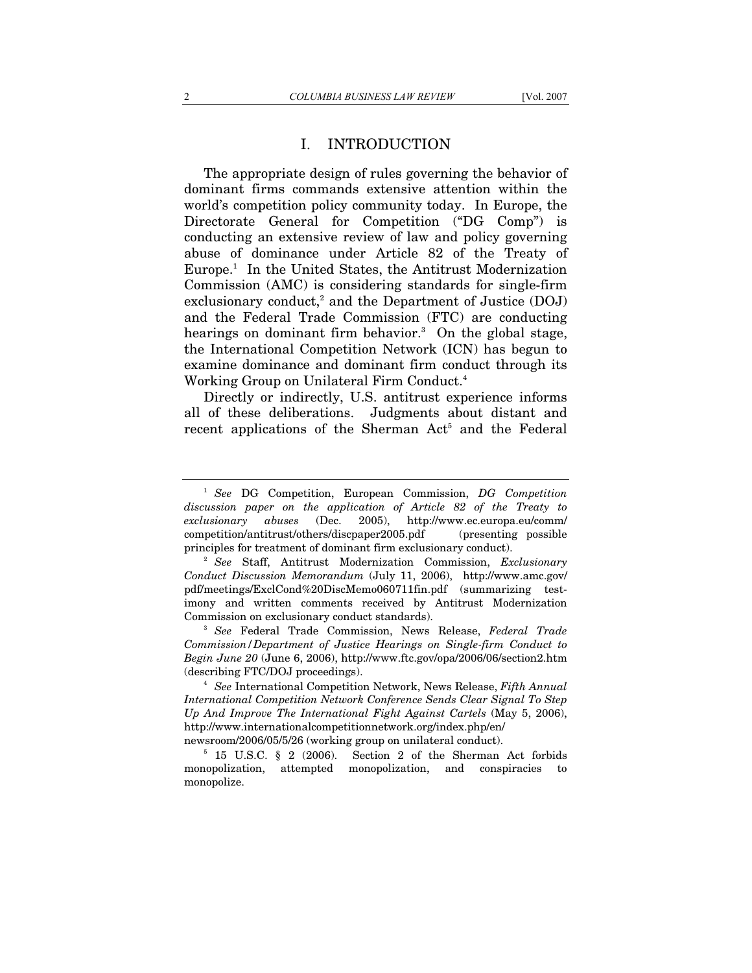# I. INTRODUCTION

The appropriate design of rules governing the behavior of dominant firms commands extensive attention within the world's competition policy community today. In Europe, the Directorate General for Competition ("DG Comp") is conducting an extensive review of law and policy governing abuse of dominance under Article 82 of the Treaty of Europe.1 In the United States, the Antitrust Modernization Commission (AMC) is considering standards for single-firm exclusionary conduct,<sup>2</sup> and the Department of Justice  $(DOJ)$ and the Federal Trade Commission (FTC) are conducting hearings on dominant firm behavior.<sup>3</sup> On the global stage, the International Competition Network (ICN) has begun to examine dominance and dominant firm conduct through its Working Group on Unilateral Firm Conduct.4

Directly or indirectly, U.S. antitrust experience informs all of these deliberations. Judgments about distant and recent applications of the Sherman Act<sup>5</sup> and the Federal

*Commission/Department of Justice Hearings on Single-firm Conduct to Begin June 20* (June 6, 2006), http://www.ftc.gov/opa/2006/06/section2.htm (describing FTC/DOJ proceedings). 4 *See* International Competition Network, News Release, *Fifth Annual* 

*International Competition Network Conference Sends Clear Signal To Step Up And Improve The International Fight Against Cartels* (May 5, 2006), http://www.internationalcompetitionnetwork.org/index.php/en/

newsroom/2006/05/5/26 (working group on unilateral conduct). 5 15 U.S.C. § 2 (2006). Section 2 of the Sherman Act forbids

<sup>1</sup> *See* DG Competition, European Commission, *DG Competition*  discussion paper on the application of Article 82 of the Treaty to exclusionary abuses (Dec. 2005), http://www.ec.europa.eu/comm/ *exclusionary abuses* (Dec. 2005), http://www.ec.europa.eu/comm/ competition/antitrust/others/discpaper2005.pdf (presenting possible principles for treatment of dominant firm exclusionary conduct). 2 *See* Staff, Antitrust Modernization Commission, *Exclusionary* 

*Conduct Discussion Memorandum* (July 11, 2006), http://www.amc.gov/ pdf/meetings/ExclCond%20DiscMemo060711fin.pdf (summarizing testimony and written comments received by Antitrust Modernization Commission on exclusionary conduct standards). 3 *See* Federal Trade Commission, News Release, *Federal Trade* 

monopolization, attempted monopolization, and conspiracies to monopolize.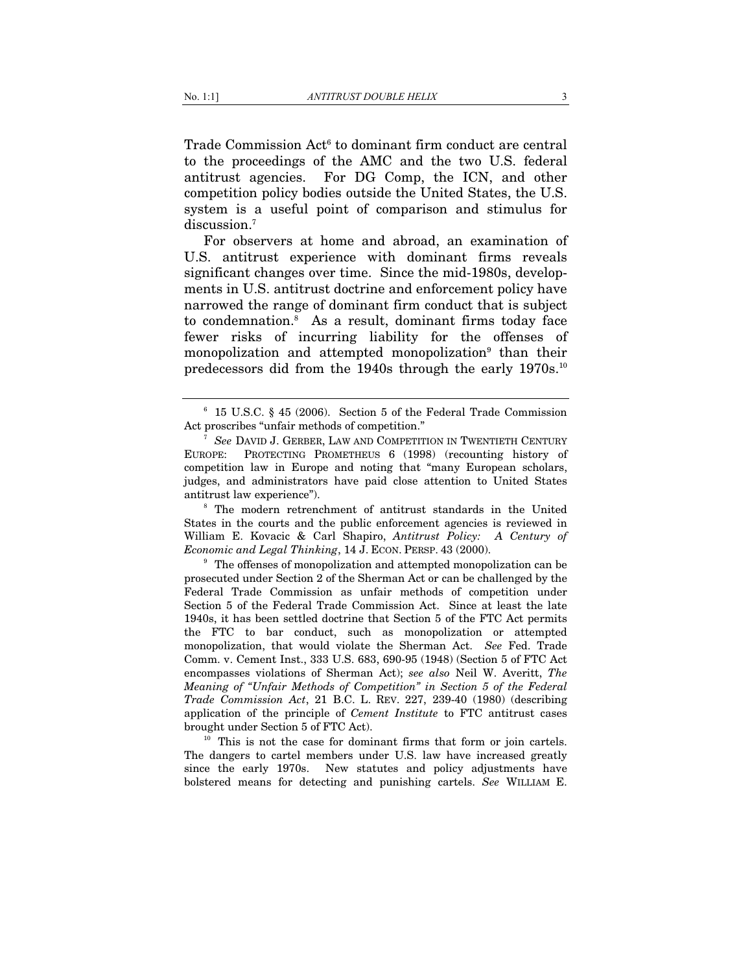Trade Commission Act<sup>6</sup> to dominant firm conduct are central to the proceedings of the AMC and the two U.S. federal antitrust agencies. For DG Comp, the ICN, and other competition policy bodies outside the United States, the U.S. system is a useful point of comparison and stimulus for discussion.<sup>7</sup>

For observers at home and abroad, an examination of U.S. antitrust experience with dominant firms reveals significant changes over time. Since the mid-1980s, developments in U.S. antitrust doctrine and enforcement policy have narrowed the range of dominant firm conduct that is subject to condemnation.8 As a result, dominant firms today face fewer risks of incurring liability for the offenses of monopolization and attempted monopolization<sup>9</sup> than their predecessors did from the 1940s through the early 1970s.10

States in the courts and the public enforcement agencies is reviewed in William E. Kovacic & Carl Shapiro, *Antitrust Policy: A Century of Economic and Legal Thinking*, 14 J. ECON. PERSP. 43 (2000).<br><sup>9</sup> The offenses of monopolization and attempted monopolization can be

prosecuted under Section 2 of the Sherman Act or can be challenged by the Federal Trade Commission as unfair methods of competition under Section 5 of the Federal Trade Commission Act. Since at least the late 1940s, it has been settled doctrine that Section 5 of the FTC Act permits the FTC to bar conduct, such as monopolization or attempted monopolization, that would violate the Sherman Act. *See* Fed. Trade Comm. v. Cement Inst., 333 U.S. 683, 690-95 (1948) (Section 5 of FTC Act encompasses violations of Sherman Act); *see also* Neil W. Averitt, *The Meaning of "Unfair Methods of Competition" in Section 5 of the Federal Trade Commission Act*, 21 B.C. L. REV. 227, 239-40 (1980) (describing application of the principle of *Cement Institute* to FTC antitrust cases brought under Section 5 of FTC Act).<br><sup>10</sup> This is not the case for dominant firms that form or join cartels.

The dangers to cartel members under U.S. law have increased greatly since the early 1970s. New statutes and policy adjustments have bolstered means for detecting and punishing cartels. *See* WILLIAM E.

 $6$  15 U.S.C. § 45 (2006). Section 5 of the Federal Trade Commission Act proscribes "unfair methods of competition."

<sup>&</sup>lt;sup>7</sup> See DAVID J. GERBER, LAW AND COMPETITION IN TWENTIETH CENTURY EUROPE: PROTECTING PROMETHEUS 6 (1998) (recounting history of competition law in Europe and noting that "many European scholars, judges, and administrators have paid close attention to United States antitrust law experience"). 8 The modern retrenchment of antitrust standards in the United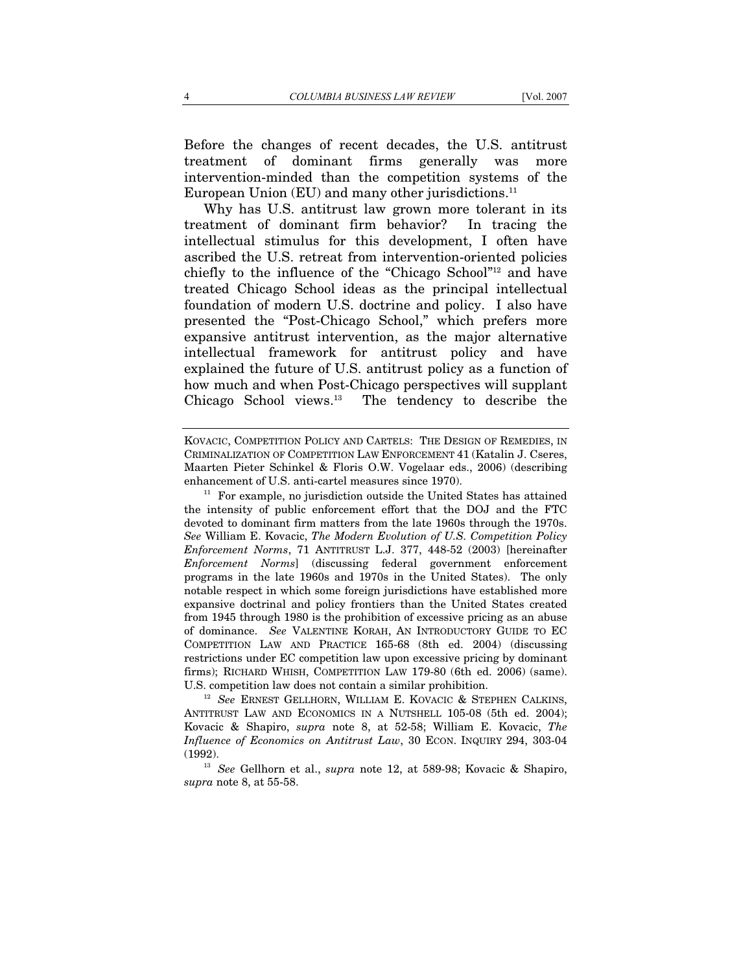Before the changes of recent decades, the U.S. antitrust treatment of dominant firms generally was more intervention-minded than the competition systems of the European Union  $(EU)$  and many other jurisdictions.<sup>11</sup>

Why has U.S. antitrust law grown more tolerant in its treatment of dominant firm behavior? In tracing the intellectual stimulus for this development, I often have ascribed the U.S. retreat from intervention-oriented policies chiefly to the influence of the "Chicago School"12 and have treated Chicago School ideas as the principal intellectual foundation of modern U.S. doctrine and policy. I also have presented the "Post-Chicago School," which prefers more expansive antitrust intervention, as the major alternative intellectual framework for antitrust policy and have explained the future of U.S. antitrust policy as a function of how much and when Post-Chicago perspectives will supplant Chicago School views.13 The tendency to describe the

U.S. competition law does not contain a similar prohibition. 12 *See* ERNEST GELLHORN, WILLIAM E. KOVACIC & STEPHEN CALKINS, ANTITRUST LAW AND ECONOMICS IN A NUTSHELL 105-08 (5th ed. 2004); Kovacic & Shapiro, *supra* note 8, at 52-58; William E. Kovacic, *The Influence of Economics on Antitrust Law*, 30 ECON. INQUIRY 294, 303-04 (1992). 13 *See* Gellhorn et al., *supra* note 12, at 589-98; Kovacic & Shapiro,

*supra* note 8, at 55-58.

KOVACIC, COMPETITION POLICY AND CARTELS: THE DESIGN OF REMEDIES, IN CRIMINALIZATION OF COMPETITION LAW ENFORCEMENT 41 (Katalin J. Cseres, Maarten Pieter Schinkel & Floris O.W. Vogelaar eds., 2006) (describing enhancement of U.S. anti-cartel measures since 1970).<br><sup>11</sup> For example, no jurisdiction outside the United States has attained

the intensity of public enforcement effort that the DOJ and the FTC devoted to dominant firm matters from the late 1960s through the 1970s. *See* William E. Kovacic, *The Modern Evolution of U.S. Competition Policy Enforcement Norms*, 71 ANTITRUST L.J. 377, 448-52 (2003) [hereinafter *Enforcement Norms*] (discussing federal government enforcement programs in the late 1960s and 1970s in the United States). The only notable respect in which some foreign jurisdictions have established more expansive doctrinal and policy frontiers than the United States created from 1945 through 1980 is the prohibition of excessive pricing as an abuse of dominance. *See* VALENTINE KORAH, AN INTRODUCTORY GUIDE TO EC COMPETITION LAW AND PRACTICE 165-68 (8th ed. 2004) (discussing restrictions under EC competition law upon excessive pricing by dominant firms); RICHARD WHISH, COMPETITION LAW 179-80 (6th ed. 2006) (same).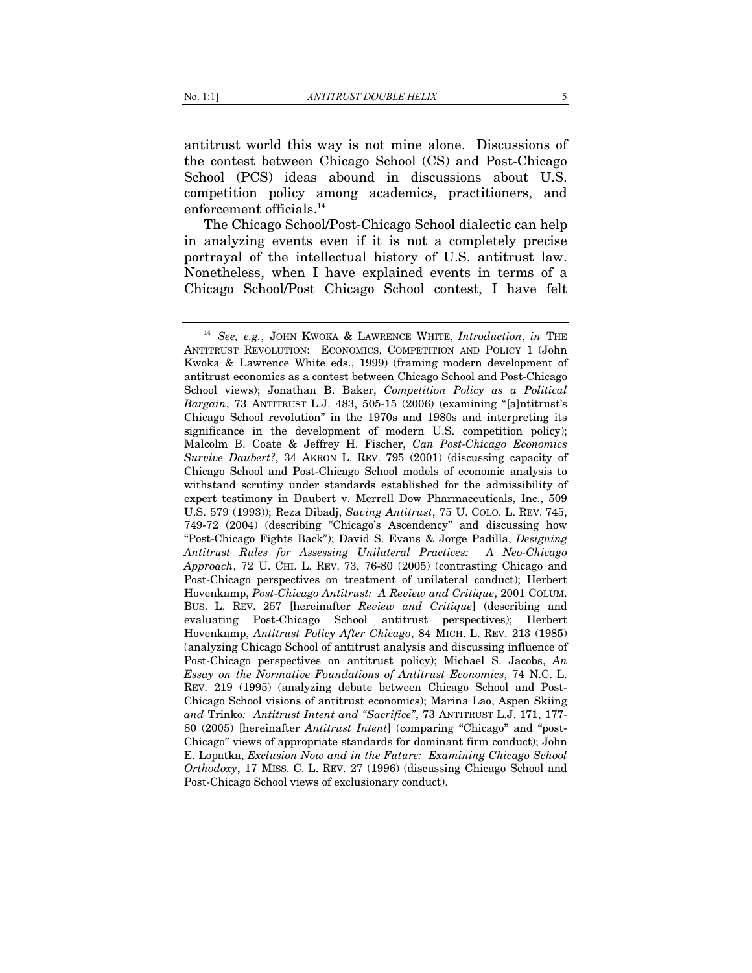antitrust world this way is not mine alone. Discussions of the contest between Chicago School (CS) and Post-Chicago School (PCS) ideas abound in discussions about U.S. competition policy among academics, practitioners, and enforcement officials.<sup>14</sup>

The Chicago School/Post-Chicago School dialectic can help in analyzing events even if it is not a completely precise portrayal of the intellectual history of U.S. antitrust law. Nonetheless, when I have explained events in terms of a Chicago School/Post Chicago School contest, I have felt

<sup>14</sup> *See, e.g.*, JOHN KWOKA & LAWRENCE WHITE, *Introduction*, *in* THE ANTITRUST REVOLUTION: ECONOMICS, COMPETITION AND POLICY 1 (John Kwoka & Lawrence White eds., 1999) (framing modern development of antitrust economics as a contest between Chicago School and Post-Chicago School views); Jonathan B. Baker, *Competition Policy as a Political Bargain*, 73 ANTITRUST L.J. 483, 505-15 (2006) (examining "[a]ntitrust's Chicago School revolution" in the 1970s and 1980s and interpreting its significance in the development of modern U.S. competition policy); Malcolm B. Coate & Jeffrey H. Fischer, *Can Post-Chicago Economics Survive Daubert?*, 34 AKRON L. REV. 795 (2001) (discussing capacity of Chicago School and Post-Chicago School models of economic analysis to withstand scrutiny under standards established for the admissibility of expert testimony in Daubert v. Merrell Dow Pharmaceuticals, Inc., 509 U.S. 579 (1993)); Reza Dibadj, *Saving Antitrust*, 75 U. COLO. L. REV. 745, 749-72 (2004) (describing "Chicago's Ascendency" and discussing how "Post-Chicago Fights Back"); David S. Evans & Jorge Padilla, *Designing Antitrust Rules for Assessing Unilateral Practices: A Neo-Chicago Approach*, 72 U. CHI. L. REV. 73, 76-80 (2005) (contrasting Chicago and Post-Chicago perspectives on treatment of unilateral conduct); Herbert Hovenkamp, *Post-Chicago Antitrust: A Review and Critique*, 2001 COLUM. BUS. L. REV. 257 [hereinafter *Review and Critique*] (describing and evaluating Post-Chicago School antitrust perspectives); Herbert Hovenkamp, *Antitrust Policy After Chicago*, 84 MICH. L. REV. 213 (1985) (analyzing Chicago School of antitrust analysis and discussing influence of Post-Chicago perspectives on antitrust policy); Michael S. Jacobs, *An Essay on the Normative Foundations of Antitrust Economics*, 74 N.C. L. REV. 219 (1995) (analyzing debate between Chicago School and Post-Chicago School visions of antitrust economics); Marina Lao, Aspen Skiing *and* Trinko*: Antitrust Intent and "Sacrifice"*, 73 ANTITRUST L.J. 171, 177- 80 (2005) [hereinafter *Antitrust Intent*] (comparing "Chicago" and "post-Chicago" views of appropriate standards for dominant firm conduct); John E. Lopatka, *Exclusion Now and in the Future: Examining Chicago School Orthodoxy*, 17 MISS. C. L. REV. 27 (1996) (discussing Chicago School and Post-Chicago School views of exclusionary conduct).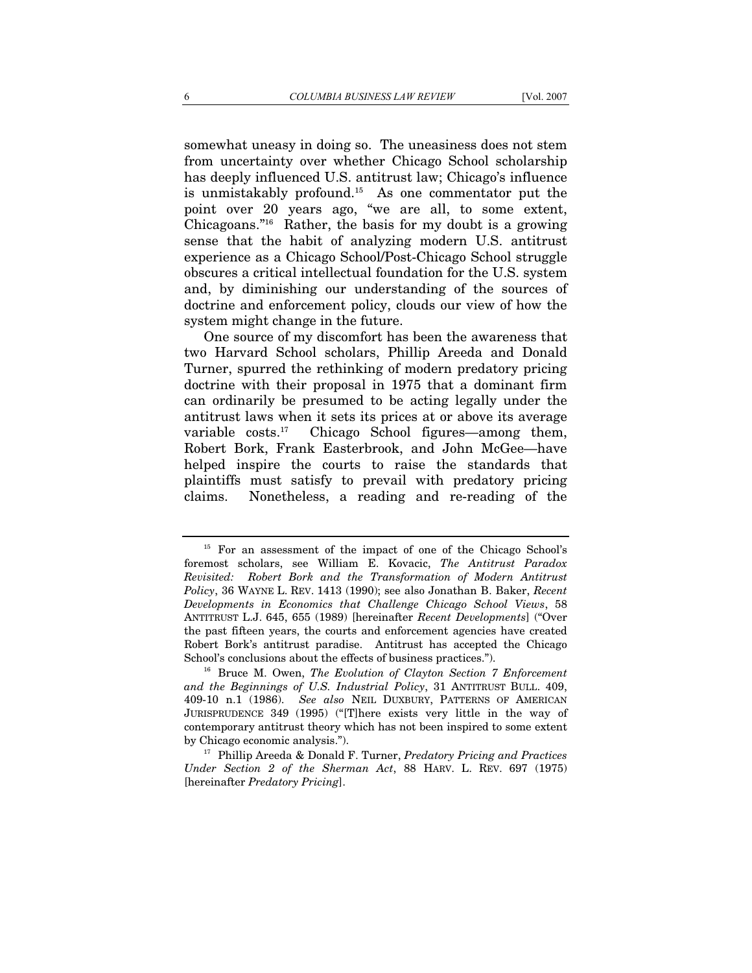somewhat uneasy in doing so. The uneasiness does not stem from uncertainty over whether Chicago School scholarship has deeply influenced U.S. antitrust law; Chicago's influence is unmistakably profound.15 As one commentator put the point over 20 years ago, "we are all, to some extent, Chicagoans."16 Rather, the basis for my doubt is a growing sense that the habit of analyzing modern U.S. antitrust experience as a Chicago School/Post-Chicago School struggle obscures a critical intellectual foundation for the U.S. system and, by diminishing our understanding of the sources of doctrine and enforcement policy, clouds our view of how the system might change in the future.

One source of my discomfort has been the awareness that two Harvard School scholars, Phillip Areeda and Donald Turner, spurred the rethinking of modern predatory pricing doctrine with their proposal in 1975 that a dominant firm can ordinarily be presumed to be acting legally under the antitrust laws when it sets its prices at or above its average variable  $costs<sup>17</sup>$  Chicago School figures—among them, Robert Bork, Frank Easterbrook, and John McGee—have helped inspire the courts to raise the standards that plaintiffs must satisfy to prevail with predatory pricing claims. Nonetheless, a reading and re-reading of the

<sup>&</sup>lt;sup>15</sup> For an assessment of the impact of one of the Chicago School's foremost scholars, see William E. Kovacic, *The Antitrust Paradox Revisited: Robert Bork and the Transformation of Modern Antitrust Policy*, 36 WAYNE L. REV. 1413 (1990); see also Jonathan B. Baker, *Recent Developments in Economics that Challenge Chicago School Views*, 58 ANTITRUST L.J. 645, 655 (1989) [hereinafter *Recent Developments*] ("Over the past fifteen years, the courts and enforcement agencies have created Robert Bork's antitrust paradise. Antitrust has accepted the Chicago School's conclusions about the effects of business practices."). 16 Bruce M. Owen, *The Evolution of Clayton Section 7 Enforcement* 

*and the Beginnings of U.S. Industrial Policy*, 31 ANTITRUST BULL. 409, 409-10 n.1 (1986). *See also* NEIL DUXBURY, PATTERNS OF AMERICAN JURISPRUDENCE 349 (1995) ("[T]here exists very little in the way of contemporary antitrust theory which has not been inspired to some extent by Chicago economic analysis."). 17 Phillip Areeda & Donald F. Turner, *Predatory Pricing and Practices* 

*Under Section 2 of the Sherman Act*, 88 HARV. L. REV. 697 (1975) [hereinafter *Predatory Pricing*].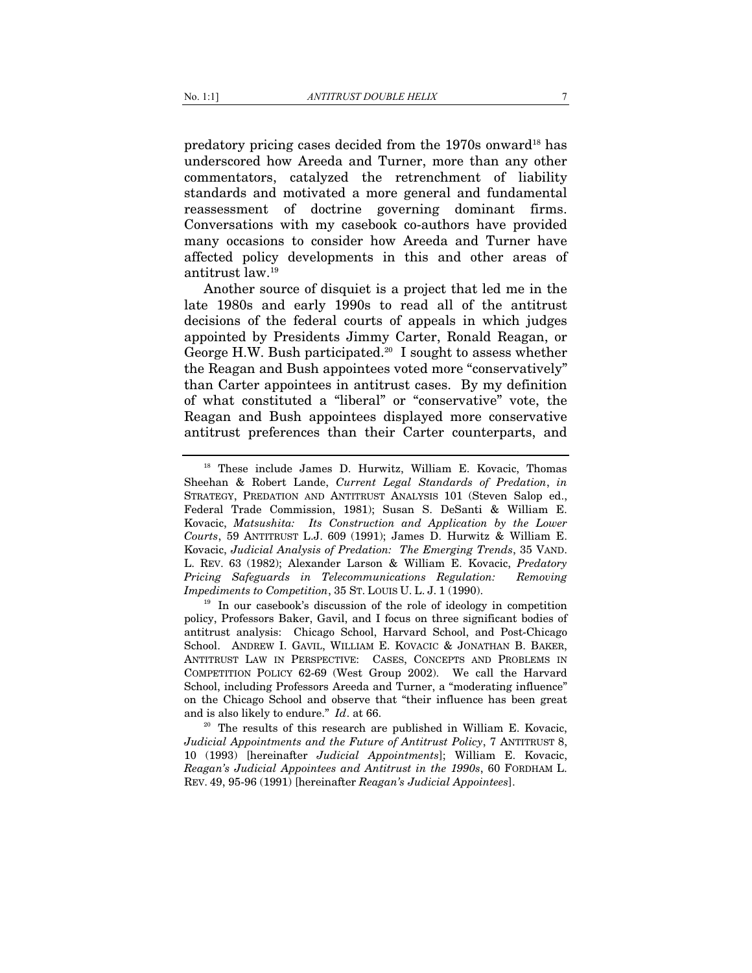predatory pricing cases decided from the 1970s onward<sup>18</sup> has underscored how Areeda and Turner, more than any other commentators, catalyzed the retrenchment of liability standards and motivated a more general and fundamental reassessment of doctrine governing dominant firms. Conversations with my casebook co-authors have provided many occasions to consider how Areeda and Turner have affected policy developments in this and other areas of antitrust law.19

Another source of disquiet is a project that led me in the late 1980s and early 1990s to read all of the antitrust decisions of the federal courts of appeals in which judges appointed by Presidents Jimmy Carter, Ronald Reagan, or George H.W. Bush participated.<sup>20</sup> I sought to assess whether the Reagan and Bush appointees voted more "conservatively" than Carter appointees in antitrust cases. By my definition of what constituted a "liberal" or "conservative" vote, the Reagan and Bush appointees displayed more conservative antitrust preferences than their Carter counterparts, and

policy, Professors Baker, Gavil, and I focus on three significant bodies of antitrust analysis: Chicago School, Harvard School, and Post-Chicago School. ANDREW I. GAVIL, WILLIAM E. KOVACIC & JONATHAN B. BAKER, ANTITRUST LAW IN PERSPECTIVE: CASES, CONCEPTS AND PROBLEMS IN COMPETITION POLICY 62-69 (West Group 2002). We call the Harvard School, including Professors Areeda and Turner, a "moderating influence" on the Chicago School and observe that "their influence has been great

and is also likely to endure." *Id*. at 66. 20  $\mu$  20 The results of this research are published in William E. Kovacic, *Judicial Appointments and the Future of Antitrust Policy*, 7 ANTITRUST 8, 10 (1993) [hereinafter *Judicial Appointments*]; William E. Kovacic, *Reagan's Judicial Appointees and Antitrust in the 1990s*, 60 FORDHAM L. REV. 49, 95-96 (1991) [hereinafter *Reagan's Judicial Appointees*].

<sup>&</sup>lt;sup>18</sup> These include James D. Hurwitz, William E. Kovacic, Thomas Sheehan & Robert Lande, *Current Legal Standards of Predation*, *in* STRATEGY, PREDATION AND ANTITRUST ANALYSIS 101 (Steven Salop ed., Federal Trade Commission, 1981); Susan S. DeSanti & William E. Kovacic, *Matsushita: Its Construction and Application by the Lower Courts*, 59 ANTITRUST L.J. 609 (1991); James D. Hurwitz & William E. Kovacic, *Judicial Analysis of Predation: The Emerging Trends*, 35 VAND. L. REV. 63 (1982); Alexander Larson & William E. Kovacic, *Predatory Pricing Safeguards in Telecommunications Regulation: Removing Impediments to Competition*, 35 ST. LOUIS U. L. J. 1 (1990).<br><sup>19</sup> In our casebook's discussion of the role of ideology in competition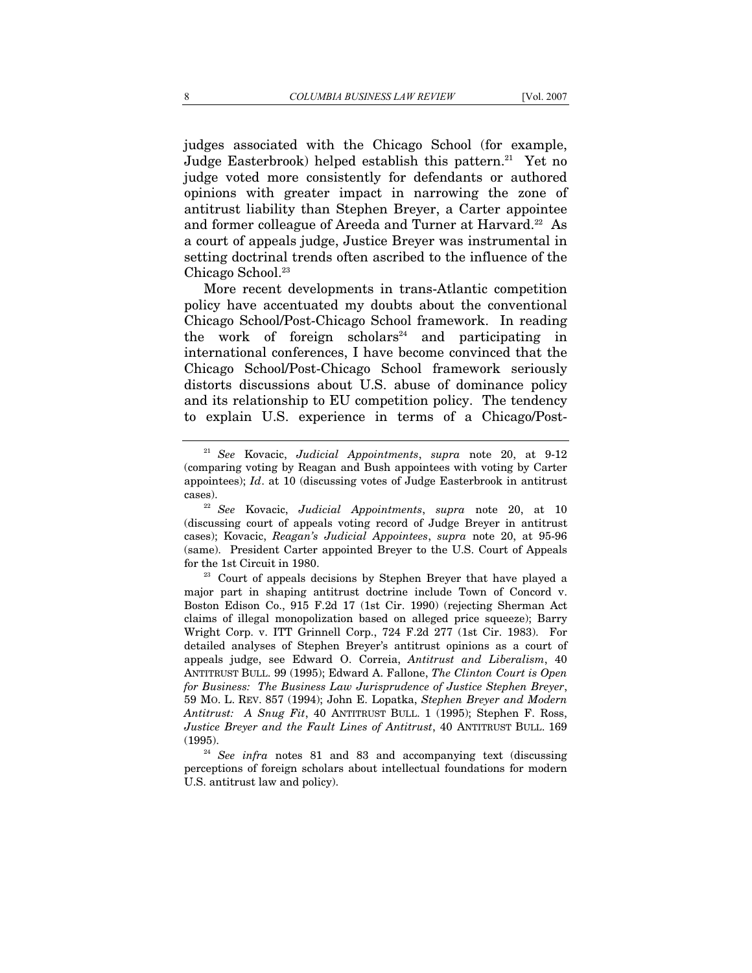judges associated with the Chicago School (for example, Judge Easterbrook) helped establish this pattern.<sup>21</sup> Yet no judge voted more consistently for defendants or authored opinions with greater impact in narrowing the zone of antitrust liability than Stephen Breyer, a Carter appointee and former colleague of Areeda and Turner at Harvard.<sup>22</sup> As a court of appeals judge, Justice Breyer was instrumental in setting doctrinal trends often ascribed to the influence of the Chicago School.23

More recent developments in trans-Atlantic competition policy have accentuated my doubts about the conventional Chicago School/Post-Chicago School framework. In reading the work of foreign scholars<sup>24</sup> and participating in international conferences, I have become convinced that the Chicago School/Post-Chicago School framework seriously distorts discussions about U.S. abuse of dominance policy and its relationship to EU competition policy. The tendency to explain U.S. experience in terms of a Chicago/Post-

<sup>21</sup> *See* Kovacic, *Judicial Appointments*, *supra* note 20, at 9-12 (comparing voting by Reagan and Bush appointees with voting by Carter appointees); *Id*. at 10 (discussing votes of Judge Easterbrook in antitrust

cases). 22 *See* Kovacic, *Judicial Appointments*, *supra* note 20, at 10 (discussing court of appeals voting record of Judge Breyer in antitrust cases); Kovacic, *Reagan's Judicial Appointees*, *supra* note 20, at 95-96 (same). President Carter appointed Breyer to the U.S. Court of Appeals for the 1st Circuit in 1980.<br><sup>23</sup> Court of appeals decisions by Stephen Breyer that have played a

major part in shaping antitrust doctrine include Town of Concord v. Boston Edison Co., 915 F.2d 17 (1st Cir. 1990) (rejecting Sherman Act claims of illegal monopolization based on alleged price squeeze); Barry Wright Corp. v. ITT Grinnell Corp., 724 F.2d 277 (1st Cir. 1983). For detailed analyses of Stephen Breyer's antitrust opinions as a court of appeals judge, see Edward O. Correia, *Antitrust and Liberalism*, 40 ANTITRUST BULL. 99 (1995); Edward A. Fallone, *The Clinton Court is Open for Business: The Business Law Jurisprudence of Justice Stephen Breyer*, 59 MO. L. REV. 857 (1994); John E. Lopatka, *Stephen Breyer and Modern Antitrust: A Snug Fit*, 40 ANTITRUST BULL. 1 (1995); Stephen F. Ross, *Justice Breyer and the Fault Lines of Antitrust*, 40 ANTITRUST BULL. 169 (1995).<br><sup>24</sup> *See infra* notes 81 and 83 and accompanying text (discussing

perceptions of foreign scholars about intellectual foundations for modern U.S. antitrust law and policy).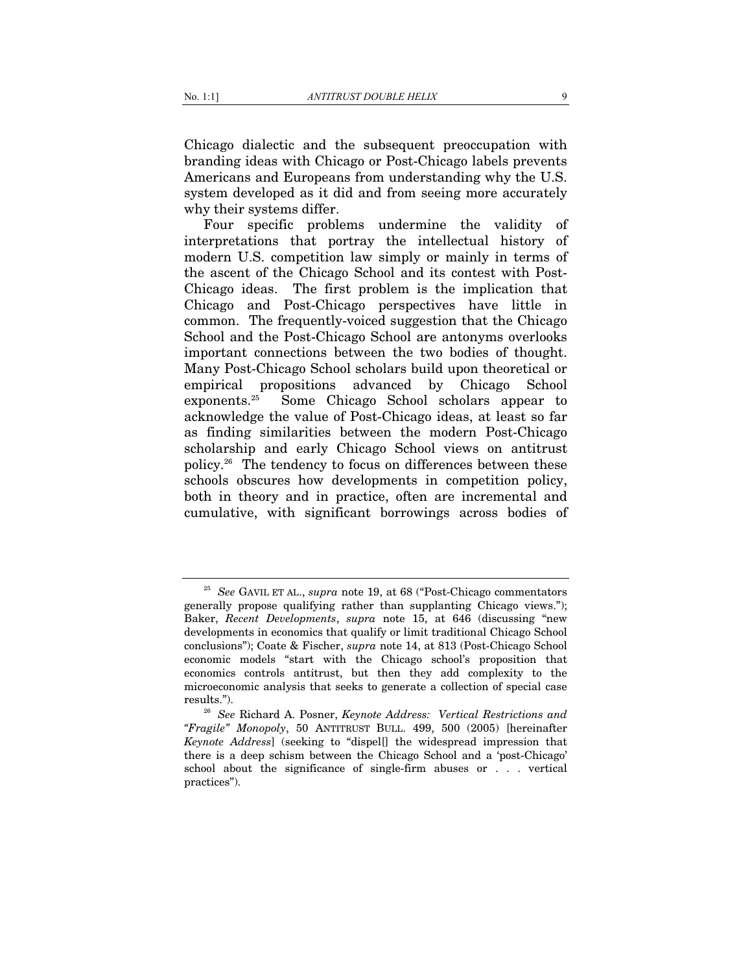Chicago dialectic and the subsequent preoccupation with branding ideas with Chicago or Post-Chicago labels prevents Americans and Europeans from understanding why the U.S. system developed as it did and from seeing more accurately why their systems differ.

Four specific problems undermine the validity of interpretations that portray the intellectual history of modern U.S. competition law simply or mainly in terms of the ascent of the Chicago School and its contest with Post-Chicago ideas. The first problem is the implication that Chicago and Post-Chicago perspectives have little in common. The frequently-voiced suggestion that the Chicago School and the Post-Chicago School are antonyms overlooks important connections between the two bodies of thought. Many Post-Chicago School scholars build upon theoretical or empirical propositions advanced by Chicago School exponents.25 Some Chicago School scholars appear to acknowledge the value of Post-Chicago ideas, at least so far as finding similarities between the modern Post-Chicago scholarship and early Chicago School views on antitrust policy.26 The tendency to focus on differences between these schools obscures how developments in competition policy, both in theory and in practice, often are incremental and cumulative, with significant borrowings across bodies of

<sup>25</sup> *See* GAVIL ET AL., *supra* note 19, at 68 ("Post-Chicago commentators generally propose qualifying rather than supplanting Chicago views."); Baker, *Recent Developments*, *supra* note 15, at 646 (discussing "new developments in economics that qualify or limit traditional Chicago School conclusions"); Coate & Fischer, *supra* note 14, at 813 (Post-Chicago School economic models "start with the Chicago school's proposition that economics controls antitrust, but then they add complexity to the microeconomic analysis that seeks to generate a collection of special case

results."). 26 *See* Richard A. Posner, *Keynote Address: Vertical Restrictions and "Fragile" Monopoly*, 50 ANTITRUST BULL. 499, 500 (2005) [hereinafter *Keynote Address*] (seeking to "dispel[] the widespread impression that there is a deep schism between the Chicago School and a 'post-Chicago' school about the significance of single-firm abuses or . . . vertical practices").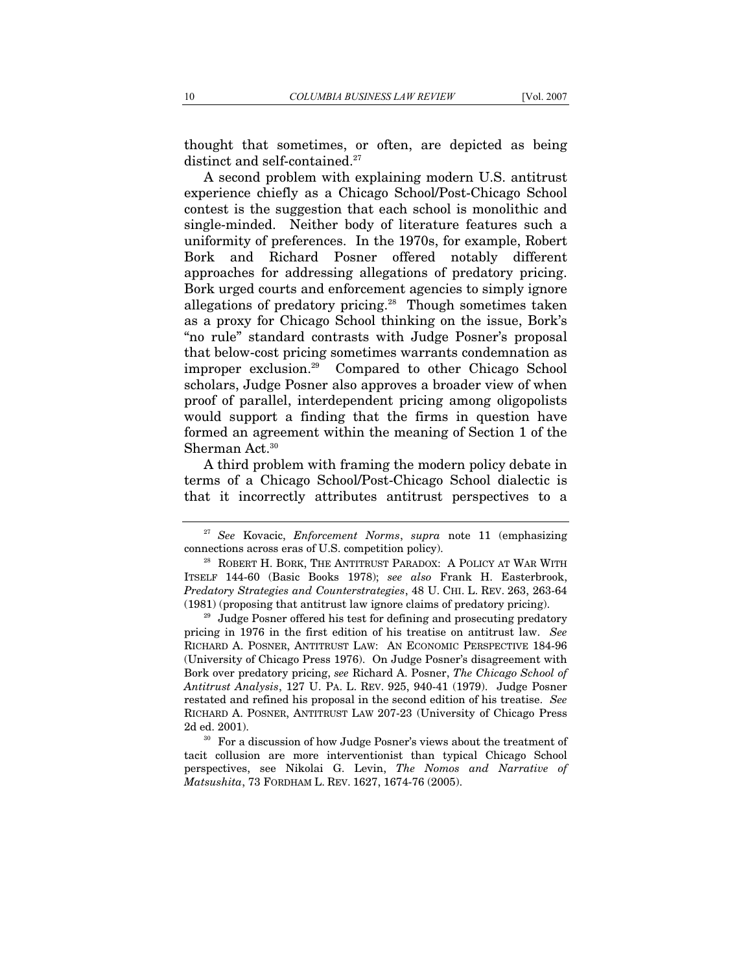thought that sometimes, or often, are depicted as being distinct and self-contained.<sup>27</sup>

A second problem with explaining modern U.S. antitrust experience chiefly as a Chicago School/Post-Chicago School contest is the suggestion that each school is monolithic and single-minded. Neither body of literature features such a uniformity of preferences. In the 1970s, for example, Robert Bork and Richard Posner offered notably different approaches for addressing allegations of predatory pricing. Bork urged courts and enforcement agencies to simply ignore allegations of predatory pricing.<sup>28</sup> Though sometimes taken as a proxy for Chicago School thinking on the issue, Bork's "no rule" standard contrasts with Judge Posner's proposal that below-cost pricing sometimes warrants condemnation as improper exclusion.29 Compared to other Chicago School scholars, Judge Posner also approves a broader view of when proof of parallel, interdependent pricing among oligopolists would support a finding that the firms in question have formed an agreement within the meaning of Section 1 of the Sherman Act.<sup>30</sup>

A third problem with framing the modern policy debate in terms of a Chicago School/Post-Chicago School dialectic is that it incorrectly attributes antitrust perspectives to a

<sup>27</sup> *See* Kovacic, *Enforcement Norms*, *supra* note 11 (emphasizing connections across eras of U.S. competition policy). 28 ROBERT H. BORK, THE ANTITRUST PARADOX: A POLICY AT WAR WITH

ITSELF 144-60 (Basic Books 1978); *see also* Frank H. Easterbrook, *Predatory Strategies and Counterstrategies*, 48 U. CHI. L. REV. 263, 263-64 (1981) (proposing that antitrust law ignore claims of predatory pricing).<br><sup>29</sup> Judge Posner offered his test for defining and prosecuting predatory

pricing in 1976 in the first edition of his treatise on antitrust law. *See*  RICHARD A. POSNER, ANTITRUST LAW: AN ECONOMIC PERSPECTIVE 184-96 (University of Chicago Press 1976). On Judge Posner's disagreement with Bork over predatory pricing, *see* Richard A. Posner, *The Chicago School of Antitrust Analysis*, 127 U. PA. L. REV. 925, 940-41 (1979). Judge Posner restated and refined his proposal in the second edition of his treatise. *See*  RICHARD A. POSNER, ANTITRUST LAW 207-23 (University of Chicago Press

<sup>2</sup>d ed. 2001). 30 For a discussion of how Judge Posner's views about the treatment of tacit collusion are more interventionist than typical Chicago School perspectives, see Nikolai G. Levin, *The Nomos and Narrative of Matsushita*, 73 FORDHAM L. REV. 1627, 1674-76 (2005).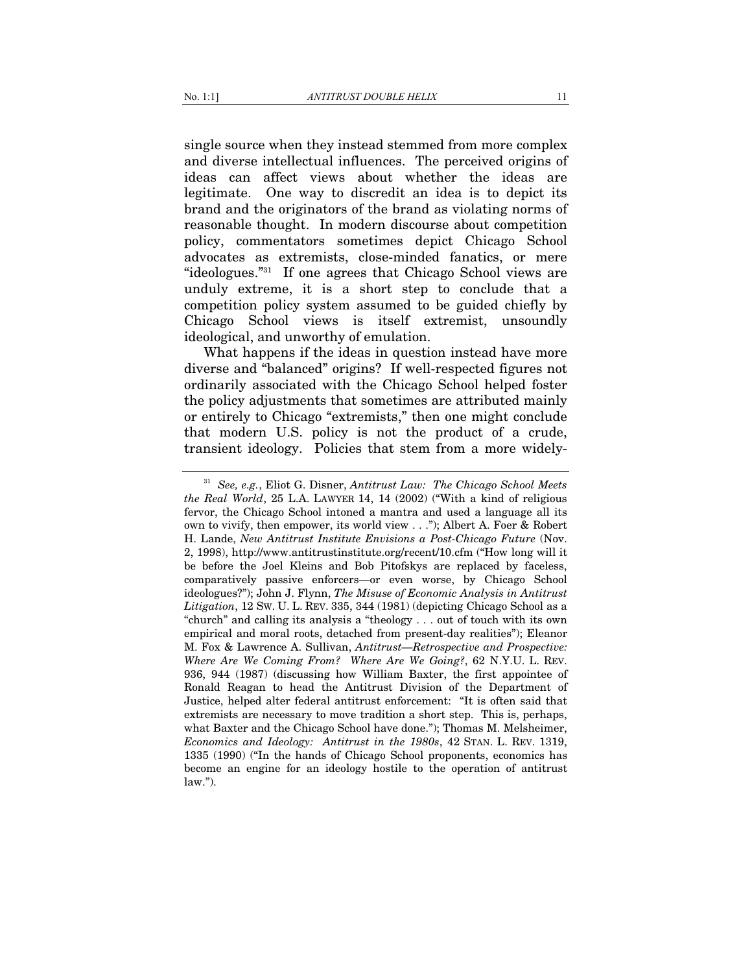single source when they instead stemmed from more complex and diverse intellectual influences. The perceived origins of ideas can affect views about whether the ideas are legitimate. One way to discredit an idea is to depict its brand and the originators of the brand as violating norms of reasonable thought. In modern discourse about competition policy, commentators sometimes depict Chicago School advocates as extremists, close-minded fanatics, or mere "ideologues."31 If one agrees that Chicago School views are unduly extreme, it is a short step to conclude that a competition policy system assumed to be guided chiefly by Chicago School views is itself extremist, unsoundly ideological, and unworthy of emulation.

What happens if the ideas in question instead have more diverse and "balanced" origins? If well-respected figures not ordinarily associated with the Chicago School helped foster the policy adjustments that sometimes are attributed mainly or entirely to Chicago "extremists," then one might conclude that modern U.S. policy is not the product of a crude, transient ideology. Policies that stem from a more widely-

<sup>31</sup> *See, e.g.*, Eliot G. Disner, *Antitrust Law: The Chicago School Meets the Real World*, 25 L.A. LAWYER 14, 14 (2002) ("With a kind of religious fervor, the Chicago School intoned a mantra and used a language all its own to vivify, then empower, its world view . . ."); Albert A. Foer & Robert H. Lande, *New Antitrust Institute Envisions a Post-Chicago Future* (Nov. 2, 1998), http://www.antitrustinstitute.org/recent/10.cfm ("How long will it be before the Joel Kleins and Bob Pitofskys are replaced by faceless, comparatively passive enforcers—or even worse, by Chicago School ideologues?"); John J. Flynn, *The Misuse of Economic Analysis in Antitrust Litigation*, 12 SW. U. L. REV. 335, 344 (1981) (depicting Chicago School as a "church" and calling its analysis a "theology . . . out of touch with its own empirical and moral roots, detached from present-day realities"); Eleanor M. Fox & Lawrence A. Sullivan, *Antitrust—Retrospective and Prospective: Where Are We Coming From? Where Are We Going?*, 62 N.Y.U. L. REV. 936, 944 (1987) (discussing how William Baxter, the first appointee of Ronald Reagan to head the Antitrust Division of the Department of Justice, helped alter federal antitrust enforcement: "It is often said that extremists are necessary to move tradition a short step. This is, perhaps, what Baxter and the Chicago School have done."); Thomas M. Melsheimer, *Economics and Ideology: Antitrust in the 1980s*, 42 STAN. L. REV. 1319, 1335 (1990) ("In the hands of Chicago School proponents, economics has become an engine for an ideology hostile to the operation of antitrust  $law.'$ ).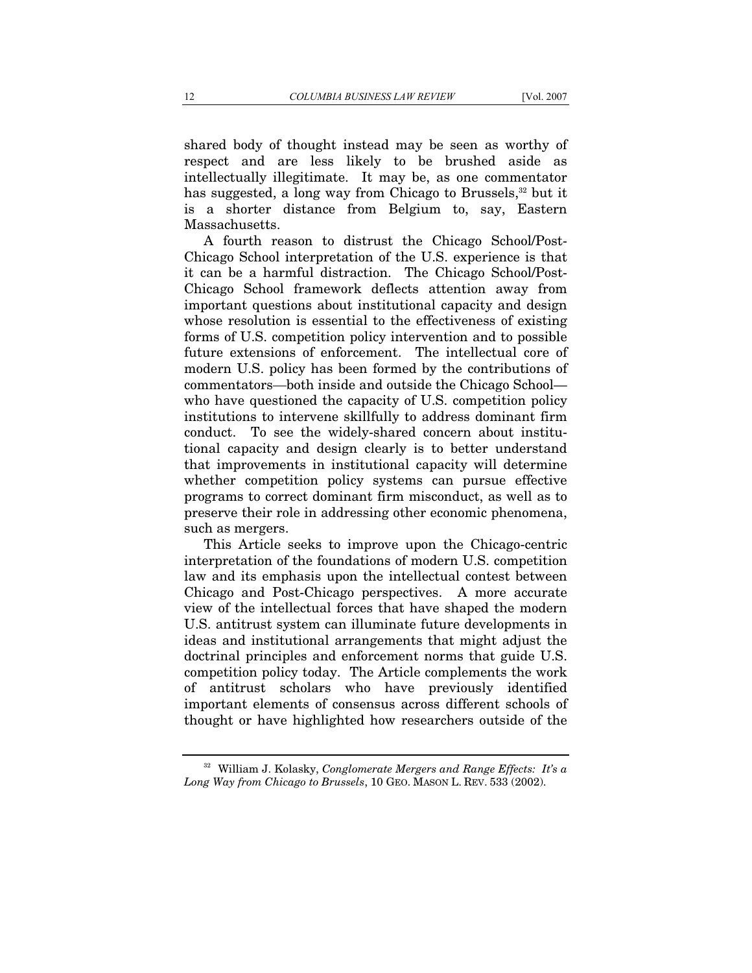shared body of thought instead may be seen as worthy of respect and are less likely to be brushed aside as intellectually illegitimate. It may be, as one commentator has suggested, a long way from Chicago to Brussels,<sup>32</sup> but it is a shorter distance from Belgium to, say, Eastern Massachusetts.

A fourth reason to distrust the Chicago School/Post-Chicago School interpretation of the U.S. experience is that it can be a harmful distraction. The Chicago School/Post-Chicago School framework deflects attention away from important questions about institutional capacity and design whose resolution is essential to the effectiveness of existing forms of U.S. competition policy intervention and to possible future extensions of enforcement. The intellectual core of modern U.S. policy has been formed by the contributions of commentators—both inside and outside the Chicago School who have questioned the capacity of U.S. competition policy institutions to intervene skillfully to address dominant firm conduct. To see the widely-shared concern about institutional capacity and design clearly is to better understand that improvements in institutional capacity will determine whether competition policy systems can pursue effective programs to correct dominant firm misconduct, as well as to preserve their role in addressing other economic phenomena, such as mergers.

This Article seeks to improve upon the Chicago-centric interpretation of the foundations of modern U.S. competition law and its emphasis upon the intellectual contest between Chicago and Post-Chicago perspectives. A more accurate view of the intellectual forces that have shaped the modern U.S. antitrust system can illuminate future developments in ideas and institutional arrangements that might adjust the doctrinal principles and enforcement norms that guide U.S. competition policy today. The Article complements the work of antitrust scholars who have previously identified important elements of consensus across different schools of thought or have highlighted how researchers outside of the

<sup>32</sup> William J. Kolasky, *Conglomerate Mergers and Range Effects: It's a Long Way from Chicago to Brussels*, 10 GEO. MASON L. REV. 533 (2002).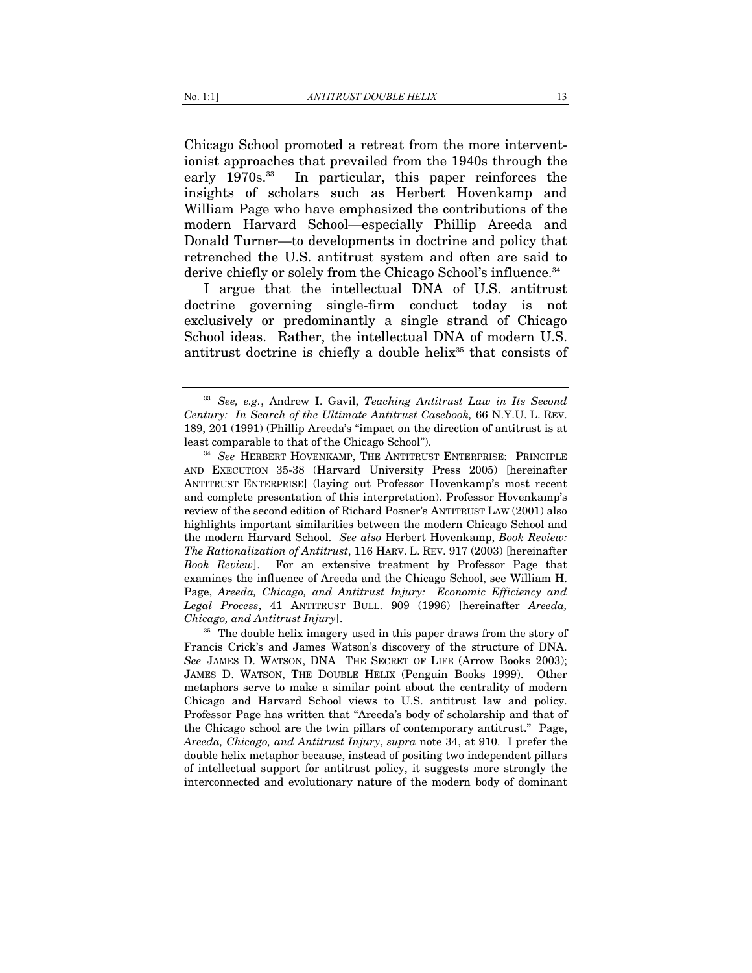Chicago School promoted a retreat from the more interventionist approaches that prevailed from the 1940s through the early 1970s.<sup>33</sup> In particular, this paper reinforces the insights of scholars such as Herbert Hovenkamp and William Page who have emphasized the contributions of the modern Harvard School—especially Phillip Areeda and Donald Turner—to developments in doctrine and policy that retrenched the U.S. antitrust system and often are said to derive chiefly or solely from the Chicago School's influence.<sup>34</sup>

I argue that the intellectual DNA of U.S. antitrust doctrine governing single-firm conduct today is not exclusively or predominantly a single strand of Chicago School ideas. Rather, the intellectual DNA of modern U.S. antitrust doctrine is chiefly a double helix<sup>35</sup> that consists of

<sup>33</sup> *See, e.g.*, Andrew I. Gavil, *Teaching Antitrust Law in Its Second Century: In Search of the Ultimate Antitrust Casebook,* 66 N.Y.U. L. REV. 189, 201 (1991) (Phillip Areeda's "impact on the direction of antitrust is at least comparable to that of the Chicago School"). 34 *See* HERBERT HOVENKAMP, THE ANTITRUST ENTERPRISE: PRINCIPLE

AND EXECUTION 35-38 (Harvard University Press 2005) [hereinafter ANTITRUST ENTERPRISE] (laying out Professor Hovenkamp's most recent and complete presentation of this interpretation). Professor Hovenkamp's review of the second edition of Richard Posner's ANTITRUST LAW (2001) also highlights important similarities between the modern Chicago School and the modern Harvard School. *See also* Herbert Hovenkamp, *Book Review: The Rationalization of Antitrust*, 116 HARV. L. REV. 917 (2003) [hereinafter *Book Review*]. For an extensive treatment by Professor Page that examines the influence of Areeda and the Chicago School, see William H. Page, *Areeda, Chicago, and Antitrust Injury: Economic Efficiency and Legal Process*, 41 ANTITRUST BULL. 909 (1996) [hereinafter *Areeda,* 

*Chicago, and Antitrust Injury*]. 35 The double helix imagery used in this paper draws from the story of Francis Crick's and James Watson's discovery of the structure of DNA. *See* JAMES D. WATSON, DNA THE SECRET OF LIFE (Arrow Books 2003); JAMES D. WATSON, THE DOUBLE HELIX (Penguin Books 1999). Other metaphors serve to make a similar point about the centrality of modern Chicago and Harvard School views to U.S. antitrust law and policy. Professor Page has written that "Areeda's body of scholarship and that of the Chicago school are the twin pillars of contemporary antitrust." Page, *Areeda, Chicago, and Antitrust Injury*, *supra* note 34, at 910. I prefer the double helix metaphor because, instead of positing two independent pillars of intellectual support for antitrust policy, it suggests more strongly the interconnected and evolutionary nature of the modern body of dominant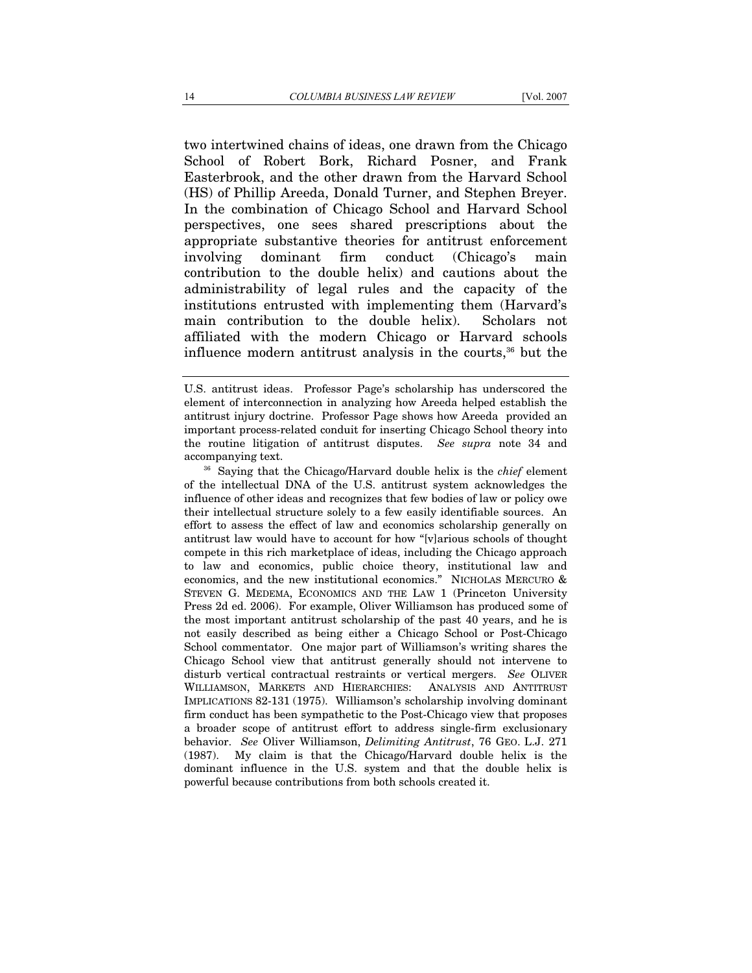two intertwined chains of ideas, one drawn from the Chicago School of Robert Bork, Richard Posner, and Frank Easterbrook, and the other drawn from the Harvard School (HS) of Phillip Areeda, Donald Turner, and Stephen Breyer. In the combination of Chicago School and Harvard School perspectives, one sees shared prescriptions about the appropriate substantive theories for antitrust enforcement involving dominant firm conduct (Chicago's main contribution to the double helix) and cautions about the administrability of legal rules and the capacity of the institutions entrusted with implementing them (Harvard's main contribution to the double helix). Scholars not affiliated with the modern Chicago or Harvard schools influence modern antitrust analysis in the courts,<sup>36</sup> but the

accompanying text. 36 Saying that the Chicago/Harvard double helix is the *chief* element of the intellectual DNA of the U.S. antitrust system acknowledges the influence of other ideas and recognizes that few bodies of law or policy owe their intellectual structure solely to a few easily identifiable sources. An effort to assess the effect of law and economics scholarship generally on antitrust law would have to account for how "[v]arious schools of thought compete in this rich marketplace of ideas, including the Chicago approach to law and economics, public choice theory, institutional law and economics, and the new institutional economics." NICHOLAS MERCURO & STEVEN G. MEDEMA, ECONOMICS AND THE LAW 1 (Princeton University Press 2d ed. 2006). For example, Oliver Williamson has produced some of the most important antitrust scholarship of the past 40 years, and he is not easily described as being either a Chicago School or Post-Chicago School commentator. One major part of Williamson's writing shares the Chicago School view that antitrust generally should not intervene to disturb vertical contractual restraints or vertical mergers. *See* OLIVER WILLIAMSON, MARKETS AND HIERARCHIES: ANALYSIS AND ANTITRUST IMPLICATIONS 82-131 (1975). Williamson's scholarship involving dominant firm conduct has been sympathetic to the Post-Chicago view that proposes a broader scope of antitrust effort to address single-firm exclusionary behavior. *See* Oliver Williamson, *Delimiting Antitrust*, 76 GEO. L.J. 271 (1987). My claim is that the Chicago/Harvard double helix is the dominant influence in the U.S. system and that the double helix is powerful because contributions from both schools created it.

U.S. antitrust ideas. Professor Page's scholarship has underscored the element of interconnection in analyzing how Areeda helped establish the antitrust injury doctrine. Professor Page shows how Areeda provided an important process-related conduit for inserting Chicago School theory into the routine litigation of antitrust disputes. *See supra* note 34 and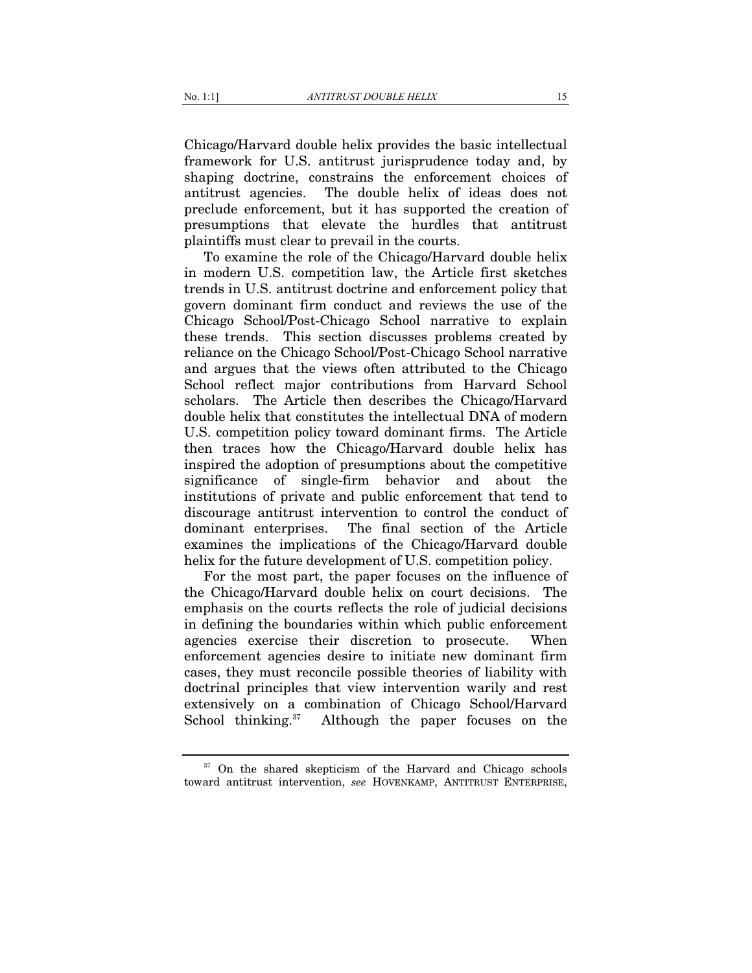Chicago/Harvard double helix provides the basic intellectual framework for U.S. antitrust jurisprudence today and, by shaping doctrine, constrains the enforcement choices of antitrust agencies. The double helix of ideas does not preclude enforcement, but it has supported the creation of presumptions that elevate the hurdles that antitrust plaintiffs must clear to prevail in the courts.

To examine the role of the Chicago/Harvard double helix in modern U.S. competition law, the Article first sketches trends in U.S. antitrust doctrine and enforcement policy that govern dominant firm conduct and reviews the use of the Chicago School/Post-Chicago School narrative to explain these trends. This section discusses problems created by reliance on the Chicago School/Post-Chicago School narrative and argues that the views often attributed to the Chicago School reflect major contributions from Harvard School scholars. The Article then describes the Chicago/Harvard double helix that constitutes the intellectual DNA of modern U.S. competition policy toward dominant firms. The Article then traces how the Chicago/Harvard double helix has inspired the adoption of presumptions about the competitive significance of single-firm behavior and about the institutions of private and public enforcement that tend to discourage antitrust intervention to control the conduct of dominant enterprises. The final section of the Article examines the implications of the Chicago/Harvard double helix for the future development of U.S. competition policy.

For the most part, the paper focuses on the influence of the Chicago/Harvard double helix on court decisions. The emphasis on the courts reflects the role of judicial decisions in defining the boundaries within which public enforcement agencies exercise their discretion to prosecute. When enforcement agencies desire to initiate new dominant firm cases, they must reconcile possible theories of liability with doctrinal principles that view intervention warily and rest extensively on a combination of Chicago School/Harvard School thinking.<sup>37</sup> Although the paper focuses on the

<sup>&</sup>lt;sup>37</sup> On the shared skepticism of the Harvard and Chicago schools toward antitrust intervention, *see* HOVENKAMP, ANTITRUST ENTERPRISE,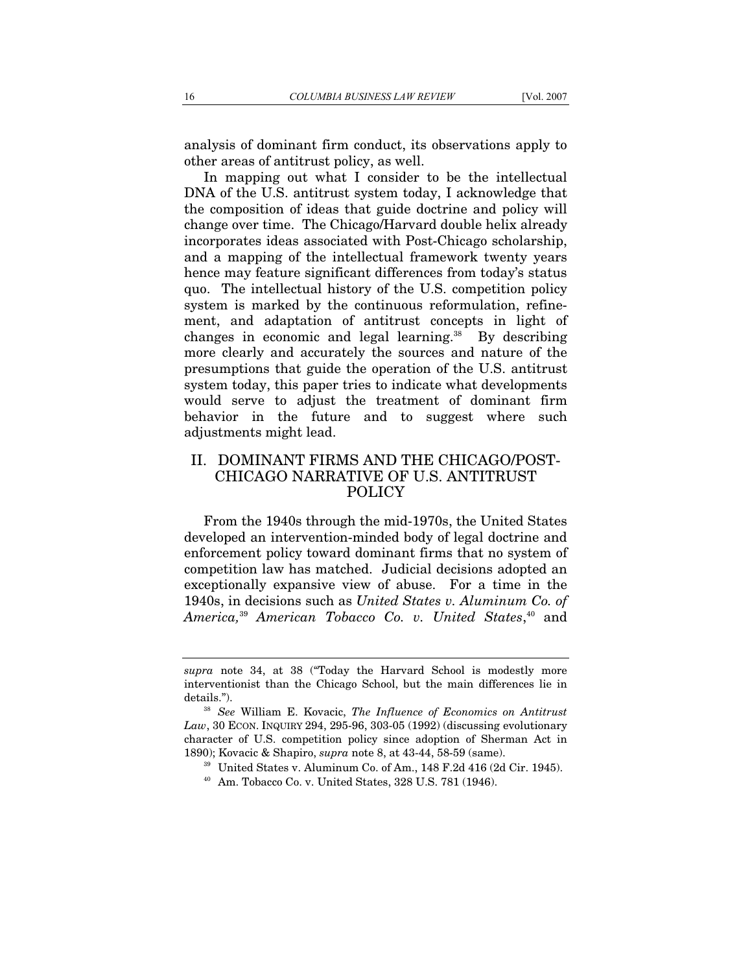analysis of dominant firm conduct, its observations apply to other areas of antitrust policy, as well.

In mapping out what I consider to be the intellectual DNA of the U.S. antitrust system today, I acknowledge that the composition of ideas that guide doctrine and policy will change over time. The Chicago/Harvard double helix already incorporates ideas associated with Post-Chicago scholarship, and a mapping of the intellectual framework twenty years hence may feature significant differences from today's status quo. The intellectual history of the U.S. competition policy system is marked by the continuous reformulation, refinement, and adaptation of antitrust concepts in light of changes in economic and legal learning.<sup>38</sup> By describing more clearly and accurately the sources and nature of the presumptions that guide the operation of the U.S. antitrust system today, this paper tries to indicate what developments would serve to adjust the treatment of dominant firm behavior in the future and to suggest where such adjustments might lead.

# II. DOMINANT FIRMS AND THE CHICAGO/POST-CHICAGO NARRATIVE OF U.S. ANTITRUST POLICY

From the 1940s through the mid-1970s, the United States developed an intervention-minded body of legal doctrine and enforcement policy toward dominant firms that no system of competition law has matched. Judicial decisions adopted an exceptionally expansive view of abuse. For a time in the 1940s, in decisions such as *United States v. Aluminum Co. of America,*<sup>39</sup> *American Tobacco Co. v. United States*, 40 and

*supra* note 34, at 38 ("Today the Harvard School is modestly more interventionist than the Chicago School, but the main differences lie in details."). 38 *See* William E. Kovacic, *The Influence of Economics on Antitrust* 

*Law*, 30 ECON. INQUIRY 294, 295-96, 303-05 (1992) (discussing evolutionary character of U.S. competition policy since adoption of Sherman Act in 1890); Kovacic & Shapiro, *supra* note 8, at 43-44, 58-59 (same).<br><sup>39</sup> United States v. Aluminum Co. of Am., 148 F.2d 416 (2d Cir. 1945).<br><sup>40</sup> Am. Tobacco Co. v. United States, 328 U.S. 781 (1946).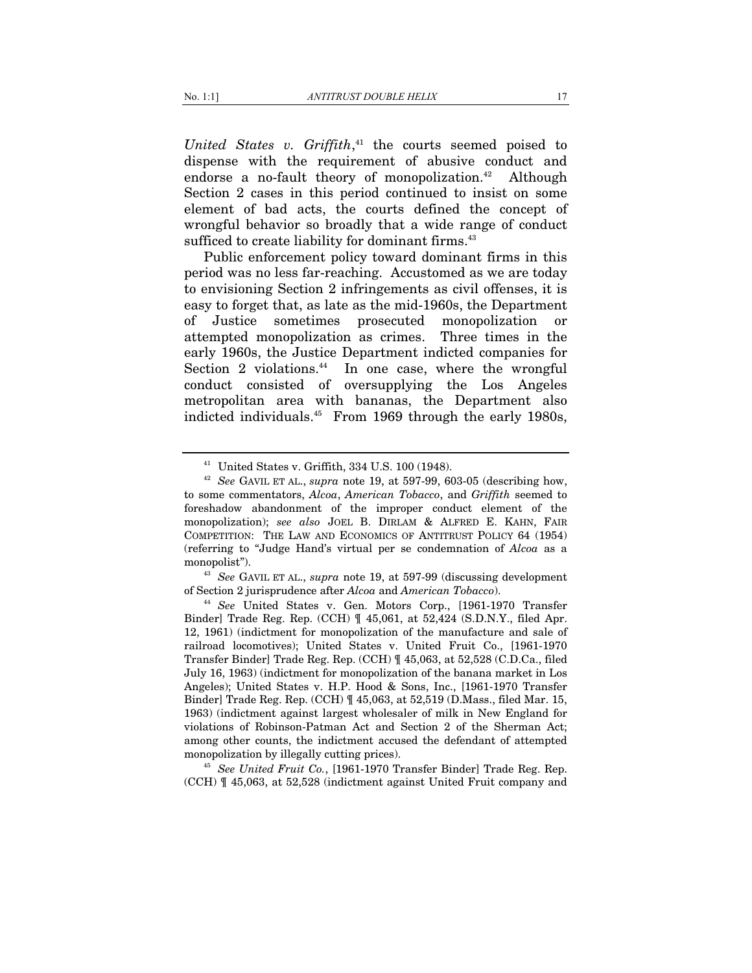*United States v. Griffith*, 41 the courts seemed poised to dispense with the requirement of abusive conduct and endorse a no-fault theory of monopolization. $42$  Although Section 2 cases in this period continued to insist on some element of bad acts, the courts defined the concept of wrongful behavior so broadly that a wide range of conduct sufficed to create liability for dominant firms.<sup>43</sup>

Public enforcement policy toward dominant firms in this period was no less far-reaching. Accustomed as we are today to envisioning Section 2 infringements as civil offenses, it is easy to forget that, as late as the mid-1960s, the Department of Justice sometimes prosecuted monopolization or attempted monopolization as crimes. Three times in the early 1960s, the Justice Department indicted companies for Section 2 violations. $44$  In one case, where the wrongful conduct consisted of oversupplying the Los Angeles metropolitan area with bananas, the Department also indicted individuals.45 From 1969 through the early 1980s,

of Section 2 jurisprudence after *Alcoa* and *American Tobacco*). 44 *See* United States v. Gen. Motors Corp., [1961-1970 Transfer

(CCH) ¶ 45,063, at 52,528 (indictment against United Fruit company and

<sup>41</sup> United States v. Griffith, 334 U.S. 100 (1948). 42 *See* GAVIL ET AL., *supra* note 19, at 597-99, 603-05 (describing how, to some commentators, *Alcoa*, *American Tobacco*, and *Griffith* seemed to foreshadow abandonment of the improper conduct element of the monopolization); *see also* JOEL B. DIRLAM & ALFRED E. KAHN, FAIR COMPETITION: THE LAW AND ECONOMICS OF ANTITRUST POLICY 64 (1954) (referring to "Judge Hand's virtual per se condemnation of *Alcoa* as a monopolist"). 43 *See* GAVIL ET AL., *supra* note 19, at 597-99 (discussing development

Binder] Trade Reg. Rep. (CCH) ¶ 45,061, at 52,424 (S.D.N.Y., filed Apr. 12, 1961) (indictment for monopolization of the manufacture and sale of railroad locomotives); United States v. United Fruit Co., [1961-1970 Transfer Binder] Trade Reg. Rep. (CCH) ¶ 45,063, at 52,528 (C.D.Ca., filed July 16, 1963) (indictment for monopolization of the banana market in Los Angeles); United States v. H.P. Hood & Sons, Inc., [1961-1970 Transfer Binder] Trade Reg. Rep. (CCH) ¶ 45,063, at 52,519 (D.Mass., filed Mar. 15, 1963) (indictment against largest wholesaler of milk in New England for violations of Robinson-Patman Act and Section 2 of the Sherman Act; among other counts, the indictment accused the defendant of attempted monopolization by illegally cutting prices). 45 *See United Fruit Co.*, [1961-1970 Transfer Binder] Trade Reg. Rep.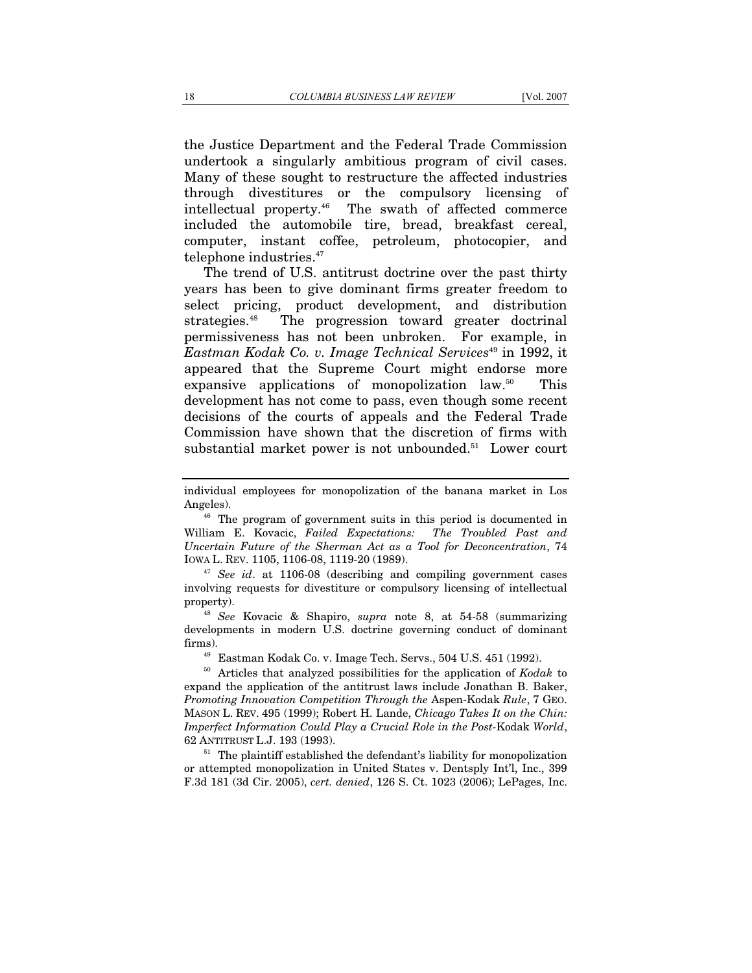the Justice Department and the Federal Trade Commission undertook a singularly ambitious program of civil cases. Many of these sought to restructure the affected industries through divestitures or the compulsory licensing of intellectual property.46 The swath of affected commerce included the automobile tire, bread, breakfast cereal, computer, instant coffee, petroleum, photocopier, and telephone industries.<sup>47</sup>

The trend of U.S. antitrust doctrine over the past thirty years has been to give dominant firms greater freedom to select pricing, product development, and distribution strategies.48 The progression toward greater doctrinal permissiveness has not been unbroken. For example, in *Eastman Kodak Co. v. Image Technical Services*49 in 1992, it appeared that the Supreme Court might endorse more expansive applications of monopolization law.<sup>50</sup> This development has not come to pass, even though some recent decisions of the courts of appeals and the Federal Trade Commission have shown that the discretion of firms with substantial market power is not unbounded.<sup>51</sup> Lower court

William E. Kovacic, *Failed Expectations: The Troubled Past and Uncertain Future of the Sherman Act as a Tool for Deconcentration*, 74 IOWA L. REV. 1105, 1106-08, 1119-20 (1989). 47 *See id*. at 1106-08 (describing and compiling government cases

involving requests for divestiture or compulsory licensing of intellectual property). 48 *See* Kovacic & Shapiro, *supra* note 8, at 54-58 (summarizing

developments in modern U.S. doctrine governing conduct of dominant firms). 49 Eastman Kodak Co. v. Image Tech. Servs., 504 U.S. 451 (1992). 50 Articles that analyzed possibilities for the application of *Kodak* to

expand the application of the antitrust laws include Jonathan B. Baker, *Promoting Innovation Competition Through the* Aspen-Kodak *Rule*, 7 GEO. MASON L. REV. 495 (1999); Robert H. Lande, *Chicago Takes It on the Chin: Imperfect Information Could Play a Crucial Role in the Post-*Kodak *World*, 62 ANTITRUST L.J. 193 (1993). 51 The plaintiff established the defendant's liability for monopolization

or attempted monopolization in United States v. Dentsply Int'l, Inc., 399 F.3d 181 (3d Cir. 2005), *cert. denied*, 126 S. Ct. 1023 (2006); LePages, Inc.

individual employees for monopolization of the banana market in Los Angeles).<br><sup>46</sup> The program of government suits in this period is documented in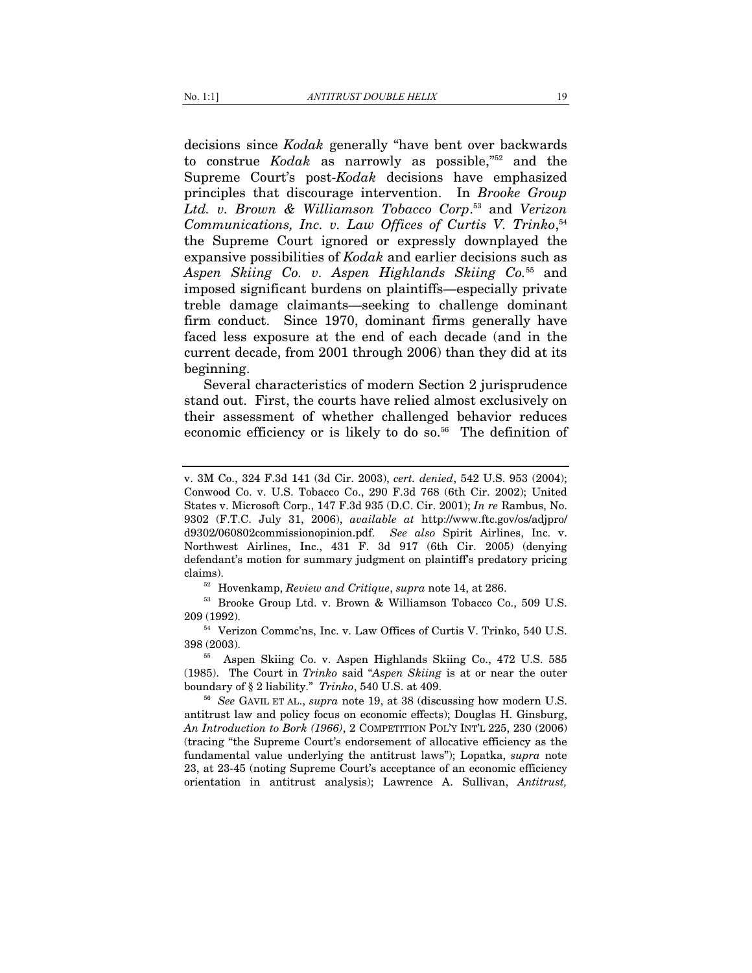decisions since *Kodak* generally "have bent over backwards to construe *Kodak* as narrowly as possible,"52 and the Supreme Court's post-*Kodak* decisions have emphasized principles that discourage intervention. In *Brooke Group Ltd. v. Brown & Williamson Tobacco Corp*. 53 and *Verizon*  Communications, Inc. v. Law Offices of Curtis V. Trinko,<sup>54</sup> the Supreme Court ignored or expressly downplayed the expansive possibilities of *Kodak* and earlier decisions such as *Aspen Skiing Co. v. Aspen Highlands Skiing Co.*55 and imposed significant burdens on plaintiffs—especially private treble damage claimants—seeking to challenge dominant firm conduct. Since 1970, dominant firms generally have faced less exposure at the end of each decade (and in the current decade, from 2001 through 2006) than they did at its beginning.

Several characteristics of modern Section 2 jurisprudence stand out. First, the courts have relied almost exclusively on their assessment of whether challenged behavior reduces economic efficiency or is likely to do so.<sup>56</sup> The definition of

v. 3M Co., 324 F.3d 141 (3d Cir. 2003), *cert. denied*, 542 U.S. 953 (2004); Conwood Co. v. U.S. Tobacco Co., 290 F.3d 768 (6th Cir. 2002); United States v. Microsoft Corp., 147 F.3d 935 (D.C. Cir. 2001); *In re* Rambus, No. 9302 (F.T.C. July 31, 2006), *available at* http://www.ftc.gov/os/adjpro/ d9302/060802commissionopinion.pdf. *See also* Spirit Airlines, Inc. v. Northwest Airlines, Inc., 431 F. 3d 917 (6th Cir. 2005) (denying defendant's motion for summary judgment on plaintiff's predatory pricing claims). 52 Hovenkamp, *Review and Critique*, *supra* note 14, at 286. 53 Brooke Group Ltd. v. Brown & Williamson Tobacco Co., 509 U.S.

 $^{54}$  Verizon Commc'ns, Inc. v. Law Offices of Curtis V. Trinko, 540 U.S.

<sup>398 (2003). 55</sup> Aspen Skiing Co. v. Aspen Highlands Skiing Co., 472 U.S. 585

<sup>(1985).</sup> The Court in *Trinko* said "*Aspen Skiing* is at or near the outer boundary of § 2 liability." *Trinko*, 540 U.S. at 409.<br><sup>56</sup> *See* GAVIL ET AL., *supra* note 19, at 38 (discussing how modern U.S.

antitrust law and policy focus on economic effects); Douglas H. Ginsburg, *An Introduction to Bork (1966)*, 2 COMPETITION POL'Y INT'L 225, 230 (2006) (tracing "the Supreme Court's endorsement of allocative efficiency as the fundamental value underlying the antitrust laws"); Lopatka, *supra* note 23, at 23-45 (noting Supreme Court's acceptance of an economic efficiency orientation in antitrust analysis); Lawrence A. Sullivan, *Antitrust,*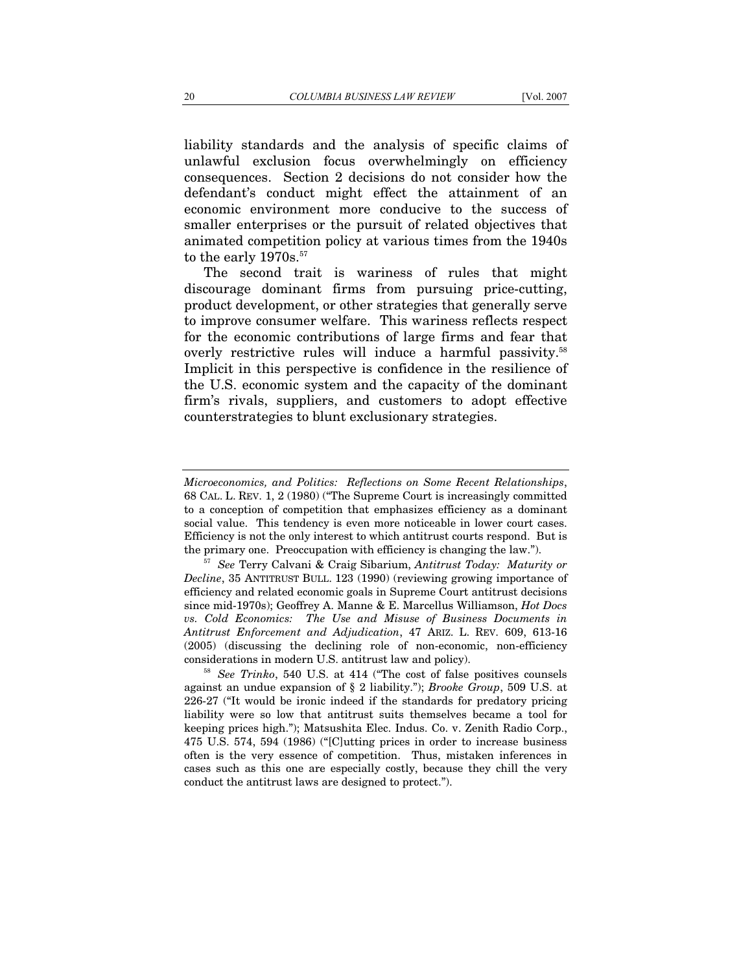liability standards and the analysis of specific claims of unlawful exclusion focus overwhelmingly on efficiency consequences. Section 2 decisions do not consider how the defendant's conduct might effect the attainment of an economic environment more conducive to the success of smaller enterprises or the pursuit of related objectives that animated competition policy at various times from the 1940s to the early 1970s.<sup>57</sup>

The second trait is wariness of rules that might discourage dominant firms from pursuing price-cutting, product development, or other strategies that generally serve to improve consumer welfare. This wariness reflects respect for the economic contributions of large firms and fear that overly restrictive rules will induce a harmful passivity.58 Implicit in this perspective is confidence in the resilience of the U.S. economic system and the capacity of the dominant firm's rivals, suppliers, and customers to adopt effective counterstrategies to blunt exclusionary strategies.

*Microeconomics, and Politics: Reflections on Some Recent Relationships*, 68 CAL. L. REV. 1, 2 (1980) ("The Supreme Court is increasingly committed to a conception of competition that emphasizes efficiency as a dominant social value. This tendency is even more noticeable in lower court cases. Efficiency is not the only interest to which antitrust courts respond. But is the primary one. Preoccupation with efficiency is changing the law."). 57 *See* Terry Calvani & Craig Sibarium, *Antitrust Today: Maturity or* 

*Decline*, 35 ANTITRUST BULL. 123 (1990) (reviewing growing importance of efficiency and related economic goals in Supreme Court antitrust decisions since mid-1970s); Geoffrey A. Manne & E. Marcellus Williamson, *Hot Docs vs. Cold Economics: The Use and Misuse of Business Documents in Antitrust Enforcement and Adjudication*, 47 ARIZ. L. REV. 609, 613-16 (2005) (discussing the declining role of non-economic, non-efficiency considerations in modern U.S. antitrust law and policy). 58 *See Trinko*, 540 U.S. at 414 ("The cost of false positives counsels

against an undue expansion of § 2 liability."); *Brooke Group*, 509 U.S. at 226-27 ("It would be ironic indeed if the standards for predatory pricing liability were so low that antitrust suits themselves became a tool for keeping prices high."); Matsushita Elec. Indus. Co. v. Zenith Radio Corp., 475 U.S. 574, 594 (1986) ("[C]utting prices in order to increase business often is the very essence of competition. Thus, mistaken inferences in cases such as this one are especially costly, because they chill the very conduct the antitrust laws are designed to protect.").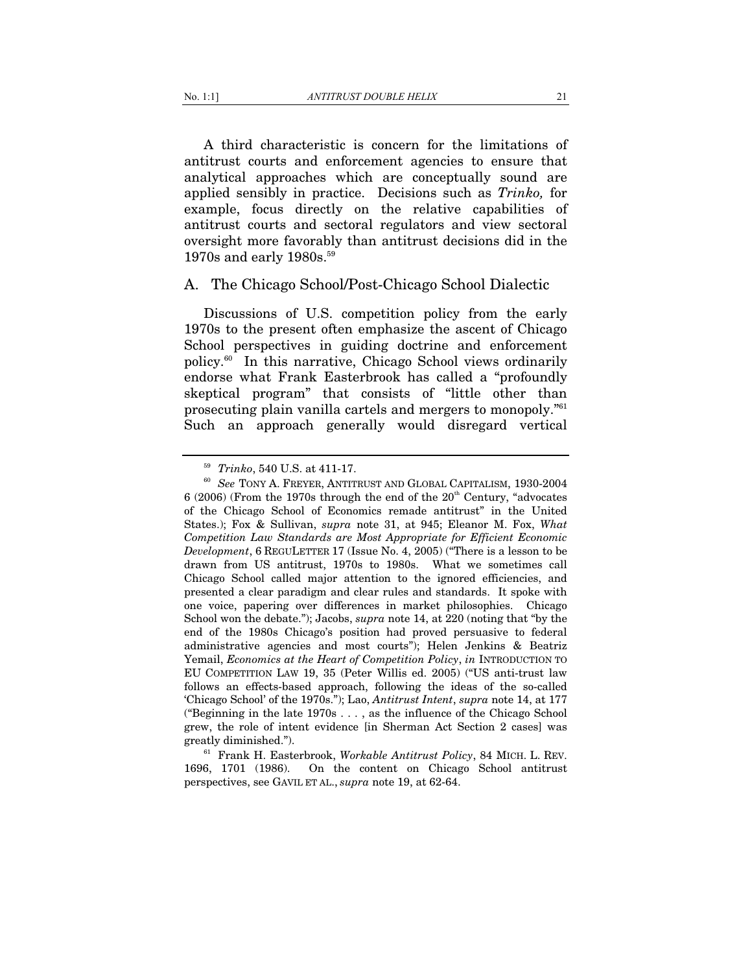A third characteristic is concern for the limitations of antitrust courts and enforcement agencies to ensure that analytical approaches which are conceptually sound are applied sensibly in practice. Decisions such as *Trinko,* for example, focus directly on the relative capabilities of antitrust courts and sectoral regulators and view sectoral oversight more favorably than antitrust decisions did in the 1970s and early 1980s.<sup>59</sup>

### A. The Chicago School/Post-Chicago School Dialectic

Discussions of U.S. competition policy from the early 1970s to the present often emphasize the ascent of Chicago School perspectives in guiding doctrine and enforcement policy.60 In this narrative, Chicago School views ordinarily endorse what Frank Easterbrook has called a "profoundly skeptical program" that consists of "little other than prosecuting plain vanilla cartels and mergers to monopoly."61 Such an approach generally would disregard vertical

<sup>61</sup> Frank H. Easterbrook, *Workable Antitrust Policy*, 84 MICH. L. REV. 1696, 1701 (1986). On the content on Chicago School antitrust perspectives, see GAVIL ET AL., *supra* note 19, at 62-64.

<sup>&</sup>lt;sup>59</sup> *Trinko*, 540 U.S. at 411-17.<br><sup>60</sup> *See* TONY A. FREYER, ANTITRUST AND GLOBAL CAPITALISM, 1930-2004 6 (2006) (From the 1970s through the end of the  $20<sup>th</sup>$  Century, "advocates of the Chicago School of Economics remade antitrust" in the United States.); Fox & Sullivan, *supra* note 31, at 945; Eleanor M. Fox, *What Competition Law Standards are Most Appropriate for Efficient Economic Development*, 6 REGULETTER 17 (Issue No. 4, 2005) ("There is a lesson to be drawn from US antitrust, 1970s to 1980s. What we sometimes call Chicago School called major attention to the ignored efficiencies, and presented a clear paradigm and clear rules and standards. It spoke with one voice, papering over differences in market philosophies. Chicago School won the debate."); Jacobs, *supra* note 14, at 220 (noting that "by the end of the 1980s Chicago's position had proved persuasive to federal administrative agencies and most courts"); Helen Jenkins & Beatriz Yemail, *Economics at the Heart of Competition Policy*, *in* INTRODUCTION TO EU COMPETITION LAW 19, 35 (Peter Willis ed. 2005) ("US anti-trust law follows an effects-based approach, following the ideas of the so-called 'Chicago School' of the 1970s."); Lao, *Antitrust Intent*, *supra* note 14, at 177 ("Beginning in the late 1970s . . . , as the influence of the Chicago School grew, the role of intent evidence [in Sherman Act Section 2 cases] was greatly diminished.").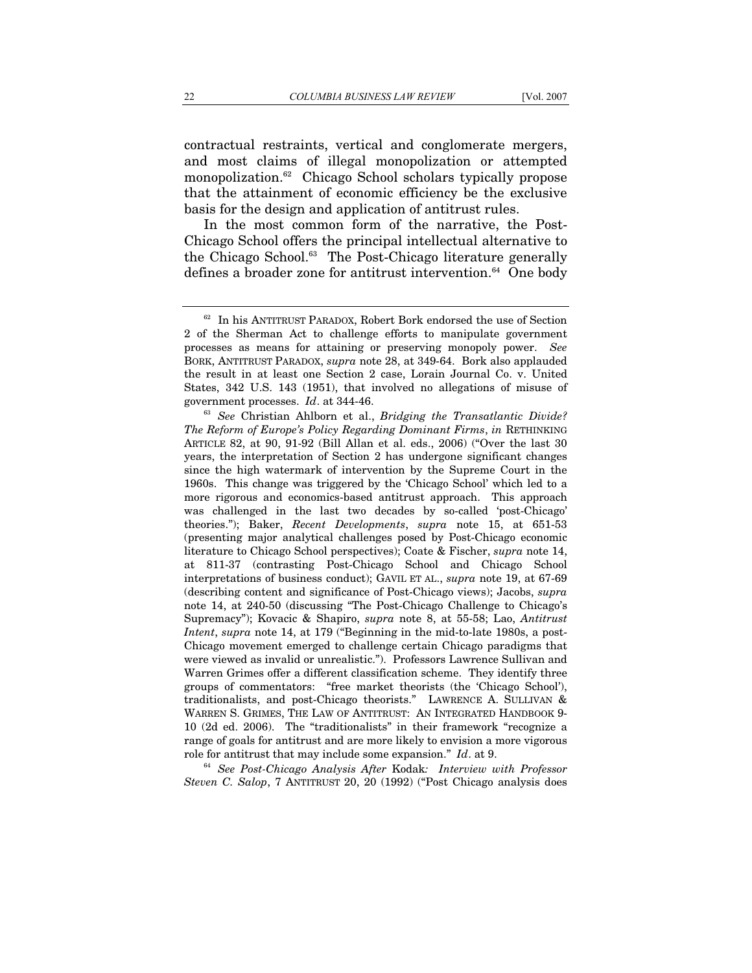contractual restraints, vertical and conglomerate mergers, and most claims of illegal monopolization or attempted monopolization.62 Chicago School scholars typically propose that the attainment of economic efficiency be the exclusive basis for the design and application of antitrust rules.

In the most common form of the narrative, the Post-Chicago School offers the principal intellectual alternative to the Chicago School.<sup>63</sup> The Post-Chicago literature generally defines a broader zone for antitrust intervention.<sup>64</sup> One body

*Steven C. Salop*, 7 ANTITRUST 20, 20 (1992) ("Post Chicago analysis does

<sup>62</sup> In his ANTITRUST PARADOX, Robert Bork endorsed the use of Section 2 of the Sherman Act to challenge efforts to manipulate government processes as means for attaining or preserving monopoly power. *See* BORK, ANTITRUST PARADOX, *supra* note 28, at 349-64. Bork also applauded the result in at least one Section 2 case, Lorain Journal Co. v. United States, 342 U.S. 143 (1951), that involved no allegations of misuse of

government processes. *Id.* at 344-46.<br><sup>63</sup> *See* Christian Ahlborn et al., *Bridging the Transatlantic Divide? The Reform of Europe's Policy Regarding Dominant Firms*, *in* RETHINKING ARTICLE 82, at 90, 91-92 (Bill Allan et al. eds., 2006) ("Over the last 30 years, the interpretation of Section 2 has undergone significant changes since the high watermark of intervention by the Supreme Court in the 1960s. This change was triggered by the 'Chicago School' which led to a more rigorous and economics-based antitrust approach. This approach was challenged in the last two decades by so-called 'post-Chicago' theories."); Baker, *Recent Developments*, *supra* note 15, at 651-53 (presenting major analytical challenges posed by Post-Chicago economic literature to Chicago School perspectives); Coate & Fischer, *supra* note 14, at 811-37 (contrasting Post-Chicago School and Chicago School interpretations of business conduct); GAVIL ET AL., *supra* note 19, at 67-69 (describing content and significance of Post-Chicago views); Jacobs, *supra* note 14, at 240-50 (discussing "The Post-Chicago Challenge to Chicago's Supremacy"); Kovacic & Shapiro, *supra* note 8, at 55-58; Lao, *Antitrust Intent*, *supra* note 14, at 179 ("Beginning in the mid-to-late 1980s, a post-Chicago movement emerged to challenge certain Chicago paradigms that were viewed as invalid or unrealistic."). Professors Lawrence Sullivan and Warren Grimes offer a different classification scheme. They identify three groups of commentators: "free market theorists (the 'Chicago School'), traditionalists, and post-Chicago theorists." LAWRENCE A. SULLIVAN & WARREN S. GRIMES, THE LAW OF ANTITRUST: AN INTEGRATED HANDBOOK 9- 10 (2d ed. 2006). The "traditionalists" in their framework "recognize a range of goals for antitrust and are more likely to envision a more vigorous role for antitrust that may include some expansion." *Id*. at 9. 64 *See Post-Chicago Analysis After* Kodak*: Interview with Professor*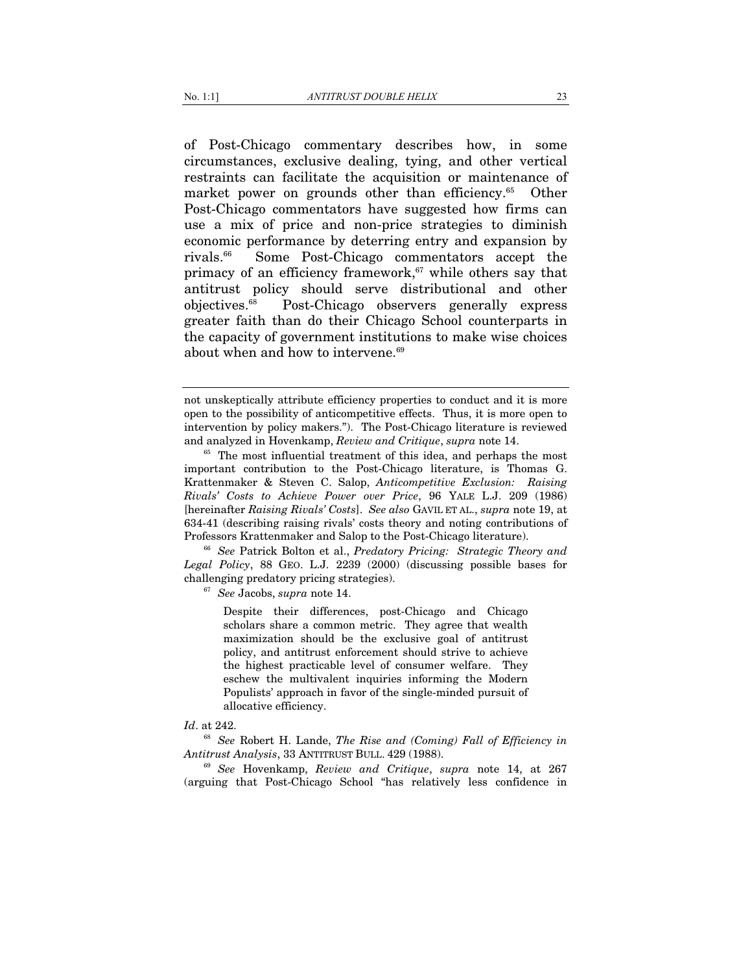of Post-Chicago commentary describes how, in some circumstances, exclusive dealing, tying, and other vertical restraints can facilitate the acquisition or maintenance of market power on grounds other than efficiency.<sup>65</sup> Other Post-Chicago commentators have suggested how firms can use a mix of price and non-price strategies to diminish economic performance by deterring entry and expansion by rivals.66 Some Post-Chicago commentators accept the primacy of an efficiency framework,<sup>67</sup> while others say that antitrust policy should serve distributional and other objectives.68 Post-Chicago observers generally express greater faith than do their Chicago School counterparts in the capacity of government institutions to make wise choices about when and how to intervene.<sup>69</sup>

*Legal Policy*, 88 GEO. L.J. 2239 (2000) (discussing possible bases for challenging predatory pricing strategies). 67 *See* Jacobs, *supra* note 14.

Despite their differences, post-Chicago and Chicago scholars share a common metric. They agree that wealth maximization should be the exclusive goal of antitrust policy, and antitrust enforcement should strive to achieve the highest practicable level of consumer welfare. They eschew the multivalent inquiries informing the Modern Populists' approach in favor of the single-minded pursuit of allocative efficiency.

#### *Id*. at 242.

 $^{68}$  *See* Robert H. Lande, *The Rise and (Coming) Fall of Efficiency in Antitrust Analysis, 33 ANTITRUST BULL 429 (1988).* 

<sup>69</sup> See Hovenkamp, *Review and Critique*, *supra* note 14, at 267 (arguing that Post-Chicago School "has relatively less confidence in

not unskeptically attribute efficiency properties to conduct and it is more open to the possibility of anticompetitive effects. Thus, it is more open to intervention by policy makers."). The Post-Chicago literature is reviewed and analyzed in Hovenkamp, *Review and Critique*, *supra* note 14.<br><sup>65</sup> The most influential treatment of this idea, and perhaps the most

important contribution to the Post-Chicago literature, is Thomas G. Krattenmaker & Steven C. Salop, *Anticompetitive Exclusion: Raising Rivals' Costs to Achieve Power over Price*, 96 YALE L.J. 209 (1986) [hereinafter *Raising Rivals' Costs*]. *See also* GAVIL ET AL., *supra* note 19, at 634-41 (describing raising rivals' costs theory and noting contributions of Professors Krattenmaker and Salop to the Post-Chicago literature). 66 *See* Patrick Bolton et al., *Predatory Pricing: Strategic Theory and*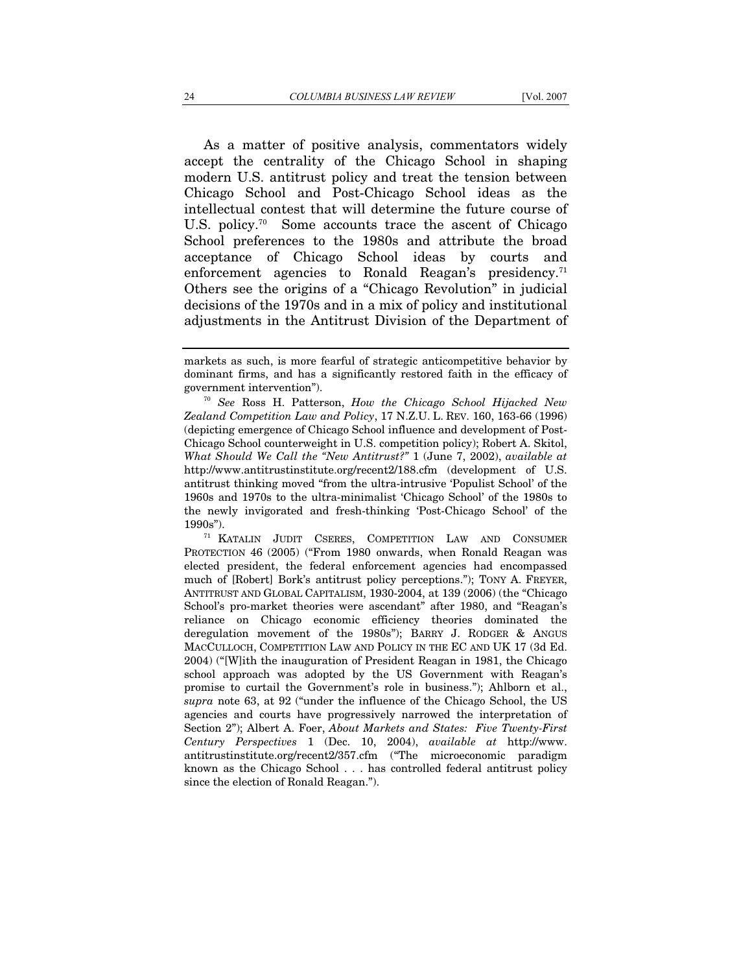As a matter of positive analysis, commentators widely accept the centrality of the Chicago School in shaping modern U.S. antitrust policy and treat the tension between Chicago School and Post-Chicago School ideas as the intellectual contest that will determine the future course of U.S. policy.<sup>70</sup> Some accounts trace the ascent of Chicago School preferences to the 1980s and attribute the broad acceptance of Chicago School ideas by courts and enforcement agencies to Ronald Reagan's presidency.<sup>71</sup> Others see the origins of a "Chicago Revolution" in judicial decisions of the 1970s and in a mix of policy and institutional adjustments in the Antitrust Division of the Department of

PROTECTION 46 (2005) ("From 1980 onwards, when Ronald Reagan was elected president, the federal enforcement agencies had encompassed much of [Robert] Bork's antitrust policy perceptions."); TONY A. FREYER, ANTITRUST AND GLOBAL CAPITALISM, 1930-2004, at 139 (2006) (the "Chicago School's pro-market theories were ascendant" after 1980, and "Reagan's reliance on Chicago economic efficiency theories dominated the deregulation movement of the 1980s"); BARRY J. RODGER & ANGUS MACCULLOCH, COMPETITION LAW AND POLICY IN THE EC AND UK 17 (3d Ed. 2004) ("[W]ith the inauguration of President Reagan in 1981, the Chicago school approach was adopted by the US Government with Reagan's promise to curtail the Government's role in business."); Ahlborn et al., *supra* note 63, at 92 ("under the influence of the Chicago School, the US agencies and courts have progressively narrowed the interpretation of Section 2"); Albert A. Foer, *About Markets and States: Five Twenty-First Century Perspectives* 1 (Dec. 10, 2004), *available at* http://www. antitrustinstitute.org/recent2/357.cfm ("The microeconomic paradigm known as the Chicago School . . . has controlled federal antitrust policy since the election of Ronald Reagan.").

markets as such, is more fearful of strategic anticompetitive behavior by dominant firms, and has a significantly restored faith in the efficacy of government intervention"). 70 *See* Ross H. Patterson, *How the Chicago School Hijacked New* 

*Zealand Competition Law and Policy*, 17 N.Z.U. L. REV. 160, 163-66 (1996) (depicting emergence of Chicago School influence and development of Post-Chicago School counterweight in U.S. competition policy); Robert A. Skitol, *What Should We Call the "New Antitrust?"* 1 (June 7, 2002), *available at*  http://www.antitrustinstitute.org/recent2/188.cfm (development of U.S. antitrust thinking moved "from the ultra-intrusive 'Populist School' of the 1960s and 1970s to the ultra-minimalist 'Chicago School' of the 1980s to the newly invigorated and fresh-thinking 'Post-Chicago School' of the 1990s").  $1990$ s").  $1990$ s").  $1990$ s").  $1990$ s").  $1990$ s  $1990$ s  $1990$ s  $1990$ s  $1990$ s  $1990$ s  $1990$ s  $1990$ s  $1990$ s  $1990$ s  $1990$ s  $1990$ s  $1990$ s  $1990$ s  $1990$ s  $1990$ s  $1990$ s  $1990$ s  $1990$ s  $1990$ s  $1990$ s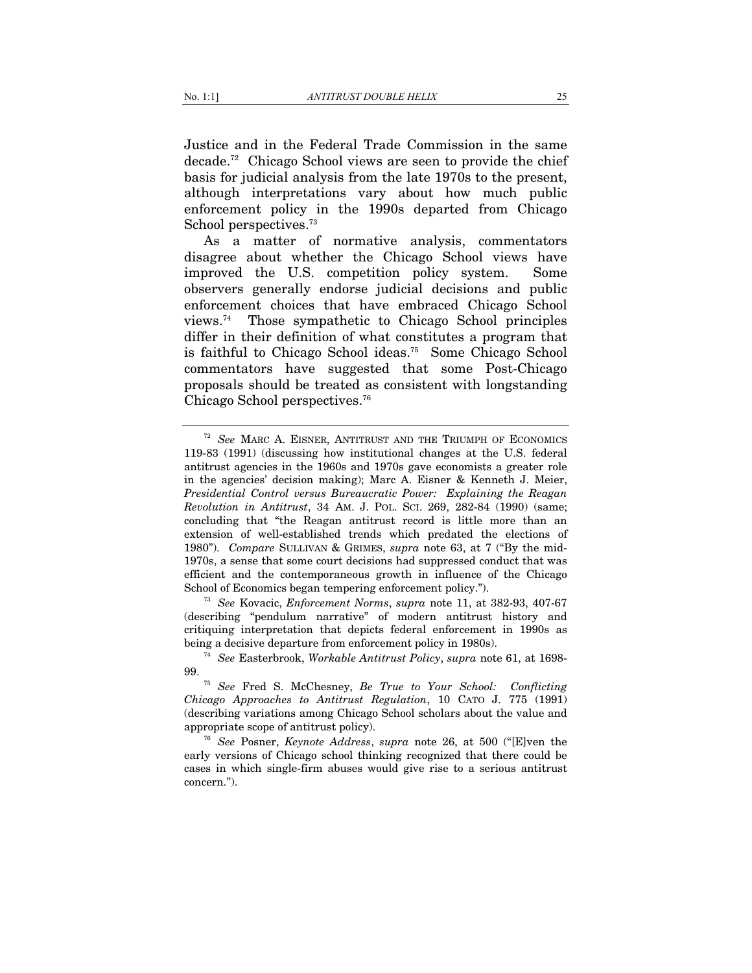Justice and in the Federal Trade Commission in the same decade.72 Chicago School views are seen to provide the chief basis for judicial analysis from the late 1970s to the present, although interpretations vary about how much public enforcement policy in the 1990s departed from Chicago School perspectives.<sup>73</sup>

As a matter of normative analysis, commentators disagree about whether the Chicago School views have improved the U.S. competition policy system. Some observers generally endorse judicial decisions and public enforcement choices that have embraced Chicago School views.74 Those sympathetic to Chicago School principles differ in their definition of what constitutes a program that is faithful to Chicago School ideas.75 Some Chicago School commentators have suggested that some Post-Chicago proposals should be treated as consistent with longstanding Chicago School perspectives.<sup>76</sup>

(describing "pendulum narrative" of modern antitrust history and critiquing interpretation that depicts federal enforcement in 1990s as being a decisive departure from enforcement policy in 1980s). 74 *See* Easterbrook, *Workable Antitrust Policy*, *supra* note 61, at 1698-

<sup>72</sup> *See* MARC A. EISNER, ANTITRUST AND THE TRIUMPH OF ECONOMICS 119-83 (1991) (discussing how institutional changes at the U.S. federal antitrust agencies in the 1960s and 1970s gave economists a greater role in the agencies' decision making); Marc A. Eisner & Kenneth J. Meier, *Presidential Control versus Bureaucratic Power: Explaining the Reagan Revolution in Antitrust*, 34 AM. J. POL. SCI. 269, 282-84 (1990) (same; concluding that "the Reagan antitrust record is little more than an extension of well-established trends which predated the elections of 1980"). *Compare* SULLIVAN & GRIMES, *supra* note 63, at 7 ("By the mid-1970s, a sense that some court decisions had suppressed conduct that was efficient and the contemporaneous growth in influence of the Chicago School of Economics began tempering enforcement policy."). 73 *See* Kovacic, *Enforcement Norms*, *supra* note 11, at 382-93, 407-67

<sup>99. 75</sup> *See* Fred S. McChesney, *Be True to Your School: Conflicting* 

*Chicago Approaches to Antitrust Regulation*, 10 CATO J. 775 (1991) (describing variations among Chicago School scholars about the value and appropriate scope of antitrust policy). 76 *See* Posner, *Keynote Address*, *supra* note 26, at 500 ("[E]ven the

early versions of Chicago school thinking recognized that there could be cases in which single-firm abuses would give rise to a serious antitrust concern.").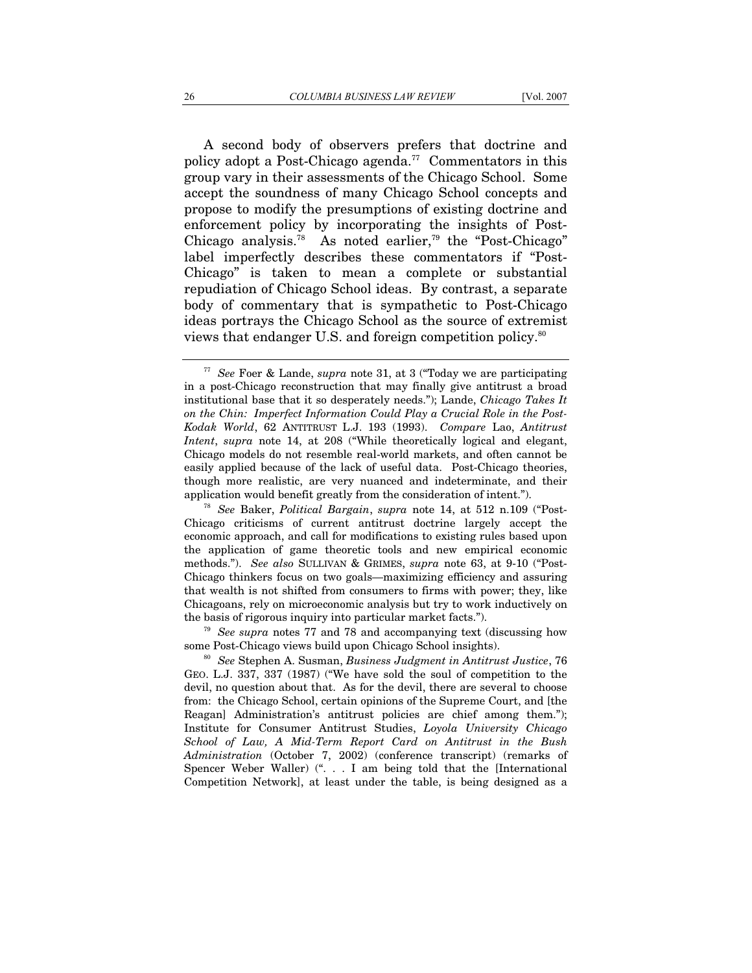A second body of observers prefers that doctrine and policy adopt a Post-Chicago agenda.<sup>77</sup> Commentators in this group vary in their assessments of the Chicago School. Some accept the soundness of many Chicago School concepts and propose to modify the presumptions of existing doctrine and enforcement policy by incorporating the insights of Post-Chicago analysis.<sup>78</sup> As noted earlier,<sup>79</sup> the "Post-Chicago" label imperfectly describes these commentators if "Post-Chicago" is taken to mean a complete or substantial repudiation of Chicago School ideas. By contrast, a separate body of commentary that is sympathetic to Post-Chicago ideas portrays the Chicago School as the source of extremist views that endanger U.S. and foreign competition policy.80

<sup>78</sup> See Baker, *Political Bargain*, *supra* note 14, at 512 n.109 ("Post-Chicago criticisms of current antitrust doctrine largely accept the economic approach, and call for modifications to existing rules based upon the application of game theoretic tools and new empirical economic methods."). *See also* SULLIVAN & GRIMES, *supra* note 63, at 9-10 ("Post-Chicago thinkers focus on two goals—maximizing efficiency and assuring that wealth is not shifted from consumers to firms with power; they, like Chicagoans, rely on microeconomic analysis but try to work inductively on

the basis of rigorous inquiry into particular market facts.").<br><sup>79</sup> *See supra* notes 77 and 78 and accompanying text (discussing how some Post-Chicago views build upon Chicago School insights).

<sup>80</sup> See Stephen A. Susman, *Business Judgment in Antitrust Justice*, 76 GEO. L.J. 337, 337 (1987) ("We have sold the soul of competition to the devil, no question about that. As for the devil, there are several to choose from: the Chicago School, certain opinions of the Supreme Court, and [the Reagan] Administration's antitrust policies are chief among them."); Institute for Consumer Antitrust Studies, *Loyola University Chicago School of Law, A Mid-Term Report Card on Antitrust in the Bush Administration* (October 7, 2002) (conference transcript) (remarks of Spencer Weber Waller) (". . . I am being told that the [International Competition Network], at least under the table, is being designed as a

<sup>77</sup> *See* Foer & Lande, *supra* note 31, at 3 ("Today we are participating in a post-Chicago reconstruction that may finally give antitrust a broad institutional base that it so desperately needs."); Lande, *Chicago Takes It on the Chin: Imperfect Information Could Play a Crucial Role in the Post-Kodak World*, 62 ANTITRUST L.J. 193 (1993). *Compare* Lao, *Antitrust Intent*, *supra* note 14, at 208 ("While theoretically logical and elegant, Chicago models do not resemble real-world markets, and often cannot be easily applied because of the lack of useful data. Post-Chicago theories, though more realistic, are very nuanced and indeterminate, and their application would benefit greatly from the consideration of intent.").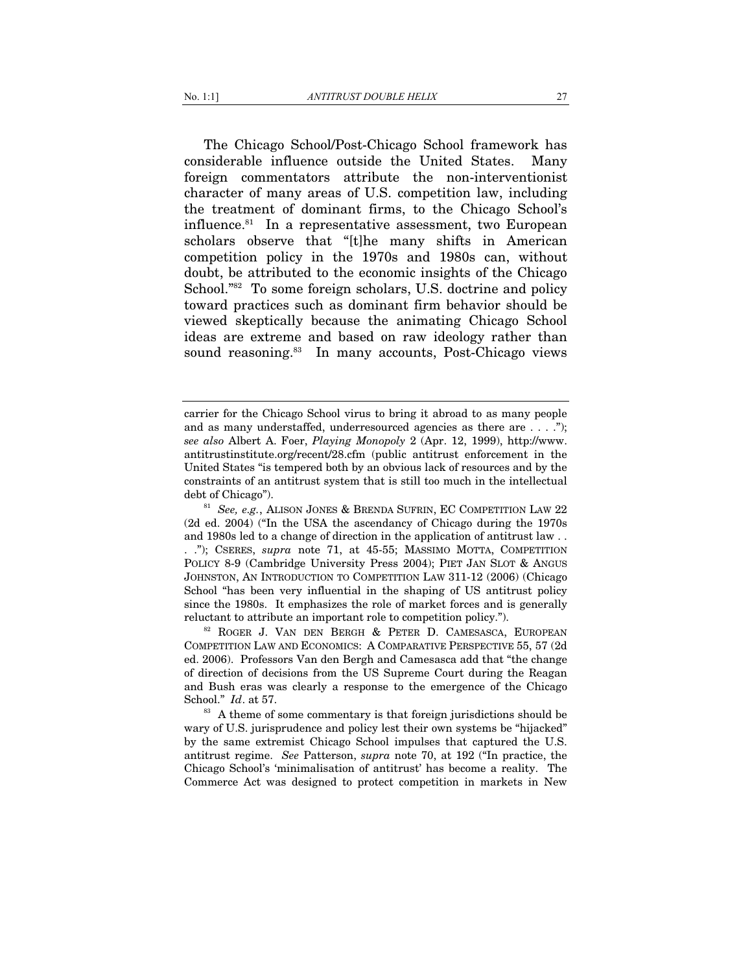The Chicago School/Post-Chicago School framework has considerable influence outside the United States. Many foreign commentators attribute the non-interventionist character of many areas of U.S. competition law, including the treatment of dominant firms, to the Chicago School's influence.81 In a representative assessment, two European scholars observe that "[t]he many shifts in American competition policy in the 1970s and 1980s can, without doubt, be attributed to the economic insights of the Chicago School.<sup>"82</sup> To some foreign scholars, U.S. doctrine and policy toward practices such as dominant firm behavior should be viewed skeptically because the animating Chicago School ideas are extreme and based on raw ideology rather than sound reasoning.<sup>83</sup> In many accounts, Post-Chicago views

carrier for the Chicago School virus to bring it abroad to as many people and as many understaffed, underresourced agencies as there are . . . ."); *see also* Albert A. Foer, *Playing Monopoly* 2 (Apr. 12, 1999), http://www. antitrustinstitute.org/recent/28.cfm (public antitrust enforcement in the United States "is tempered both by an obvious lack of resources and by the constraints of an antitrust system that is still too much in the intellectual debt of Chicago").<br><sup>81</sup> *See, e.g.*, ALISON JONES & BRENDA SUFRIN, EC COMPETITION LAW 22

<sup>(2</sup>d ed. 2004) ("In the USA the ascendancy of Chicago during the 1970s and 1980s led to a change of direction in the application of antitrust law . . . ."); CSERES, *supra* note 71, at 45-55; MASSIMO MOTTA, COMPETITION POLICY 8-9 (Cambridge University Press 2004); PIET JAN SLOT & ANGUS JOHNSTON, AN INTRODUCTION TO COMPETITION LAW 311-12 (2006) (Chicago School "has been very influential in the shaping of US antitrust policy since the 1980s. It emphasizes the role of market forces and is generally reluctant to attribute an important role to competition policy.").<br><sup>82</sup> ROGER J. VAN DEN BERGH & PETER D. CAMESASCA, EUROPEAN

COMPETITION LAW AND ECONOMICS: A COMPARATIVE PERSPECTIVE 55, 57 (2d ed. 2006). Professors Van den Bergh and Camesasca add that "the change of direction of decisions from the US Supreme Court during the Reagan and Bush eras was clearly a response to the emergence of the Chicago

School." *Id*. at 57.  $\frac{83}{100}$  A theme of some commentary is that foreign jurisdictions should be wary of U.S. jurisprudence and policy lest their own systems be "hijacked" by the same extremist Chicago School impulses that captured the U.S. antitrust regime. *See* Patterson, *supra* note 70, at 192 ("In practice, the Chicago School's 'minimalisation of antitrust' has become a reality. The Commerce Act was designed to protect competition in markets in New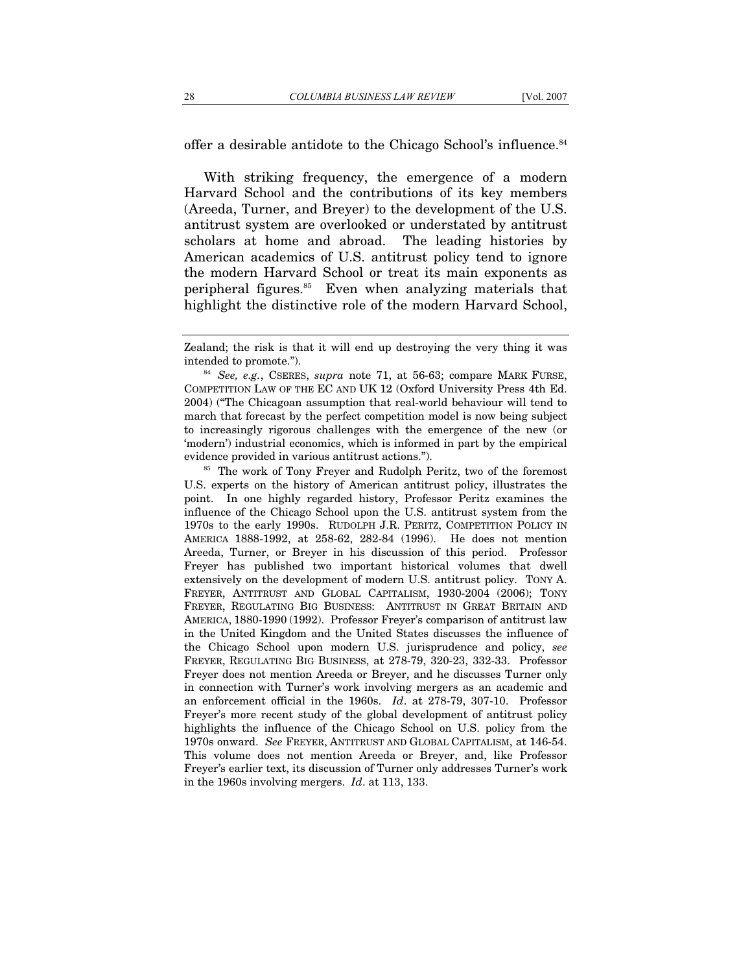offer a desirable antidote to the Chicago School's influence.<sup>84</sup>

With striking frequency, the emergence of a modern Harvard School and the contributions of its key members (Areeda, Turner, and Breyer) to the development of the U.S. antitrust system are overlooked or understated by antitrust scholars at home and abroad. The leading histories by American academics of U.S. antitrust policy tend to ignore the modern Harvard School or treat its main exponents as peripheral figures.85 Even when analyzing materials that highlight the distinctive role of the modern Harvard School,

U.S. experts on the history of American antitrust policy, illustrates the point. In one highly regarded history, Professor Peritz examines the influence of the Chicago School upon the U.S. antitrust system from the 1970s to the early 1990s. RUDOLPH J.R. PERITZ, COMPETITION POLICY IN AMERICA 1888-1992, at 258-62, 282-84 (1996). He does not mention Areeda, Turner, or Breyer in his discussion of this period. Professor Freyer has published two important historical volumes that dwell extensively on the development of modern U.S. antitrust policy. TONY A. FREYER, ANTITRUST AND GLOBAL CAPITALISM, 1930-2004 (2006); TONY FREYER, REGULATING BIG BUSINESS: ANTITRUST IN GREAT BRITAIN AND AMERICA, 1880-1990 (1992). Professor Freyer's comparison of antitrust law in the United Kingdom and the United States discusses the influence of the Chicago School upon modern U.S. jurisprudence and policy, *see* FREYER, REGULATING BIG BUSINESS, at 278-79, 320-23, 332-33. Professor Freyer does not mention Areeda or Breyer, and he discusses Turner only in connection with Turner's work involving mergers as an academic and an enforcement official in the 1960s. *Id*. at 278-79, 307-10. Professor Freyer's more recent study of the global development of antitrust policy highlights the influence of the Chicago School on U.S. policy from the 1970s onward. *See* FREYER, ANTITRUST AND GLOBAL CAPITALISM, at 146-54. This volume does not mention Areeda or Breyer, and, like Professor Freyer's earlier text, its discussion of Turner only addresses Turner's work in the 1960s involving mergers. *Id*. at 113, 133.

Zealand; the risk is that it will end up destroying the very thing it was intended to promote."). <sup>84</sup> *See, e.g.*, CSERES, *supra* note 71, at 56-63; compare MARK FURSE,

COMPETITION LAW OF THE EC AND UK 12 (Oxford University Press 4th Ed. 2004) ("The Chicagoan assumption that real-world behaviour will tend to march that forecast by the perfect competition model is now being subject to increasingly rigorous challenges with the emergence of the new (or 'modern') industrial economics, which is informed in part by the empirical evidence provided in various antitrust actions."). 85 The work of Tony Freyer and Rudolph Peritz, two of the foremost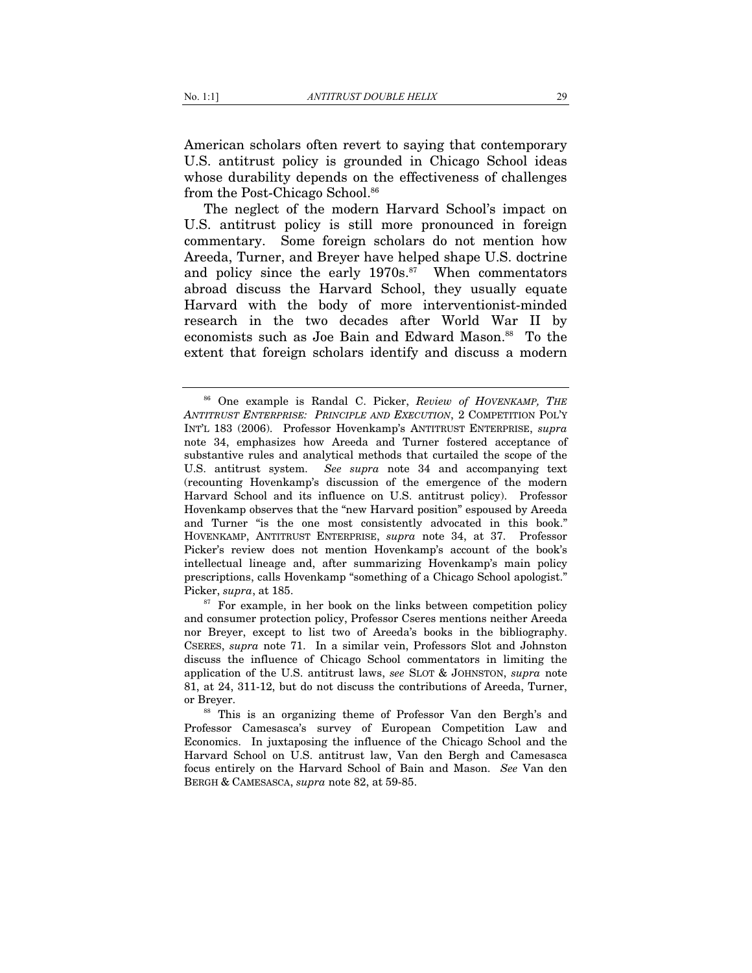American scholars often revert to saying that contemporary U.S. antitrust policy is grounded in Chicago School ideas whose durability depends on the effectiveness of challenges from the Post-Chicago School.<sup>86</sup>

The neglect of the modern Harvard School's impact on U.S. antitrust policy is still more pronounced in foreign commentary. Some foreign scholars do not mention how Areeda, Turner, and Breyer have helped shape U.S. doctrine and policy since the early  $1970s.^{87}$  When commentators abroad discuss the Harvard School, they usually equate Harvard with the body of more interventionist-minded research in the two decades after World War II by economists such as Joe Bain and Edward Mason.<sup>88</sup> To the extent that foreign scholars identify and discuss a modern

<sup>87</sup> For example, in her book on the links between competition policy and consumer protection policy, Professor Cseres mentions neither Areeda nor Breyer, except to list two of Areeda's books in the bibliography. CSERES, *supra* note 71. In a similar vein, Professors Slot and Johnston discuss the influence of Chicago School commentators in limiting the application of the U.S. antitrust laws, *see* SLOT & JOHNSTON, *supra* note 81, at 24, 311-12, but do not discuss the contributions of Areeda, Turner, or Breyer. 88 This is an organizing theme of Professor Van den Bergh's and

Professor Camesasca's survey of European Competition Law and Economics. In juxtaposing the influence of the Chicago School and the Harvard School on U.S. antitrust law, Van den Bergh and Camesasca focus entirely on the Harvard School of Bain and Mason. *See* Van den BERGH & CAMESASCA, *supra* note 82, at 59-85.

<sup>86</sup> One example is Randal C. Picker, *Review of HOVENKAMP, THE ANTITRUST ENTERPRISE: PRINCIPLE AND EXECUTION*, 2 COMPETITION POL'Y INT'L 183 (2006). Professor Hovenkamp's ANTITRUST ENTERPRISE, *supra* note 34, emphasizes how Areeda and Turner fostered acceptance of substantive rules and analytical methods that curtailed the scope of the U.S. antitrust system. *See supra* note 34 and accompanying text (recounting Hovenkamp's discussion of the emergence of the modern Harvard School and its influence on U.S. antitrust policy). Professor Hovenkamp observes that the "new Harvard position" espoused by Areeda and Turner "is the one most consistently advocated in this book." HOVENKAMP, ANTITRUST ENTERPRISE, *supra* note 34, at 37. Professor Picker's review does not mention Hovenkamp's account of the book's intellectual lineage and, after summarizing Hovenkamp's main policy prescriptions, calls Hovenkamp "something of a Chicago School apologist."<br>Picker, supra, at 185.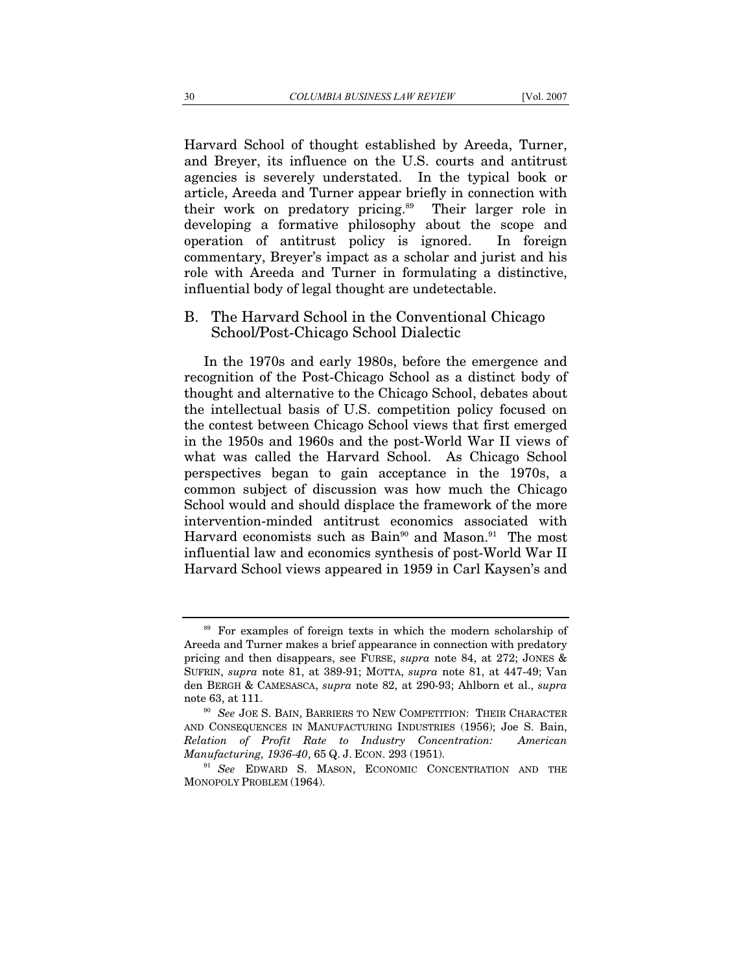Harvard School of thought established by Areeda, Turner, and Breyer, its influence on the U.S. courts and antitrust agencies is severely understated. In the typical book or article, Areeda and Turner appear briefly in connection with their work on predatory pricing.<sup>89</sup> Their larger role in developing a formative philosophy about the scope and operation of antitrust policy is ignored. In foreign commentary, Breyer's impact as a scholar and jurist and his role with Areeda and Turner in formulating a distinctive, influential body of legal thought are undetectable.

# B. The Harvard School in the Conventional Chicago School/Post-Chicago School Dialectic

In the 1970s and early 1980s, before the emergence and recognition of the Post-Chicago School as a distinct body of thought and alternative to the Chicago School, debates about the intellectual basis of U.S. competition policy focused on the contest between Chicago School views that first emerged in the 1950s and 1960s and the post-World War II views of what was called the Harvard School. As Chicago School perspectives began to gain acceptance in the 1970s, a common subject of discussion was how much the Chicago School would and should displace the framework of the more intervention-minded antitrust economics associated with Harvard economists such as Bain<sup>90</sup> and Mason.<sup>91</sup> The most influential law and economics synthesis of post-World War II Harvard School views appeared in 1959 in Carl Kaysen's and

<sup>&</sup>lt;sup>89</sup> For examples of foreign texts in which the modern scholarship of Areeda and Turner makes a brief appearance in connection with predatory pricing and then disappears, see FURSE, *supra* note 84, at 272; JONES & SUFRIN, *supra* note 81, at 389-91; MOTTA, *supra* note 81, at 447-49; Van den BERGH & CAMESASCA, *supra* note 82, at 290-93; Ahlborn et al., *supra*

note 63, at 111. <sup>90</sup> *See* JOE S. BAIN, BARRIERS TO NEW COMPETITION: THEIR CHARACTER AND CONSEQUENCES IN MANUFACTURING INDUSTRIES (1956); Joe S. Bain, *Relation of Profit Rate to Industry Concentration: American Manufacturing, 1936-40, 65 Q. J. ECON. 293 (1951).* <sup>91</sup> *See* EDWARD S. MASON, ECONOMIC CONCENTRATION AND THE

MONOPOLY PROBLEM (1964).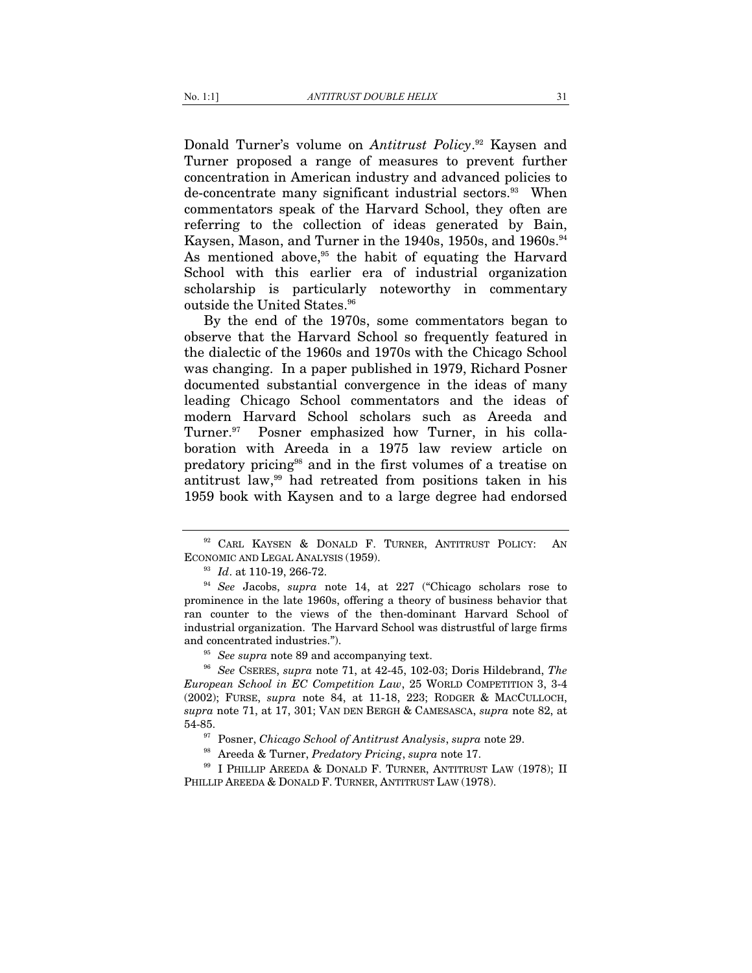Donald Turner's volume on *Antitrust Policy*. 92 Kaysen and Turner proposed a range of measures to prevent further concentration in American industry and advanced policies to de-concentrate many significant industrial sectors.<sup>93</sup> When commentators speak of the Harvard School, they often are referring to the collection of ideas generated by Bain, Kaysen, Mason, and Turner in the 1940s, 1950s, and 1960s.<sup>94</sup> As mentioned above, $95$  the habit of equating the Harvard School with this earlier era of industrial organization scholarship is particularly noteworthy in commentary outside the United States.<sup>96</sup>

By the end of the 1970s, some commentators began to observe that the Harvard School so frequently featured in the dialectic of the 1960s and 1970s with the Chicago School was changing. In a paper published in 1979, Richard Posner documented substantial convergence in the ideas of many leading Chicago School commentators and the ideas of modern Harvard School scholars such as Areeda and Turner.<sup>97</sup> Posner emphasized how Turner, in his collaboration with Areeda in a 1975 law review article on predatory pricing98 and in the first volumes of a treatise on antitrust law,99 had retreated from positions taken in his 1959 book with Kaysen and to a large degree had endorsed

<sup>&</sup>lt;sup>92</sup> CARL KAYSEN & DONALD F. TURNER, ANTITRUST POLICY: AN ECONOMIC AND LEGAL ANALYSIS (1959).<br><sup>93</sup> *Id.* at 110-19, 266-72.<br><sup>94</sup> *See* Jacobs, *supra* note 14, at 227 ("Chicago scholars rose to

prominence in the late 1960s, offering a theory of business behavior that ran counter to the views of the then-dominant Harvard School of industrial organization. The Harvard School was distrustful of large firms and concentrated industries.").<br><sup>95</sup> *See supra* note 89 and accompanying text.<br><sup>96</sup> *See* CSERES, *supra* note 71, at 42-45, 102-03; Doris Hildebrand, *The* 

*European School in EC Competition Law*, 25 WORLD COMPETITION 3, 3-4 (2002); FURSE, *supra* note 84, at 11-18, 223; RODGER & MACCULLOCH, *supra* note 71, at 17, 301; VAN DEN BERGH & CAMESASCA, *supra* note 82, at <sup>97</sup> Posner, *Chicago School of Antitrust Analysis*, *supra* note 29.<br><sup>98</sup> Areeda & Turner, *Predatory Pricing*, *supra* note 17.<br><sup>99</sup> I PHILLIP AREEDA & DONALD F. TURNER, ANTITRUST LAW (1978); II

PHILLIP AREEDA & DONALD F. TURNER, ANTITRUST LAW (1978).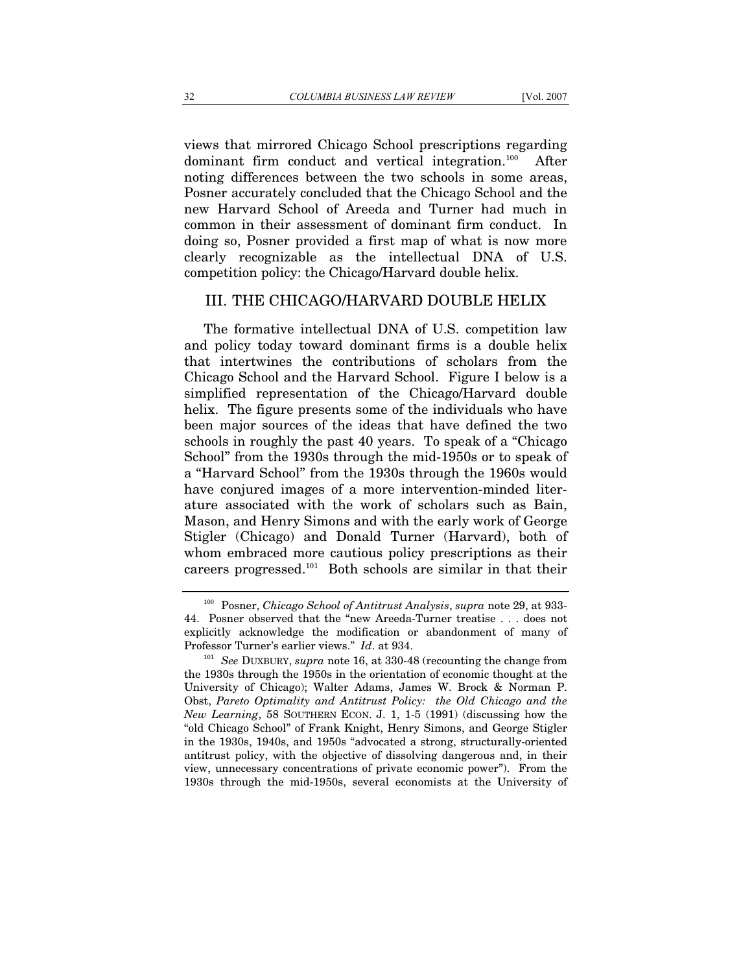views that mirrored Chicago School prescriptions regarding dominant firm conduct and vertical integration.<sup>100</sup> After noting differences between the two schools in some areas, Posner accurately concluded that the Chicago School and the new Harvard School of Areeda and Turner had much in common in their assessment of dominant firm conduct. In doing so, Posner provided a first map of what is now more clearly recognizable as the intellectual DNA of U.S. competition policy: the Chicago/Harvard double helix.

### III. THE CHICAGO/HARVARD DOUBLE HELIX

The formative intellectual DNA of U.S. competition law and policy today toward dominant firms is a double helix that intertwines the contributions of scholars from the Chicago School and the Harvard School. Figure I below is a simplified representation of the Chicago/Harvard double helix. The figure presents some of the individuals who have been major sources of the ideas that have defined the two schools in roughly the past 40 years. To speak of a "Chicago School" from the 1930s through the mid-1950s or to speak of a "Harvard School" from the 1930s through the 1960s would have conjured images of a more intervention-minded literature associated with the work of scholars such as Bain, Mason, and Henry Simons and with the early work of George Stigler (Chicago) and Donald Turner (Harvard), both of whom embraced more cautious policy prescriptions as their careers progressed.101 Both schools are similar in that their

<sup>100</sup> Posner, *Chicago School of Antitrust Analysis*, *supra* note 29, at 933- 44. Posner observed that the "new Areeda-Turner treatise . . . does not explicitly acknowledge the modification or abandonment of many of Professor Turner's earlier views." *Id*. at 934. 101 *See* DUXBURY, *supra* note 16, at 330-48 (recounting the change from

the 1930s through the 1950s in the orientation of economic thought at the University of Chicago); Walter Adams, James W. Brock & Norman P. Obst, *Pareto Optimality and Antitrust Policy: the Old Chicago and the New Learning*, 58 SOUTHERN ECON. J. 1, 1-5 (1991) (discussing how the "old Chicago School" of Frank Knight, Henry Simons, and George Stigler in the 1930s, 1940s, and 1950s "advocated a strong, structurally-oriented antitrust policy, with the objective of dissolving dangerous and, in their view, unnecessary concentrations of private economic power"). From the 1930s through the mid-1950s, several economists at the University of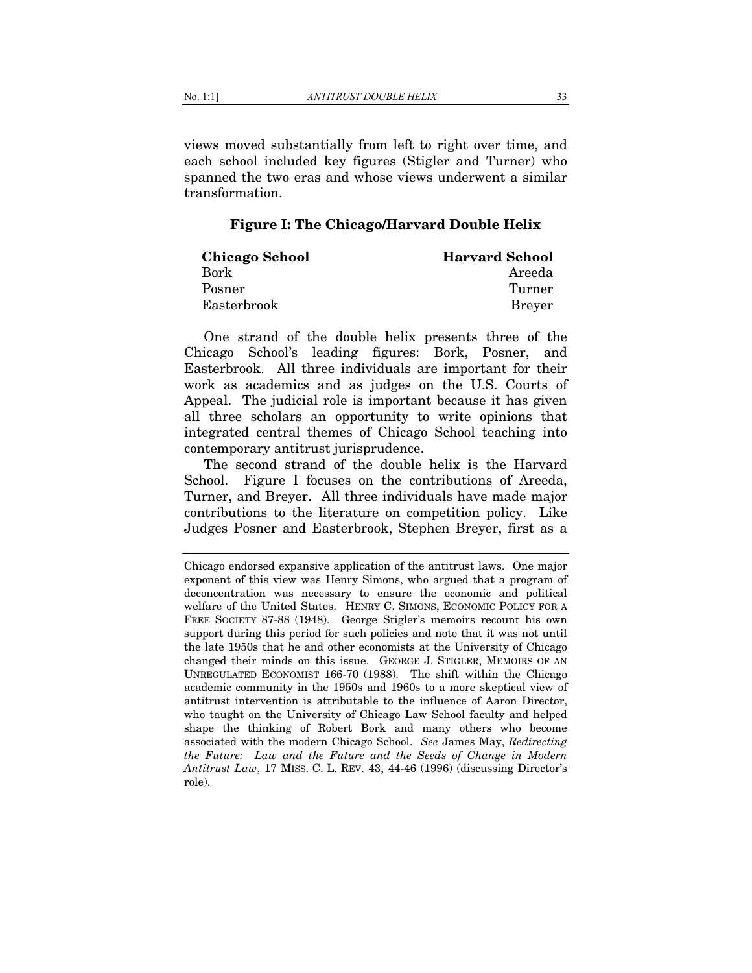views moved substantially from left to right over time, and each school included key figures (Stigler and Turner) who spanned the two eras and whose views underwent a similar transformation.

## **Figure I: The Chicago/Harvard Double Helix**

| <b>Chicago School</b> | <b>Harvard School</b> |
|-----------------------|-----------------------|
| Bork                  | Areeda                |
| Posner                | Turner                |
| Easterbrook           | <b>Brever</b>         |

One strand of the double helix presents three of the Chicago School's leading figures: Bork, Posner, and Easterbrook. All three individuals are important for their work as academics and as judges on the U.S. Courts of Appeal. The judicial role is important because it has given all three scholars an opportunity to write opinions that integrated central themes of Chicago School teaching into contemporary antitrust jurisprudence.

The second strand of the double helix is the Harvard School. Figure I focuses on the contributions of Areeda, Turner, and Breyer. All three individuals have made major contributions to the literature on competition policy. Like Judges Posner and Easterbrook, Stephen Breyer, first as a

Chicago endorsed expansive application of the antitrust laws. One major exponent of this view was Henry Simons, who argued that a program of deconcentration was necessary to ensure the economic and political welfare of the United States. HENRY C. SIMONS, ECONOMIC POLICY FOR A FREE SOCIETY 87-88 (1948). George Stigler's memoirs recount his own support during this period for such policies and note that it was not until the late 1950s that he and other economists at the University of Chicago changed their minds on this issue. GEORGE J. STIGLER, MEMOIRS OF AN UNREGULATED ECONOMIST 166-70 (1988). The shift within the Chicago academic community in the 1950s and 1960s to a more skeptical view of antitrust intervention is attributable to the influence of Aaron Director, who taught on the University of Chicago Law School faculty and helped shape the thinking of Robert Bork and many others who become associated with the modern Chicago School. *See* James May, *Redirecting the Future: Law and the Future and the Seeds of Change in Modern Antitrust Law*, 17 MISS. C. L. REV. 43, 44-46 (1996) (discussing Director's role).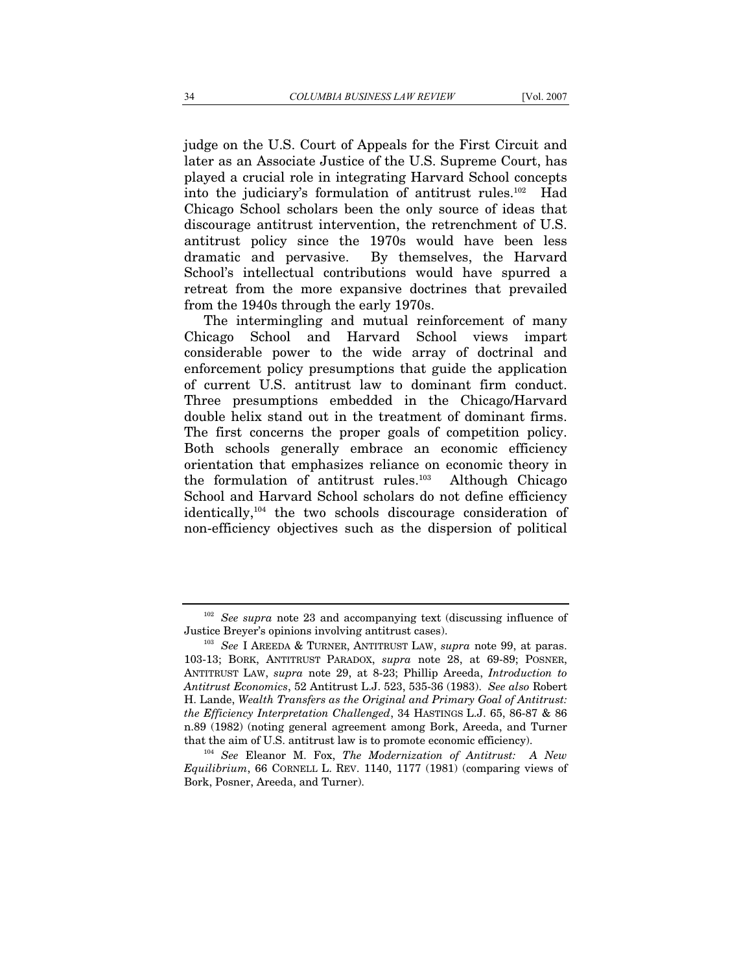judge on the U.S. Court of Appeals for the First Circuit and later as an Associate Justice of the U.S. Supreme Court, has played a crucial role in integrating Harvard School concepts into the judiciary's formulation of antitrust rules.<sup>102</sup> Had Chicago School scholars been the only source of ideas that discourage antitrust intervention, the retrenchment of U.S. antitrust policy since the 1970s would have been less dramatic and pervasive. By themselves, the Harvard School's intellectual contributions would have spurred a retreat from the more expansive doctrines that prevailed from the 1940s through the early 1970s.

The intermingling and mutual reinforcement of many Chicago School and Harvard School views impart considerable power to the wide array of doctrinal and enforcement policy presumptions that guide the application of current U.S. antitrust law to dominant firm conduct. Three presumptions embedded in the Chicago/Harvard double helix stand out in the treatment of dominant firms. The first concerns the proper goals of competition policy. Both schools generally embrace an economic efficiency orientation that emphasizes reliance on economic theory in the formulation of antitrust rules.103 Although Chicago School and Harvard School scholars do not define efficiency identically,104 the two schools discourage consideration of non-efficiency objectives such as the dispersion of political

<sup>102</sup> *See supra* note 23 and accompanying text (discussing influence of Justice Breyer's opinions involving antitrust cases). 103 *See*<sup>I</sup> AREEDA & TURNER, ANTITRUST LAW, *supra* note 99, at paras.

<sup>103-13;</sup> BORK, ANTITRUST PARADOX, *supra* note 28, at 69-89; POSNER, ANTITRUST LAW, *supra* note 29, at 8-23; Phillip Areeda, *Introduction to Antitrust Economics*, 52 Antitrust L.J. 523, 535-36 (1983). *See also* Robert H. Lande, *Wealth Transfers as the Original and Primary Goal of Antitrust: the Efficiency Interpretation Challenged*, 34 HASTINGS L.J. 65, 86-87 & 86 n.89 (1982) (noting general agreement among Bork, Areeda, and Turner that the aim of U.S. antitrust law is to promote economic efficiency). 104 *See* Eleanor M. Fox, *The Modernization of Antitrust: A New* 

*Equilibrium*, 66 CORNELL L. REV. 1140, 1177 (1981) (comparing views of Bork, Posner, Areeda, and Turner).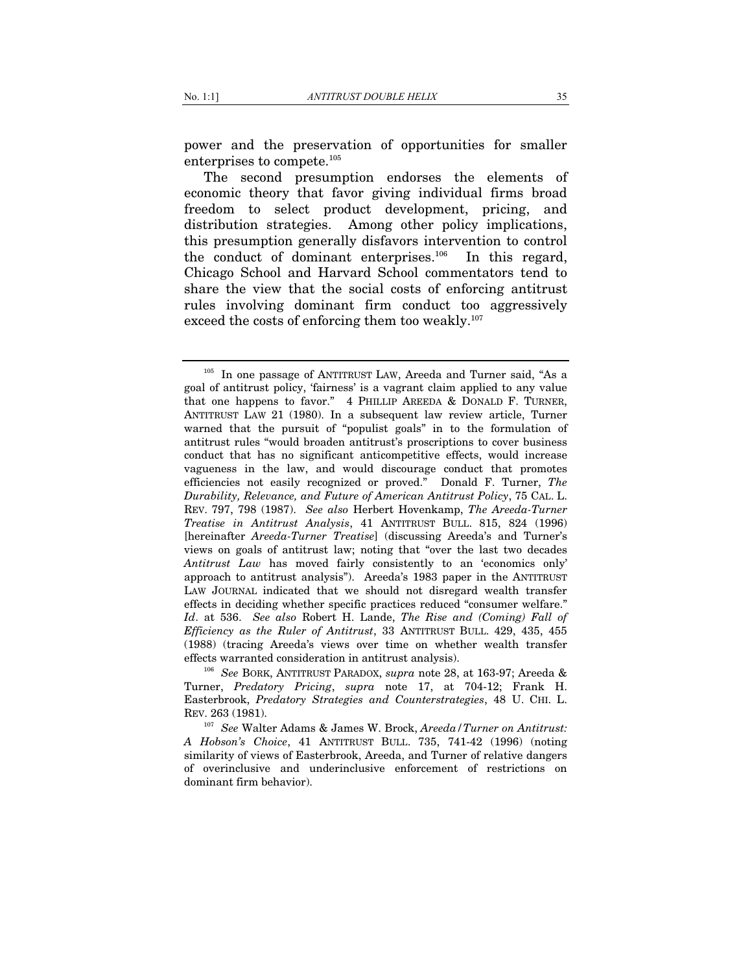power and the preservation of opportunities for smaller enterprises to compete.105

The second presumption endorses the elements of economic theory that favor giving individual firms broad freedom to select product development, pricing, and distribution strategies. Among other policy implications, this presumption generally disfavors intervention to control the conduct of dominant enterprises. $106$  In this regard, Chicago School and Harvard School commentators tend to share the view that the social costs of enforcing antitrust rules involving dominant firm conduct too aggressively exceed the costs of enforcing them too weakly.<sup>107</sup>

Turner, *Predatory Pricing*, *supra* note 17, at 704-12; Frank H. Easterbrook, *Predatory Strategies and Counterstrategies*, 48 U. CHI. L. REV. 263 (1981).

<sup>107</sup> *See* Walter Adams & James W. Brock, *Areeda/Turner on Antitrust: A Hobson's Choice*, 41 ANTITRUST BULL. 735, 741-42 (1996) (noting similarity of views of Easterbrook, Areeda, and Turner of relative dangers of overinclusive and underinclusive enforcement of restrictions on dominant firm behavior).

<sup>&</sup>lt;sup>105</sup> In one passage of ANTITRUST LAW, Areeda and Turner said, "As a goal of antitrust policy, 'fairness' is a vagrant claim applied to any value that one happens to favor." 4 PHILLIP AREEDA & DONALD F. TURNER, ANTITRUST LAW 21 (1980). In a subsequent law review article, Turner warned that the pursuit of "populist goals" in to the formulation of antitrust rules "would broaden antitrust's proscriptions to cover business conduct that has no significant anticompetitive effects, would increase vagueness in the law, and would discourage conduct that promotes efficiencies not easily recognized or proved." Donald F. Turner, *The Durability, Relevance, and Future of American Antitrust Policy*, 75 CAL. L. REV. 797, 798 (1987). *See also* Herbert Hovenkamp, *The Areeda-Turner Treatise in Antitrust Analysis*, 41 ANTITRUST BULL. 815, 824 (1996) [hereinafter *Areeda-Turner Treatise*] (discussing Areeda's and Turner's views on goals of antitrust law; noting that "over the last two decades *Antitrust Law* has moved fairly consistently to an 'economics only' approach to antitrust analysis"). Areeda's 1983 paper in the ANTITRUST LAW JOURNAL indicated that we should not disregard wealth transfer effects in deciding whether specific practices reduced "consumer welfare." *Id*. at 536. *See also* Robert H. Lande, *The Rise and (Coming) Fall of Efficiency as the Ruler of Antitrust*, 33 ANTITRUST BULL. 429, 435, 455 (1988) (tracing Areeda's views over time on whether wealth transfer effects warranted consideration in antitrust analysis). 106 *See* BORK, ANTITRUST PARADOX, *supra* note 28, at 163-97; Areeda &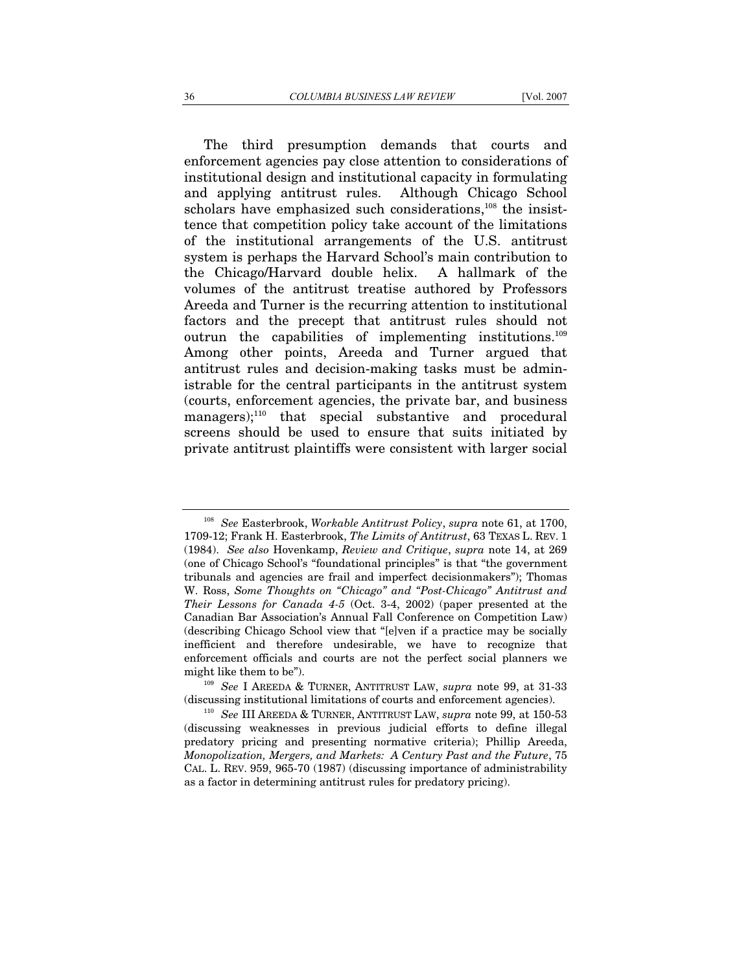The third presumption demands that courts and enforcement agencies pay close attention to considerations of institutional design and institutional capacity in formulating and applying antitrust rules. Although Chicago School scholars have emphasized such considerations,<sup>108</sup> the insisttence that competition policy take account of the limitations of the institutional arrangements of the U.S. antitrust system is perhaps the Harvard School's main contribution to the Chicago/Harvard double helix. A hallmark of the volumes of the antitrust treatise authored by Professors Areeda and Turner is the recurring attention to institutional factors and the precept that antitrust rules should not outrun the capabilities of implementing institutions.109 Among other points, Areeda and Turner argued that antitrust rules and decision-making tasks must be administrable for the central participants in the antitrust system (courts, enforcement agencies, the private bar, and business managers);<sup>110</sup> that special substantive and procedural screens should be used to ensure that suits initiated by private antitrust plaintiffs were consistent with larger social

<sup>108</sup> *See* Easterbrook, *Workable Antitrust Policy*, *supra* note 61, at 1700, 1709-12; Frank H. Easterbrook, *The Limits of Antitrust*, 63 TEXAS L. REV. 1 (1984). *See also* Hovenkamp, *Review and Critique*, *supra* note 14, at 269 (one of Chicago School's "foundational principles" is that "the government tribunals and agencies are frail and imperfect decisionmakers"); Thomas W. Ross, *Some Thoughts on "Chicago" and "Post-Chicago" Antitrust and Their Lessons for Canada 4-5* (Oct. 3-4, 2002) (paper presented at the Canadian Bar Association's Annual Fall Conference on Competition Law) (describing Chicago School view that "[e]ven if a practice may be socially inefficient and therefore undesirable, we have to recognize that enforcement officials and courts are not the perfect social planners we might like them to be"). 109 *See*<sup>I</sup> AREEDA & TURNER, ANTITRUST LAW, *supra* note 99, at 31-33

<sup>(</sup>discussing institutional limitations of courts and enforcement agencies). 110 *See* III AREEDA & TURNER, ANTITRUST LAW, *supra* note 99, at 150-53

<sup>(</sup>discussing weaknesses in previous judicial efforts to define illegal predatory pricing and presenting normative criteria); Phillip Areeda, *Monopolization, Mergers, and Markets: A Century Past and the Future*, 75 CAL. L. REV. 959, 965-70 (1987) (discussing importance of administrability as a factor in determining antitrust rules for predatory pricing).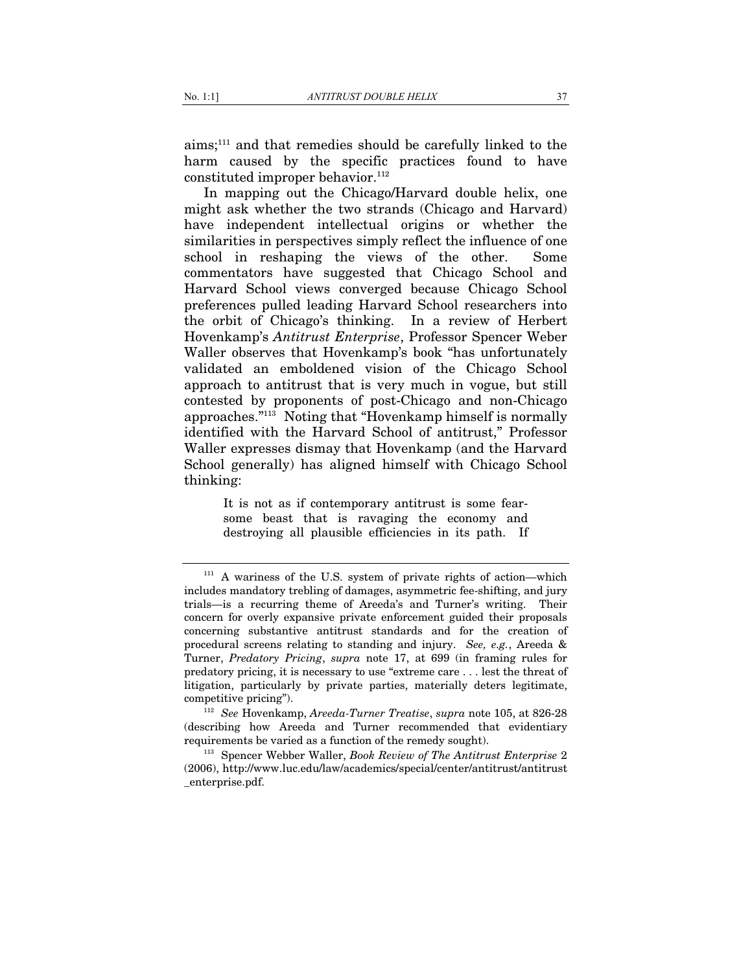aims;111 and that remedies should be carefully linked to the harm caused by the specific practices found to have constituted improper behavior.<sup>112</sup>

In mapping out the Chicago/Harvard double helix, one might ask whether the two strands (Chicago and Harvard) have independent intellectual origins or whether the similarities in perspectives simply reflect the influence of one school in reshaping the views of the other. Some commentators have suggested that Chicago School and Harvard School views converged because Chicago School preferences pulled leading Harvard School researchers into the orbit of Chicago's thinking. In a review of Herbert Hovenkamp's *Antitrust Enterprise*, Professor Spencer Weber Waller observes that Hovenkamp's book "has unfortunately validated an emboldened vision of the Chicago School approach to antitrust that is very much in vogue, but still contested by proponents of post-Chicago and non-Chicago approaches."113 Noting that "Hovenkamp himself is normally identified with the Harvard School of antitrust," Professor Waller expresses dismay that Hovenkamp (and the Harvard School generally) has aligned himself with Chicago School thinking:

> It is not as if contemporary antitrust is some fearsome beast that is ravaging the economy and destroying all plausible efficiencies in its path. If

 $111$  A wariness of the U.S. system of private rights of action—which includes mandatory trebling of damages, asymmetric fee-shifting, and jury trials—is a recurring theme of Areeda's and Turner's writing. Their concern for overly expansive private enforcement guided their proposals concerning substantive antitrust standards and for the creation of procedural screens relating to standing and injury. *See, e.g.*, Areeda & Turner, *Predatory Pricing*, *supra* note 17, at 699 (in framing rules for predatory pricing, it is necessary to use "extreme care . . . lest the threat of litigation, particularly by private parties, materially deters legitimate,

competitive pricing"). 112 *See* Hovenkamp, *Areeda-Turner Treatise*, *supra* note 105, at 826-28 (describing how Areeda and Turner recommended that evidentiary requirements be varied as a function of the remedy sought). 113 Spencer Webber Waller, *Book Review of The Antitrust Enterprise*<sup>2</sup>

<sup>(2006),</sup> http://www.luc.edu/law/academics/special/center/antitrust/antitrust \_enterprise.pdf.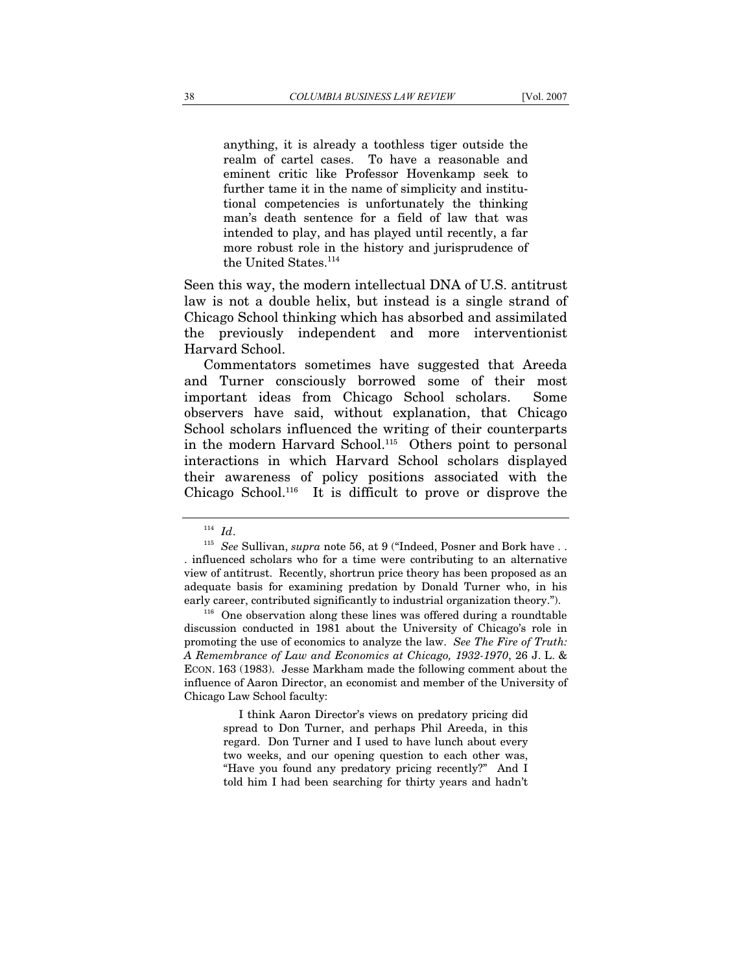anything, it is already a toothless tiger outside the realm of cartel cases. To have a reasonable and eminent critic like Professor Hovenkamp seek to further tame it in the name of simplicity and institutional competencies is unfortunately the thinking man's death sentence for a field of law that was intended to play, and has played until recently, a far more robust role in the history and jurisprudence of the United States.<sup>114</sup>

Seen this way, the modern intellectual DNA of U.S. antitrust law is not a double helix, but instead is a single strand of Chicago School thinking which has absorbed and assimilated the previously independent and more interventionist Harvard School.

Commentators sometimes have suggested that Areeda and Turner consciously borrowed some of their most important ideas from Chicago School scholars. Some observers have said, without explanation, that Chicago School scholars influenced the writing of their counterparts in the modern Harvard School.115 Others point to personal interactions in which Harvard School scholars displayed their awareness of policy positions associated with the Chicago School.116 It is difficult to prove or disprove the

 I think Aaron Director's views on predatory pricing did spread to Don Turner, and perhaps Phil Areeda, in this regard. Don Turner and I used to have lunch about every two weeks, and our opening question to each other was, "Have you found any predatory pricing recently?" And I told him I had been searching for thirty years and hadn't

 $^{114}$   $Id.$   $^{115}$   $See$  Sullivan,  $supra$  note 56, at 9 ("Indeed, Posner and Bork have . . . influenced scholars who for a time were contributing to an alternative view of antitrust. Recently, shortrun price theory has been proposed as an adequate basis for examining predation by Donald Turner who, in his early career, contributed significantly to industrial organization theory.").<br><sup>116</sup> One observation along these lines was offered during a roundtable

discussion conducted in 1981 about the University of Chicago's role in promoting the use of economics to analyze the law. *See The Fire of Truth: A Remembrance of Law and Economics at Chicago, 1932-1970*, 26 J. L. & ECON. 163 (1983). Jesse Markham made the following comment about the influence of Aaron Director, an economist and member of the University of Chicago Law School faculty: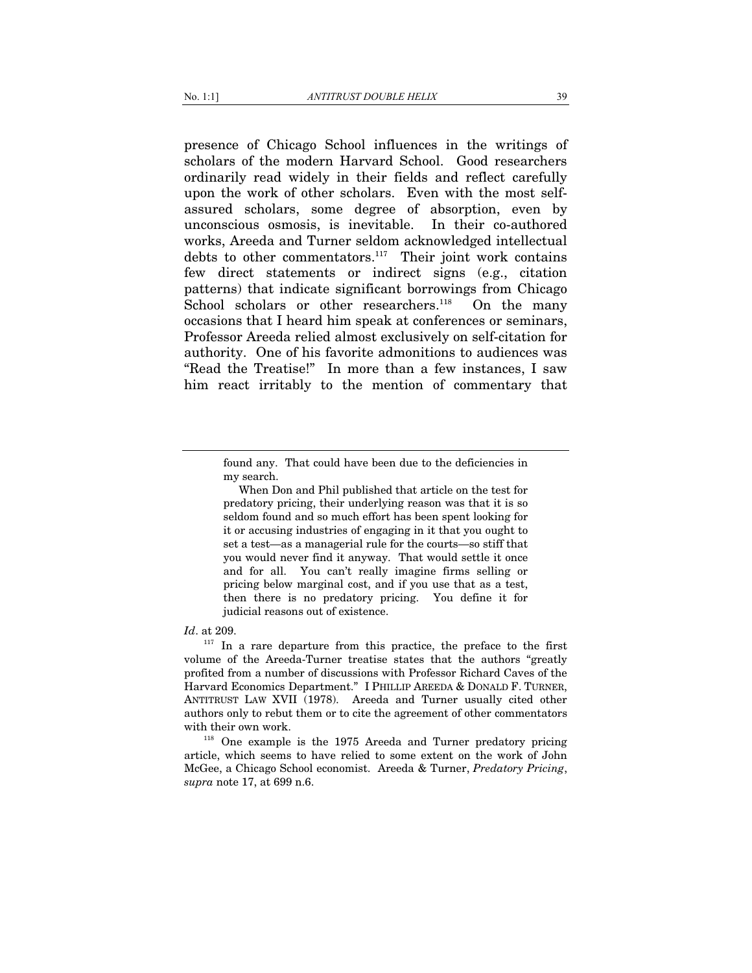presence of Chicago School influences in the writings of scholars of the modern Harvard School. Good researchers ordinarily read widely in their fields and reflect carefully upon the work of other scholars. Even with the most selfassured scholars, some degree of absorption, even by unconscious osmosis, is inevitable. In their co-authored works, Areeda and Turner seldom acknowledged intellectual debts to other commentators. $117$  Their joint work contains few direct statements or indirect signs (e.g., citation patterns) that indicate significant borrowings from Chicago School scholars or other researchers.<sup>118</sup> On the many occasions that I heard him speak at conferences or seminars, Professor Areeda relied almost exclusively on self-citation for authority. One of his favorite admonitions to audiences was "Read the Treatise!" In more than a few instances, I saw him react irritably to the mention of commentary that

 When Don and Phil published that article on the test for predatory pricing, their underlying reason was that it is so seldom found and so much effort has been spent looking for it or accusing industries of engaging in it that you ought to set a test—as a managerial rule for the courts—so stiff that you would never find it anyway. That would settle it once and for all. You can't really imagine firms selling or pricing below marginal cost, and if you use that as a test, then there is no predatory pricing. You define it for judicial reasons out of existence.

#### *Id*. at 209.

<sup>117</sup> In a rare departure from this practice, the preface to the first volume of the Areeda-Turner treatise states that the authors "greatly profited from a number of discussions with Professor Richard Caves of the Harvard Economics Department." I PHILLIP AREEDA & DONALD F. TURNER, ANTITRUST LAW XVII (1978). Areeda and Turner usually cited other authors only to rebut them or to cite the agreement of other commentators

with their own work.<br><sup>118</sup> One example is the 1975 Areeda and Turner predatory pricing article, which seems to have relied to some extent on the work of John McGee, a Chicago School economist. Areeda & Turner, *Predatory Pricing*, *supra* note 17, at 699 n.6.

found any. That could have been due to the deficiencies in my search.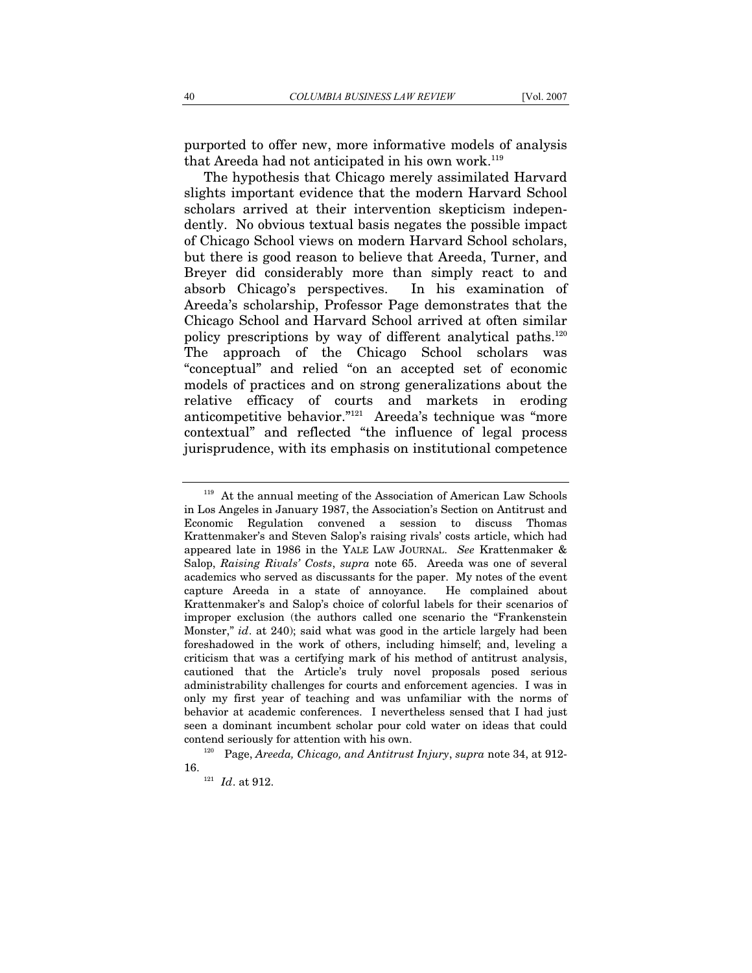purported to offer new, more informative models of analysis that Areeda had not anticipated in his own work.<sup>119</sup>

The hypothesis that Chicago merely assimilated Harvard slights important evidence that the modern Harvard School scholars arrived at their intervention skepticism independently. No obvious textual basis negates the possible impact of Chicago School views on modern Harvard School scholars, but there is good reason to believe that Areeda, Turner, and Breyer did considerably more than simply react to and absorb Chicago's perspectives. In his examination of Areeda's scholarship, Professor Page demonstrates that the Chicago School and Harvard School arrived at often similar policy prescriptions by way of different analytical paths.120 The approach of the Chicago School scholars was "conceptual" and relied "on an accepted set of economic models of practices and on strong generalizations about the relative efficacy of courts and markets in eroding anticompetitive behavior."121 Areeda's technique was "more contextual" and reflected "the influence of legal process jurisprudence, with its emphasis on institutional competence

<sup>&</sup>lt;sup>119</sup> At the annual meeting of the Association of American Law Schools in Los Angeles in January 1987, the Association's Section on Antitrust and Economic Regulation convened a session to discuss Thomas Krattenmaker's and Steven Salop's raising rivals' costs article, which had appeared late in 1986 in the YALE LAW JOURNAL. *See* Krattenmaker & Salop, *Raising Rivals' Costs*, *supra* note 65. Areeda was one of several academics who served as discussants for the paper. My notes of the event capture Areeda in a state of annoyance. He complained about Krattenmaker's and Salop's choice of colorful labels for their scenarios of improper exclusion (the authors called one scenario the "Frankenstein Monster," *id.* at 240); said what was good in the article largely had been foreshadowed in the work of others, including himself; and, leveling a criticism that was a certifying mark of his method of antitrust analysis, cautioned that the Article's truly novel proposals posed serious administrability challenges for courts and enforcement agencies. I was in only my first year of teaching and was unfamiliar with the norms of behavior at academic conferences. I nevertheless sensed that I had just seen a dominant incumbent scholar pour cold water on ideas that could contend seriously for attention with his own. 120 Page, *Areeda, Chicago, and Antitrust Injury*, *supra* note 34, at 912-

<sup>16. 121</sup> *Id*. at 912.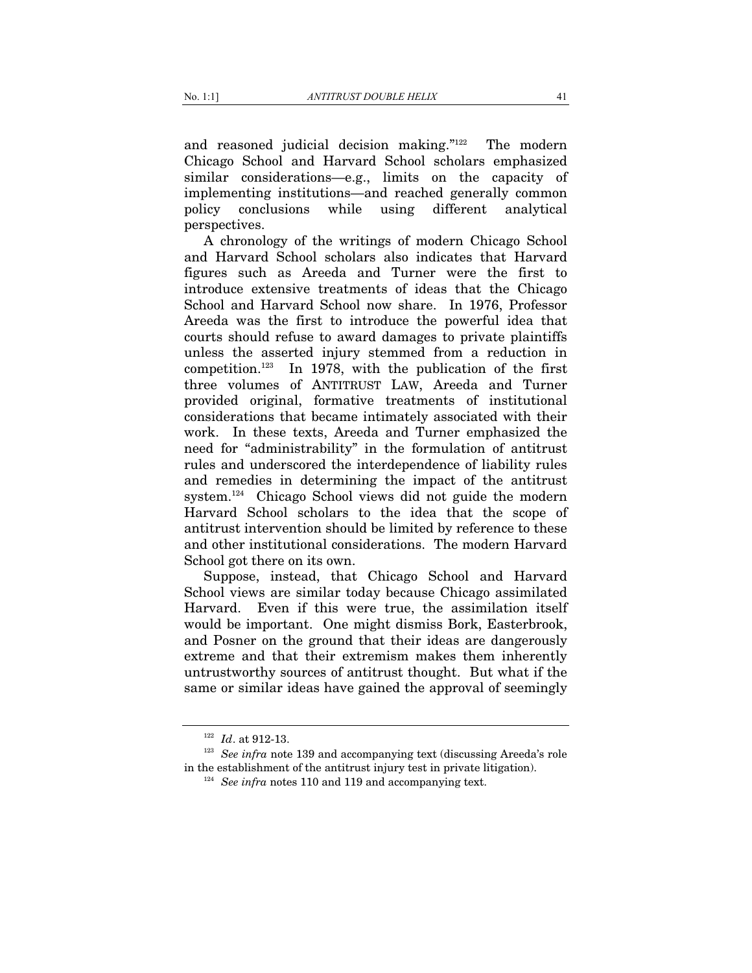and reasoned judicial decision making."122 The modern Chicago School and Harvard School scholars emphasized similar considerations—e.g., limits on the capacity of implementing institutions—and reached generally common policy conclusions while using different analytical perspectives.

A chronology of the writings of modern Chicago School and Harvard School scholars also indicates that Harvard figures such as Areeda and Turner were the first to introduce extensive treatments of ideas that the Chicago School and Harvard School now share. In 1976, Professor Areeda was the first to introduce the powerful idea that courts should refuse to award damages to private plaintiffs unless the asserted injury stemmed from a reduction in competition.123 In 1978, with the publication of the first three volumes of ANTITRUST LAW, Areeda and Turner provided original, formative treatments of institutional considerations that became intimately associated with their work. In these texts, Areeda and Turner emphasized the need for "administrability" in the formulation of antitrust rules and underscored the interdependence of liability rules and remedies in determining the impact of the antitrust system.124 Chicago School views did not guide the modern Harvard School scholars to the idea that the scope of antitrust intervention should be limited by reference to these and other institutional considerations. The modern Harvard School got there on its own.

Suppose, instead, that Chicago School and Harvard School views are similar today because Chicago assimilated Harvard. Even if this were true, the assimilation itself would be important. One might dismiss Bork, Easterbrook, and Posner on the ground that their ideas are dangerously extreme and that their extremism makes them inherently untrustworthy sources of antitrust thought. But what if the same or similar ideas have gained the approval of seemingly

<sup>&</sup>lt;sup>122</sup> *Id.* at 912-13.<br><sup>123</sup> *See infra* note 139 and accompanying text (discussing Areeda's role in the establishment of the antitrust injury test in private litigation). 124 *See infra* notes 110 and 119 and accompanying text.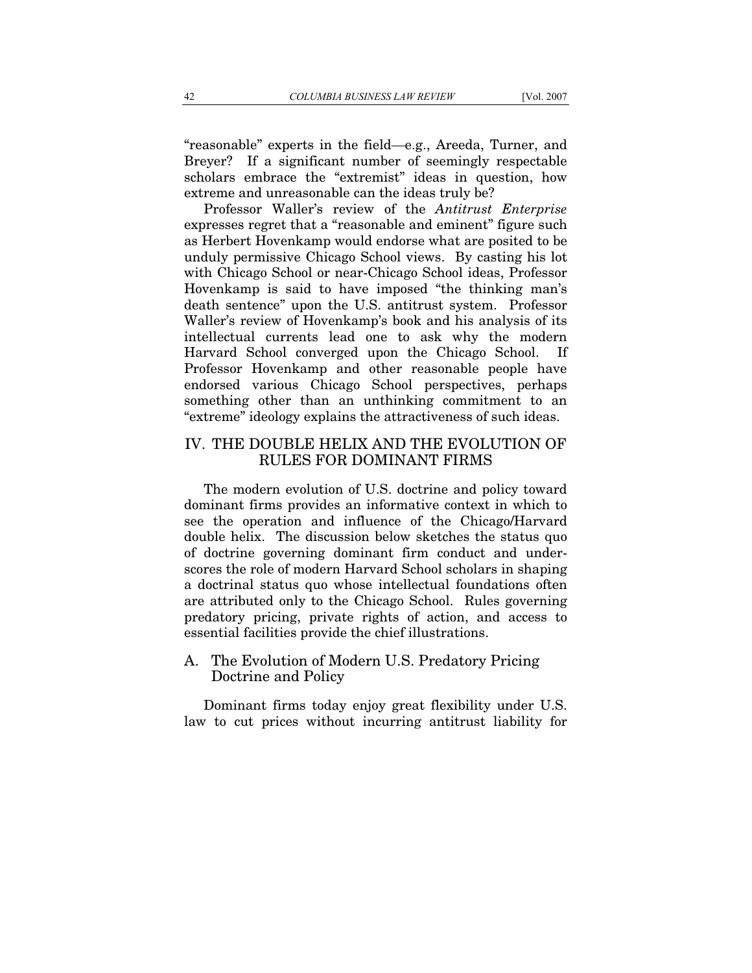"reasonable" experts in the field—e.g., Areeda, Turner, and Breyer? If a significant number of seemingly respectable scholars embrace the "extremist" ideas in question, how extreme and unreasonable can the ideas truly be?

Professor Waller's review of the *Antitrust Enterprise* expresses regret that a "reasonable and eminent" figure such as Herbert Hovenkamp would endorse what are posited to be unduly permissive Chicago School views. By casting his lot with Chicago School or near-Chicago School ideas, Professor Hovenkamp is said to have imposed "the thinking man's death sentence" upon the U.S. antitrust system. Professor Waller's review of Hovenkamp's book and his analysis of its intellectual currents lead one to ask why the modern Harvard School converged upon the Chicago School. If Professor Hovenkamp and other reasonable people have endorsed various Chicago School perspectives, perhaps something other than an unthinking commitment to an "extreme" ideology explains the attractiveness of such ideas.

### IV. THE DOUBLE HELIX AND THE EVOLUTION OF RULES FOR DOMINANT FIRMS

The modern evolution of U.S. doctrine and policy toward dominant firms provides an informative context in which to see the operation and influence of the Chicago/Harvard double helix. The discussion below sketches the status quo of doctrine governing dominant firm conduct and underscores the role of modern Harvard School scholars in shaping a doctrinal status quo whose intellectual foundations often are attributed only to the Chicago School. Rules governing predatory pricing, private rights of action, and access to essential facilities provide the chief illustrations.

# A. The Evolution of Modern U.S. Predatory Pricing Doctrine and Policy

Dominant firms today enjoy great flexibility under U.S. law to cut prices without incurring antitrust liability for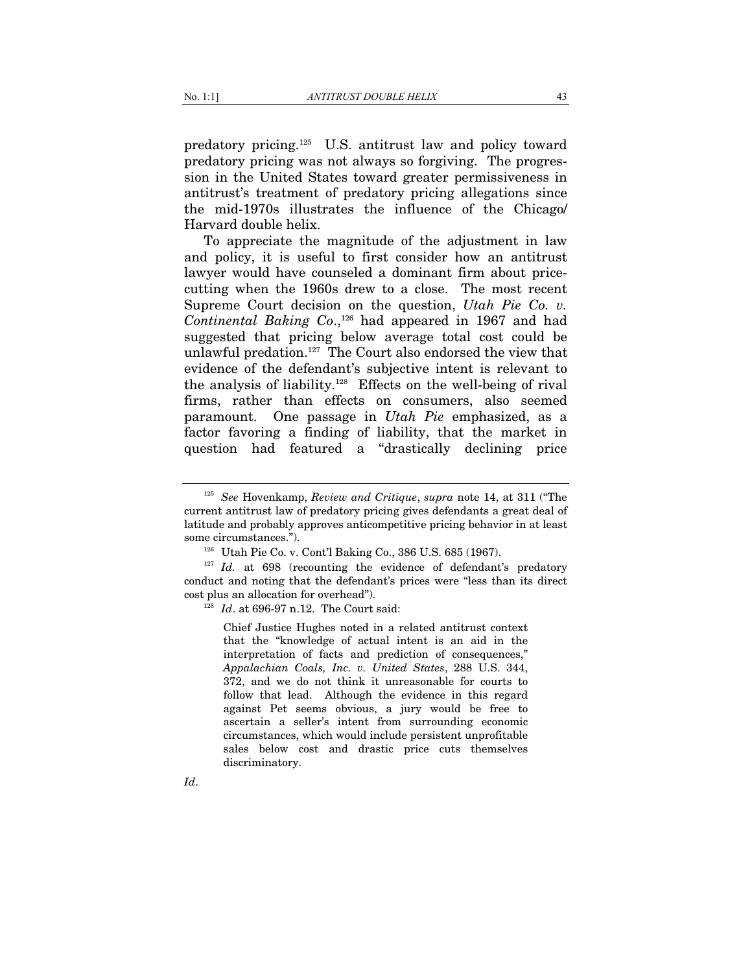predatory pricing.125 U.S. antitrust law and policy toward predatory pricing was not always so forgiving. The progression in the United States toward greater permissiveness in antitrust's treatment of predatory pricing allegations since the mid-1970s illustrates the influence of the Chicago/ Harvard double helix.

To appreciate the magnitude of the adjustment in law and policy, it is useful to first consider how an antitrust lawyer would have counseled a dominant firm about pricecutting when the 1960s drew to a close. The most recent Supreme Court decision on the question, *Utah Pie Co. v.*  Continental Baking Co.,<sup>126</sup> had appeared in 1967 and had suggested that pricing below average total cost could be unlawful predation.<sup>127</sup> The Court also endorsed the view that evidence of the defendant's subjective intent is relevant to the analysis of liability.128 Effects on the well-being of rival firms, rather than effects on consumers, also seemed paramount. One passage in *Utah Pie* emphasized, as a factor favoring a finding of liability, that the market in question had featured a "drastically declining price

<sup>128</sup> *Id.* at 696-97 n.12. The Court said:

Chief Justice Hughes noted in a related antitrust context that the "knowledge of actual intent is an aid in the interpretation of facts and prediction of consequences," *Appalachian Coals, Inc. v. United States*, 288 U.S. 344, 372, and we do not think it unreasonable for courts to follow that lead. Although the evidence in this regard against Pet seems obvious, a jury would be free to ascertain a seller's intent from surrounding economic circumstances, which would include persistent unprofitable sales below cost and drastic price cuts themselves discriminatory.

*Id*.

<sup>125</sup> *See* Hovenkamp, *Review and Critique*, *supra* note 14, at 311 ("The current antitrust law of predatory pricing gives defendants a great deal of latitude and probably approves anticompetitive pricing behavior in at least

some circumstances.").<br><sup>126</sup> Utah Pie Co. v. Cont'l Baking Co., 386 U.S. 685 (1967).<br><sup>127</sup> *Id.* at 698 (recounting the evidence of defendant's predatory conduct and noting that the defendant's prices were "less than its direct cost plus an allocation for overhead").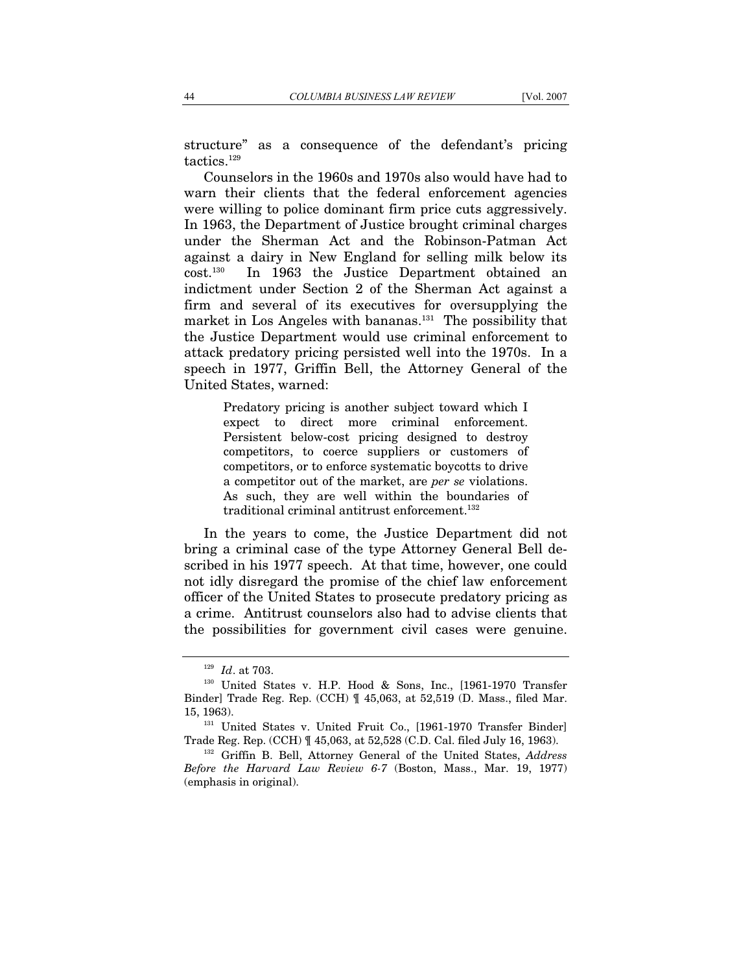structure" as a consequence of the defendant's pricing tactics.<sup>129</sup>

Counselors in the 1960s and 1970s also would have had to warn their clients that the federal enforcement agencies were willing to police dominant firm price cuts aggressively. In 1963, the Department of Justice brought criminal charges under the Sherman Act and the Robinson-Patman Act against a dairy in New England for selling milk below its cost.130 In 1963 the Justice Department obtained an indictment under Section 2 of the Sherman Act against a firm and several of its executives for oversupplying the market in Los Angeles with bananas.131 The possibility that the Justice Department would use criminal enforcement to attack predatory pricing persisted well into the 1970s. In a speech in 1977, Griffin Bell, the Attorney General of the United States, warned:

> Predatory pricing is another subject toward which I expect to direct more criminal enforcement. Persistent below-cost pricing designed to destroy competitors, to coerce suppliers or customers of competitors, or to enforce systematic boycotts to drive a competitor out of the market, are *per se* violations. As such, they are well within the boundaries of traditional criminal antitrust enforcement.<sup>132</sup>

In the years to come, the Justice Department did not bring a criminal case of the type Attorney General Bell described in his 1977 speech. At that time, however, one could not idly disregard the promise of the chief law enforcement officer of the United States to prosecute predatory pricing as a crime. Antitrust counselors also had to advise clients that the possibilities for government civil cases were genuine.

<sup>&</sup>lt;sup>129</sup> *Id.* at 703.<br><sup>130</sup> United States v. H.P. Hood & Sons, Inc., [1961-1970 Transfer Binder] Trade Reg. Rep. (CCH) ¶ 45,063, at 52,519 (D. Mass., filed Mar. 15, 1963). 131 United States v. United Fruit Co., [1961-1970 Transfer Binder]

Trade Reg. Rep. (CCH) ¶ 45,063, at 52,528 (C.D. Cal. filed July 16, 1963). 132 Griffin B. Bell, Attorney General of the United States, *Address* 

*Before the Harvard Law Review 6-7* (Boston, Mass., Mar. 19, 1977) (emphasis in original).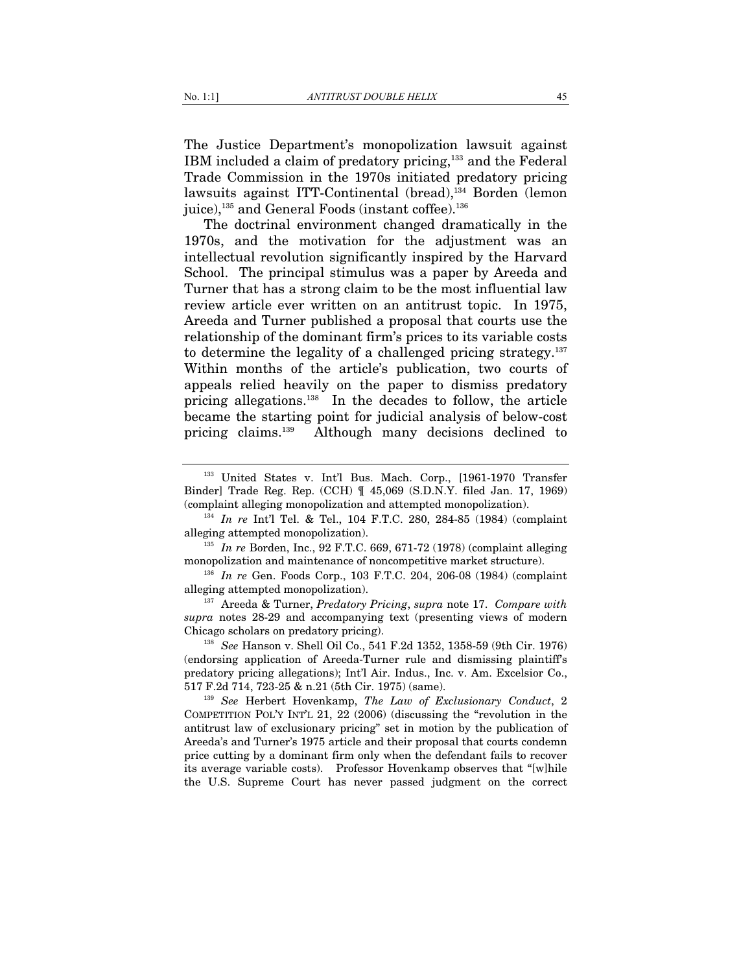The Justice Department's monopolization lawsuit against IBM included a claim of predatory pricing,133 and the Federal Trade Commission in the 1970s initiated predatory pricing lawsuits against ITT-Continental (bread),<sup>134</sup> Borden (lemon juice),<sup>135</sup> and General Foods (instant coffee).<sup>136</sup>

The doctrinal environment changed dramatically in the 1970s, and the motivation for the adjustment was an intellectual revolution significantly inspired by the Harvard School. The principal stimulus was a paper by Areeda and Turner that has a strong claim to be the most influential law review article ever written on an antitrust topic. In 1975, Areeda and Turner published a proposal that courts use the relationship of the dominant firm's prices to its variable costs to determine the legality of a challenged pricing strategy. $137$ Within months of the article's publication, two courts of appeals relied heavily on the paper to dismiss predatory pricing allegations.138 In the decades to follow, the article became the starting point for judicial analysis of below-cost pricing claims.139 Although many decisions declined to

<sup>135</sup> *In re* Borden, Inc., 92 F.T.C. 669, 671-72 (1978) (complaint alleging monopolization and maintenance of noncompetitive market structure).

<sup>136</sup> *In re* Gen. Foods Corp., 103 F.T.C. 204, 206-08 (1984) (complaint alleging attempted monopolization). 137 Areeda & Turner, *Predatory Pricing*, *supra* note 17. *Compare with*

*supra* notes 28-29 and accompanying text (presenting views of modern Chicago scholars on predatory pricing). 138 *See* Hanson v. Shell Oil Co., 541 F.2d 1352, 1358-59 (9th Cir. 1976)

(endorsing application of Areeda-Turner rule and dismissing plaintiff's predatory pricing allegations); Int'l Air. Indus., Inc. v. Am. Excelsior Co., 517 F.2d 714, 723-25 & n.21 (5th Cir. 1975) (same). 139 *See* Herbert Hovenkamp, *The Law of Exclusionary Conduct*, 2

COMPETITION POL'Y INT'L 21, 22 (2006) (discussing the "revolution in the antitrust law of exclusionary pricing" set in motion by the publication of Areeda's and Turner's 1975 article and their proposal that courts condemn price cutting by a dominant firm only when the defendant fails to recover its average variable costs). Professor Hovenkamp observes that "[w]hile the U.S. Supreme Court has never passed judgment on the correct

<sup>133</sup> United States v. Int'l Bus. Mach. Corp., [1961-1970 Transfer Binder] Trade Reg. Rep. (CCH) ¶ 45,069 (S.D.N.Y. filed Jan. 17, 1969)

<sup>(</sup>complaint alleging monopolization and attempted monopolization). 134 *In re* Int'l Tel. & Tel., 104 F.T.C. 280, 284-85 (1984) (complaint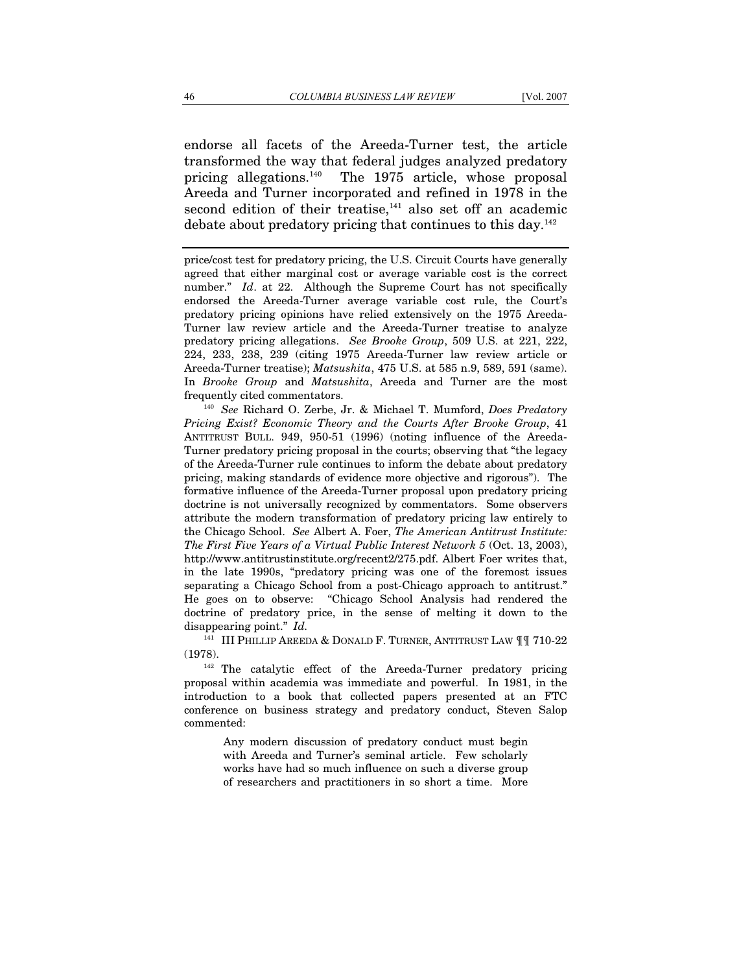endorse all facets of the Areeda-Turner test, the article transformed the way that federal judges analyzed predatory pricing allegations.140 The 1975 article, whose proposal Areeda and Turner incorporated and refined in 1978 in the second edition of their treatise, $141$  also set off an academic debate about predatory pricing that continues to this day.142

price/cost test for predatory pricing, the U.S. Circuit Courts have generally agreed that either marginal cost or average variable cost is the correct number." *Id*. at 22. Although the Supreme Court has not specifically endorsed the Areeda-Turner average variable cost rule, the Court's predatory pricing opinions have relied extensively on the 1975 Areeda-Turner law review article and the Areeda-Turner treatise to analyze predatory pricing allegations. *See Brooke Group*, 509 U.S. at 221, 222, 224, 233, 238, 239 (citing 1975 Areeda-Turner law review article or Areeda-Turner treatise); *Matsushita*, 475 U.S. at 585 n.9, 589, 591 (same). In *Brooke Group* and *Matsushita*, Areeda and Turner are the most frequently cited commentators. 140 *See* Richard O. Zerbe, Jr. & Michael T. Mumford, *Does Predatory* 

*Pricing Exist? Economic Theory and the Courts After Brooke Group*, 41 ANTITRUST BULL. 949, 950-51 (1996) (noting influence of the Areeda-Turner predatory pricing proposal in the courts; observing that "the legacy of the Areeda-Turner rule continues to inform the debate about predatory pricing, making standards of evidence more objective and rigorous"). The formative influence of the Areeda-Turner proposal upon predatory pricing doctrine is not universally recognized by commentators. Some observers attribute the modern transformation of predatory pricing law entirely to the Chicago School. *See* Albert A. Foer, *The American Antitrust Institute: The First Five Years of a Virtual Public Interest Network 5* (Oct. 13, 2003), http://www.antitrustinstitute.org/recent2/275.pdf. Albert Foer writes that, in the late 1990s, "predatory pricing was one of the foremost issues separating a Chicago School from a post-Chicago approach to antitrust." He goes on to observe: "Chicago School Analysis had rendered the doctrine of predatory price, in the sense of melting it down to the disappearing point." *Id.* 

<sup>141</sup> III PHILLIP AREEDA & DONALD F. TURNER, ANTITRUST LAW ¶¶ 710-22 (1978).<br><sup>142</sup> The catalytic effect of the Areeda-Turner predatory pricing

proposal within academia was immediate and powerful. In 1981, in the introduction to a book that collected papers presented at an FTC conference on business strategy and predatory conduct, Steven Salop commented:

> Any modern discussion of predatory conduct must begin with Areeda and Turner's seminal article. Few scholarly works have had so much influence on such a diverse group of researchers and practitioners in so short a time. More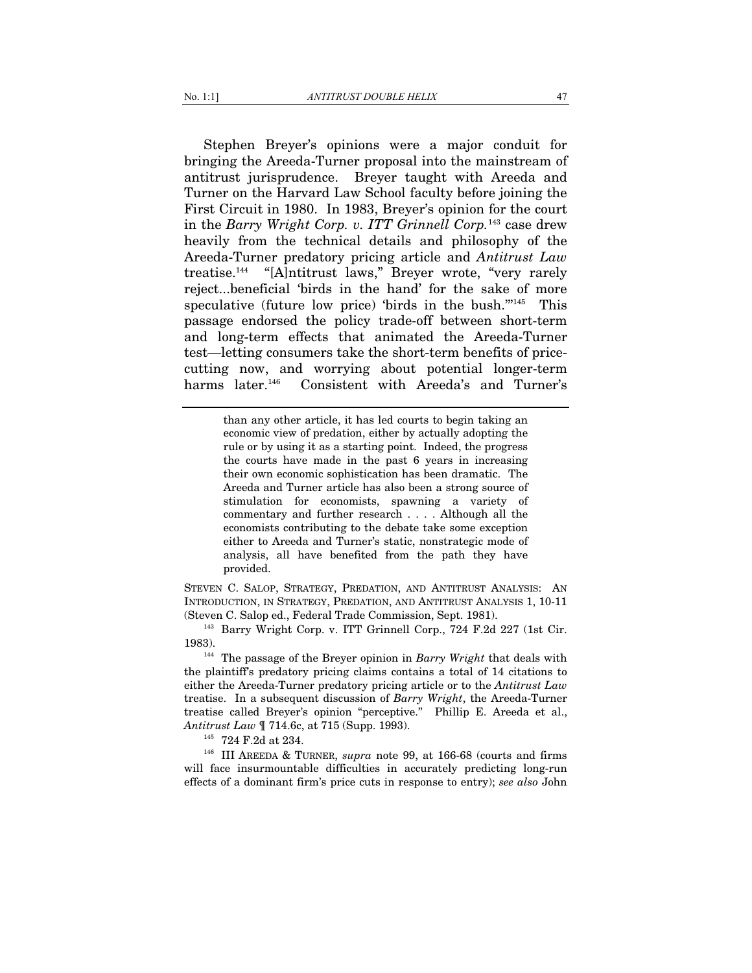Stephen Breyer's opinions were a major conduit for bringing the Areeda-Turner proposal into the mainstream of antitrust jurisprudence. Breyer taught with Areeda and Turner on the Harvard Law School faculty before joining the First Circuit in 1980. In 1983, Breyer's opinion for the court in the *Barry Wright Corp. v. ITT Grinnell Corp.*143 case drew heavily from the technical details and philosophy of the Areeda-Turner predatory pricing article and *Antitrust Law* treatise.144 "[A]ntitrust laws," Breyer wrote, "very rarely reject...beneficial 'birds in the hand' for the sake of more speculative (future low price) 'birds in the bush. $145$  This passage endorsed the policy trade-off between short-term and long-term effects that animated the Areeda-Turner test—letting consumers take the short-term benefits of pricecutting now, and worrying about potential longer-term harms later.<sup>146</sup> Consistent with Areeda's and Turner's

> than any other article, it has led courts to begin taking an economic view of predation, either by actually adopting the rule or by using it as a starting point. Indeed, the progress the courts have made in the past 6 years in increasing their own economic sophistication has been dramatic. The Areeda and Turner article has also been a strong source of stimulation for economists, spawning a variety of commentary and further research . . . . Although all the economists contributing to the debate take some exception either to Areeda and Turner's static, nonstrategic mode of analysis, all have benefited from the path they have provided.

STEVEN C. SALOP, STRATEGY, PREDATION, AND ANTITRUST ANALYSIS: AN INTRODUCTION, IN STRATEGY, PREDATION, AND ANTITRUST ANALYSIS 1, 10-11

(Steven C. Salop ed., Federal Trade Commission, Sept. 1981). 143 Barry Wright Corp. v. ITT Grinnell Corp., 724 F.2d 227 (1st Cir.

<sup>144</sup> The passage of the Breyer opinion in *Barry Wright* that deals with the plaintiff's predatory pricing claims contains a total of 14 citations to either the Areeda-Turner predatory pricing article or to the *Antitrust Law* treatise. In a subsequent discussion of *Barry Wright*, the Areeda-Turner treatise called Breyer's opinion "perceptive." Phillip E. Areeda et al., *Antitrust Law* ¶ 714.6c, at 715 (Supp. 1993).<br><sup>145</sup> 724 F.2d at 234.<br><sup>146</sup> III AREEDA & TURNER, *supra* note 99, at 166-68 (courts and firms

will face insurmountable difficulties in accurately predicting long-run effects of a dominant firm's price cuts in response to entry); *see also* John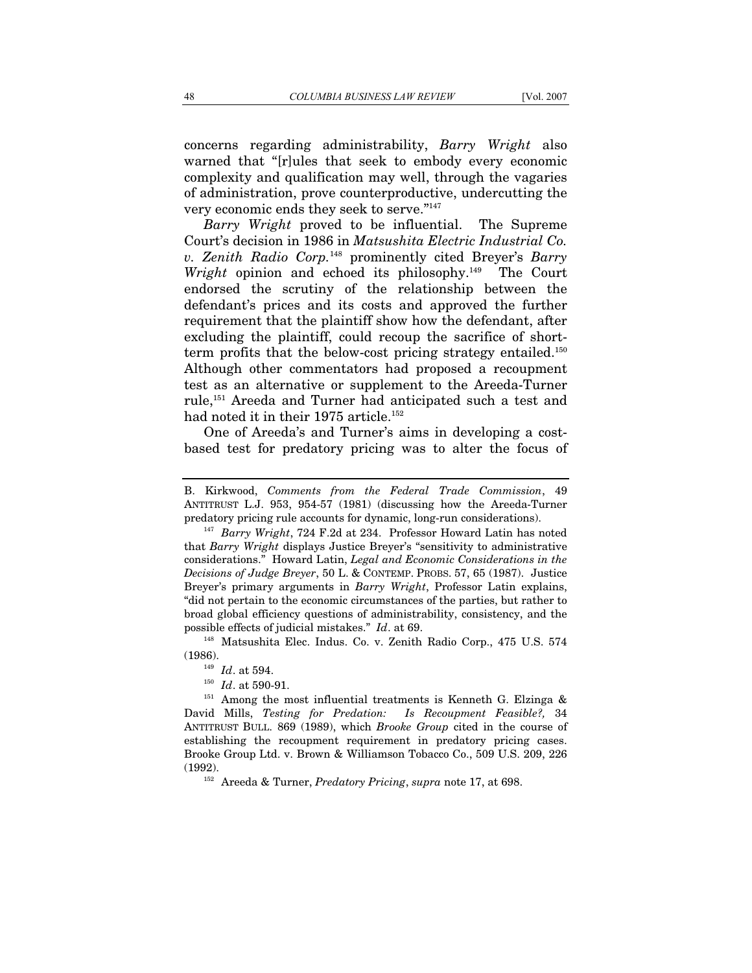concerns regarding administrability, *Barry Wright* also warned that "[r]ules that seek to embody every economic complexity and qualification may well, through the vagaries of administration, prove counterproductive, undercutting the very economic ends they seek to serve."147

*Barry Wright* proved to be influential. The Supreme Court's decision in 1986 in *Matsushita Electric Industrial Co. v. Zenith Radio Corp.*148 prominently cited Breyer's *Barry Wright* opinion and echoed its philosophy.<sup>149</sup> The Court endorsed the scrutiny of the relationship between the defendant's prices and its costs and approved the further requirement that the plaintiff show how the defendant, after excluding the plaintiff, could recoup the sacrifice of shortterm profits that the below-cost pricing strategy entailed.<sup>150</sup> Although other commentators had proposed a recoupment test as an alternative or supplement to the Areeda-Turner rule,151 Areeda and Turner had anticipated such a test and had noted it in their 1975 article.<sup>152</sup>

One of Areeda's and Turner's aims in developing a costbased test for predatory pricing was to alter the focus of

B. Kirkwood, *Comments from the Federal Trade Commission*, 49 ANTITRUST L.J. 953, 954-57 (1981) (discussing how the Areeda-Turner predatory pricing rule accounts for dynamic, long-run considerations). 147 *Barry Wright*, 724 F.2d at 234. Professor Howard Latin has noted

that *Barry Wright* displays Justice Breyer's "sensitivity to administrative considerations." Howard Latin, *Legal and Economic Considerations in the Decisions of Judge Breyer*, 50 L. & CONTEMP. PROBS. 57, 65 (1987). Justice Breyer's primary arguments in *Barry Wright*, Professor Latin explains, "did not pertain to the economic circumstances of the parties, but rather to broad global efficiency questions of administrability, consistency, and the possible effects of judicial mistakes." *Id.* at 69.<br><sup>148</sup> Matsushita Elec. Indus. Co. v. Zenith Radio Corp., 475 U.S. 574

<sup>(1986).&</sup>lt;br><sup>149</sup> *Id.* at 594.<br><sup>150</sup> *Id.* at 590-91.<br><sup>151</sup> Among the most influential treatments is Kenneth G. Elzinga & David Mills, *Testing for Predation: Is Recoupment Feasible?,* 34 ANTITRUST BULL. 869 (1989), which *Brooke Group* cited in the course of establishing the recoupment requirement in predatory pricing cases. Brooke Group Ltd. v. Brown & Williamson Tobacco Co., 509 U.S. 209, 226 (1992). 152 Areeda & Turner, *Predatory Pricing*, *supra* note 17, at 698.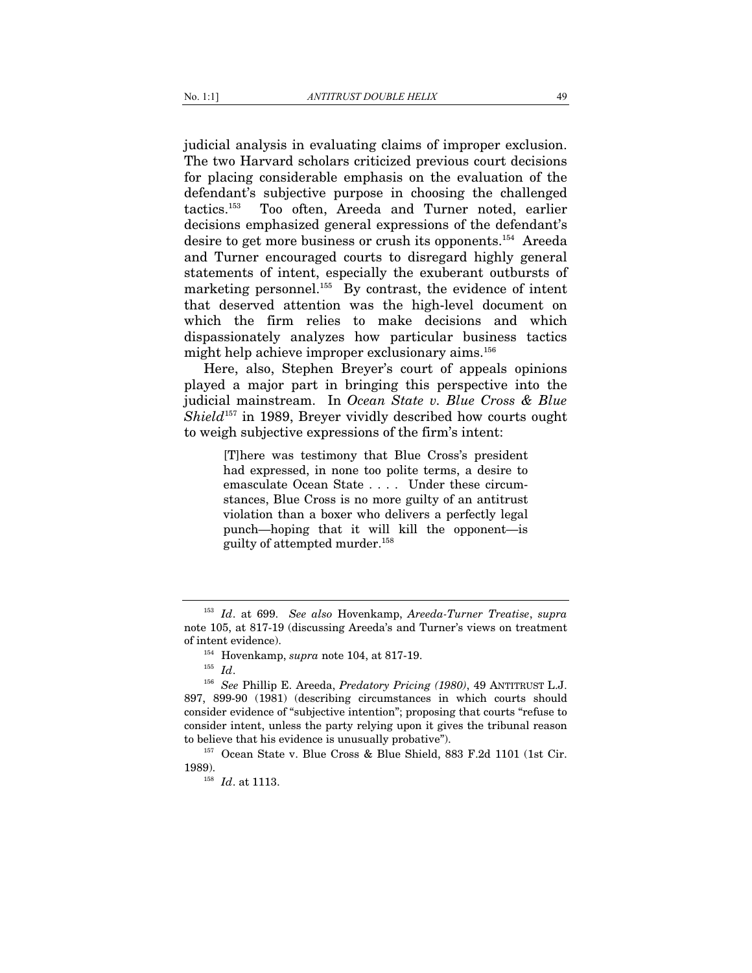judicial analysis in evaluating claims of improper exclusion. The two Harvard scholars criticized previous court decisions for placing considerable emphasis on the evaluation of the defendant's subjective purpose in choosing the challenged tactics.153 Too often, Areeda and Turner noted, earlier decisions emphasized general expressions of the defendant's desire to get more business or crush its opponents.154 Areeda and Turner encouraged courts to disregard highly general statements of intent, especially the exuberant outbursts of marketing personnel.<sup>155</sup> By contrast, the evidence of intent that deserved attention was the high-level document on which the firm relies to make decisions and which dispassionately analyzes how particular business tactics might help achieve improper exclusionary aims.156

Here, also, Stephen Breyer's court of appeals opinions played a major part in bringing this perspective into the judicial mainstream. In *Ocean State v. Blue Cross & Blue Shield*157 in 1989, Breyer vividly described how courts ought to weigh subjective expressions of the firm's intent:

> [T]here was testimony that Blue Cross's president had expressed, in none too polite terms, a desire to emasculate Ocean State . . . . Under these circumstances, Blue Cross is no more guilty of an antitrust violation than a boxer who delivers a perfectly legal punch—hoping that it will kill the opponent—is guilty of attempted murder.158

<sup>153</sup> *Id*. at 699. *See also* Hovenkamp, *Areeda-Turner Treatise*, *supra* note 105, at 817-19 (discussing Areeda's and Turner's views on treatment of intent evidence).<br><sup>154</sup> Hovenkamp, *supra* note 104, at 817-19.<br><sup>155</sup> *Id*. <sup>156</sup> *See* Phillip E. Areeda, *Predatory Pricing (1980)*, 49 ANTITRUST L.J.

<sup>897, 899-90 (1981) (</sup>describing circumstances in which courts should consider evidence of "subjective intention"; proposing that courts "refuse to consider intent, unless the party relying upon it gives the tribunal reason

to believe that his evidence is unusually probative").<br>
<sup>157</sup> Ocean State v. Blue Cross & Blue Shield, 883 F.2d 1101 (1st Cir.<br>
1989).

<sup>&</sup>lt;sup>158</sup> *Id.* at 1113.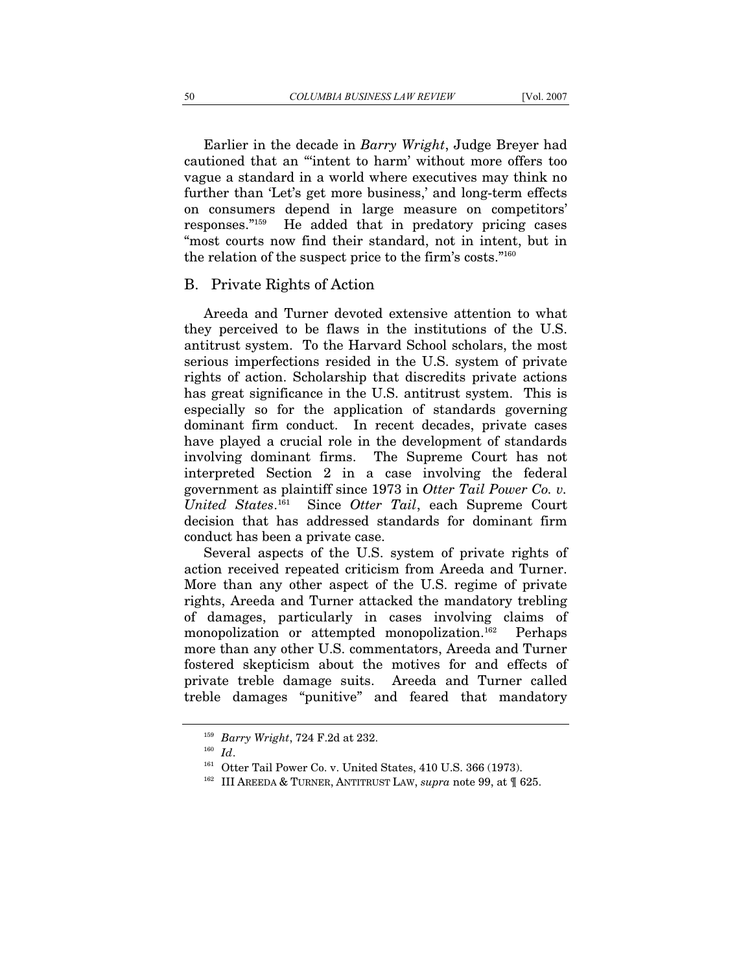Earlier in the decade in *Barry Wright*, Judge Breyer had cautioned that an "'intent to harm' without more offers too vague a standard in a world where executives may think no further than 'Let's get more business,' and long-term effects on consumers depend in large measure on competitors' responses."159 He added that in predatory pricing cases "most courts now find their standard, not in intent, but in the relation of the suspect price to the firm's costs."160

### B. Private Rights of Action

Areeda and Turner devoted extensive attention to what they perceived to be flaws in the institutions of the U.S. antitrust system. To the Harvard School scholars, the most serious imperfections resided in the U.S. system of private rights of action. Scholarship that discredits private actions has great significance in the U.S. antitrust system. This is especially so for the application of standards governing dominant firm conduct. In recent decades, private cases have played a crucial role in the development of standards involving dominant firms. The Supreme Court has not interpreted Section 2 in a case involving the federal government as plaintiff since 1973 in *Otter Tail Power Co. v. United States*. 161 Since *Otter Tail*, each Supreme Court decision that has addressed standards for dominant firm conduct has been a private case.

Several aspects of the U.S. system of private rights of action received repeated criticism from Areeda and Turner. More than any other aspect of the U.S. regime of private rights, Areeda and Turner attacked the mandatory trebling of damages, particularly in cases involving claims of monopolization or attempted monopolization.<sup>162</sup> Perhaps more than any other U.S. commentators, Areeda and Turner fostered skepticism about the motives for and effects of private treble damage suits. Areeda and Turner called treble damages "punitive" and feared that mandatory

<sup>&</sup>lt;sup>159</sup> *Barry Wright*, 724 F.2d at 232.<br><sup>160</sup> *Id*. 161 Otter Tail Power Co. v. United States, 410 U.S. 366 (1973).<br><sup>162</sup> III AREEDA & TURNER, ANTITRUST LAW, *supra* note 99, at ¶ 625.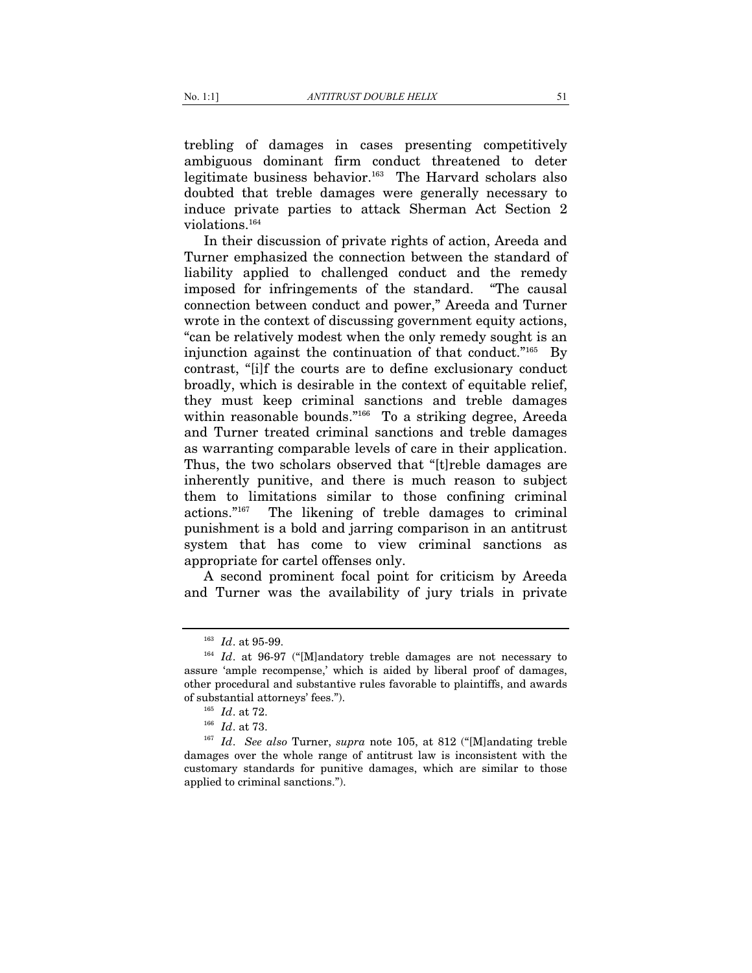trebling of damages in cases presenting competitively ambiguous dominant firm conduct threatened to deter legitimate business behavior.163 The Harvard scholars also doubted that treble damages were generally necessary to induce private parties to attack Sherman Act Section 2 violations.164

In their discussion of private rights of action, Areeda and Turner emphasized the connection between the standard of liability applied to challenged conduct and the remedy imposed for infringements of the standard. "The causal connection between conduct and power," Areeda and Turner wrote in the context of discussing government equity actions, "can be relatively modest when the only remedy sought is an injunction against the continuation of that conduct."<sup>165</sup> By contrast, "[i]f the courts are to define exclusionary conduct broadly, which is desirable in the context of equitable relief, they must keep criminal sanctions and treble damages within reasonable bounds."<sup>166</sup> To a striking degree, Areeda and Turner treated criminal sanctions and treble damages as warranting comparable levels of care in their application. Thus, the two scholars observed that "[t]reble damages are inherently punitive, and there is much reason to subject them to limitations similar to those confining criminal actions."167 The likening of treble damages to criminal punishment is a bold and jarring comparison in an antitrust system that has come to view criminal sanctions as appropriate for cartel offenses only.

A second prominent focal point for criticism by Areeda and Turner was the availability of jury trials in private

<sup>&</sup>lt;sup>163</sup> *Id.* at 95-99.<br><sup>164</sup> *Id.* at 96-97 ("[M]andatory treble damages are not necessary to assure 'ample recompense,' which is aided by liberal proof of damages, other procedural and substantive rules favorable to plaintiffs, and awards of substantial attorneys' fees.").

<sup>165</sup> *Id*. at 72. 166 *Id*. at 73. 167 *Id*. *See also* Turner, *supra* note 105, at 812 ("[M]andating treble damages over the whole range of antitrust law is inconsistent with the customary standards for punitive damages, which are similar to those applied to criminal sanctions.").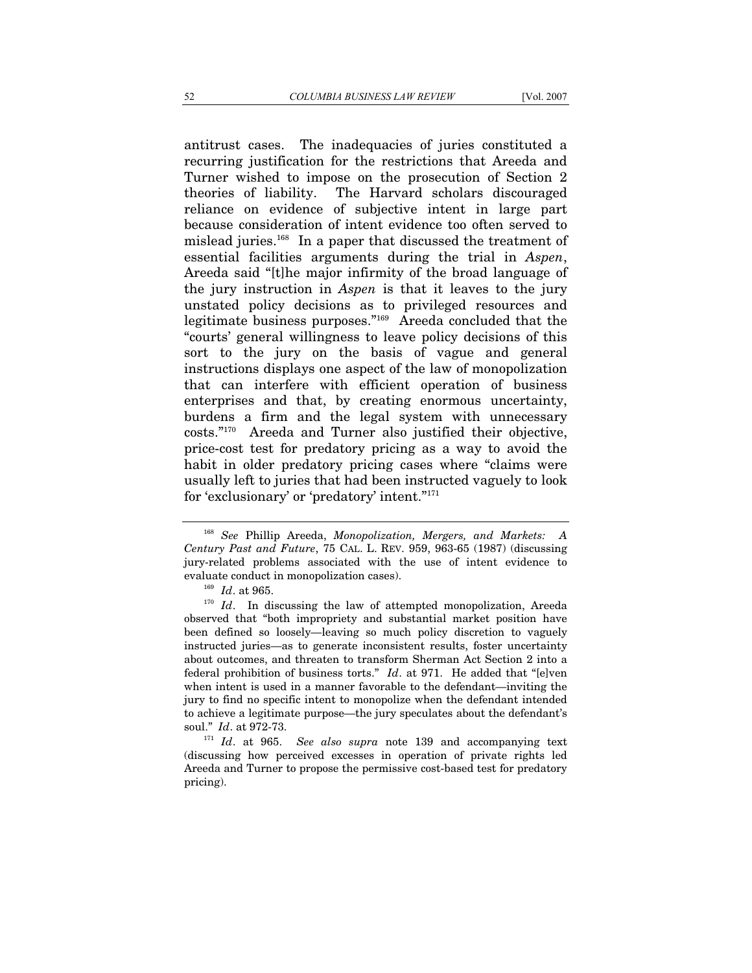antitrust cases. The inadequacies of juries constituted a recurring justification for the restrictions that Areeda and Turner wished to impose on the prosecution of Section 2 theories of liability. The Harvard scholars discouraged reliance on evidence of subjective intent in large part because consideration of intent evidence too often served to mislead juries.168 In a paper that discussed the treatment of essential facilities arguments during the trial in *Aspen*, Areeda said "[t]he major infirmity of the broad language of the jury instruction in *Aspen* is that it leaves to the jury unstated policy decisions as to privileged resources and legitimate business purposes."169 Areeda concluded that the "courts' general willingness to leave policy decisions of this sort to the jury on the basis of vague and general instructions displays one aspect of the law of monopolization that can interfere with efficient operation of business enterprises and that, by creating enormous uncertainty, burdens a firm and the legal system with unnecessary costs."170 Areeda and Turner also justified their objective, price-cost test for predatory pricing as a way to avoid the habit in older predatory pricing cases where "claims were usually left to juries that had been instructed vaguely to look for 'exclusionary' or 'predatory' intent."171

<sup>168</sup> *See* Phillip Areeda, *Monopolization, Mergers, and Markets: A Century Past and Future*, 75 CAL. L. REV. 959, 963-65 (1987) (discussing jury-related problems associated with the use of intent evidence to evaluate conduct in monopolization cases). 169 *Id*. at 965. 170 *Id*. In discussing the law of attempted monopolization, Areeda

observed that "both impropriety and substantial market position have been defined so loosely—leaving so much policy discretion to vaguely instructed juries—as to generate inconsistent results, foster uncertainty about outcomes, and threaten to transform Sherman Act Section 2 into a federal prohibition of business torts." *Id*. at 971. He added that "[e]ven when intent is used in a manner favorable to the defendant—inviting the jury to find no specific intent to monopolize when the defendant intended to achieve a legitimate purpose—the jury speculates about the defendant's soul."  $Id.$  at 972-73.

<sup>&</sup>lt;sup>171</sup> *Id.* at 965. *See also supra* note 139 and accompanying text (discussing how perceived excesses in operation of private rights led Areeda and Turner to propose the permissive cost-based test for predatory pricing).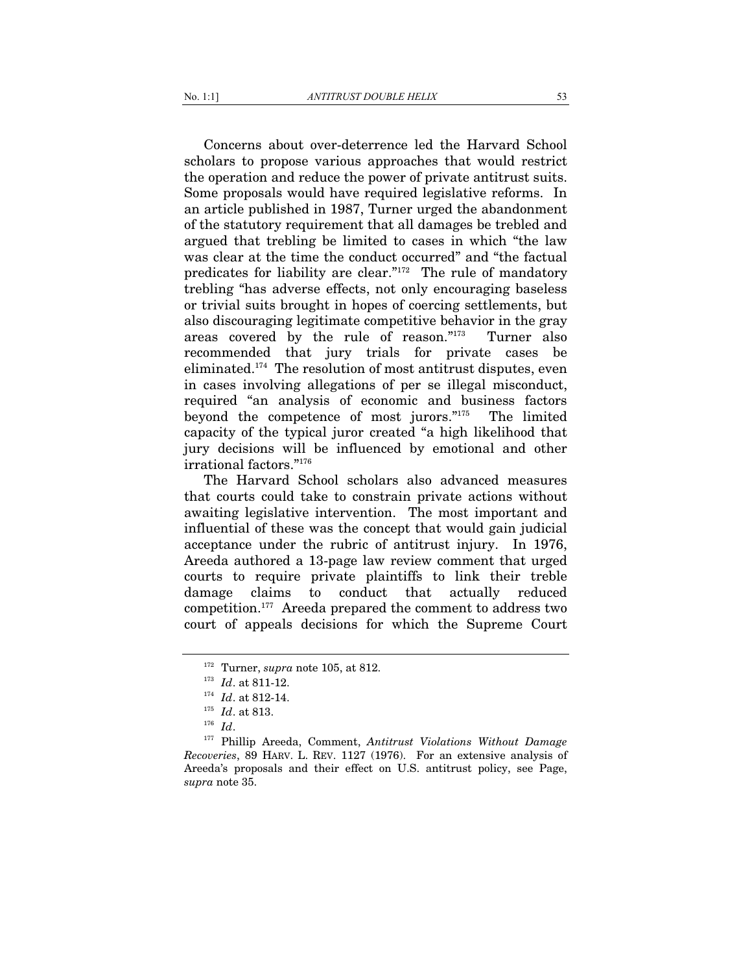Concerns about over-deterrence led the Harvard School scholars to propose various approaches that would restrict the operation and reduce the power of private antitrust suits. Some proposals would have required legislative reforms. In an article published in 1987, Turner urged the abandonment of the statutory requirement that all damages be trebled and argued that trebling be limited to cases in which "the law was clear at the time the conduct occurred" and "the factual predicates for liability are clear."172 The rule of mandatory trebling "has adverse effects, not only encouraging baseless or trivial suits brought in hopes of coercing settlements, but also discouraging legitimate competitive behavior in the gray areas covered by the rule of reason."173 Turner also recommended that jury trials for private cases be eliminated.174 The resolution of most antitrust disputes, even in cases involving allegations of per se illegal misconduct, required "an analysis of economic and business factors beyond the competence of most jurors."175 The limited capacity of the typical juror created "a high likelihood that jury decisions will be influenced by emotional and other irrational factors."176

The Harvard School scholars also advanced measures that courts could take to constrain private actions without awaiting legislative intervention. The most important and influential of these was the concept that would gain judicial acceptance under the rubric of antitrust injury. In 1976, Areeda authored a 13-page law review comment that urged courts to require private plaintiffs to link their treble damage claims to conduct that actually reduced competition.177 Areeda prepared the comment to address two court of appeals decisions for which the Supreme Court

<sup>1&</sup>lt;sup>72</sup> Turner, *supra* note 105, at 812.<br>
<sup>173</sup> *Id.* at 811-12.<br>
<sup>174</sup> *Id.* at 813.<br>
<sup>175</sup> *Id.* at 813.<br>
<sup>176</sup> *Id.* 177 Phillip Areeda, Comment, *Antitrust Violations Without Damage Recoveries*, 89 HARV. L. REV. 1127 (1976). For an extensive analysis of Areeda's proposals and their effect on U.S. antitrust policy, see Page, *supra* note 35.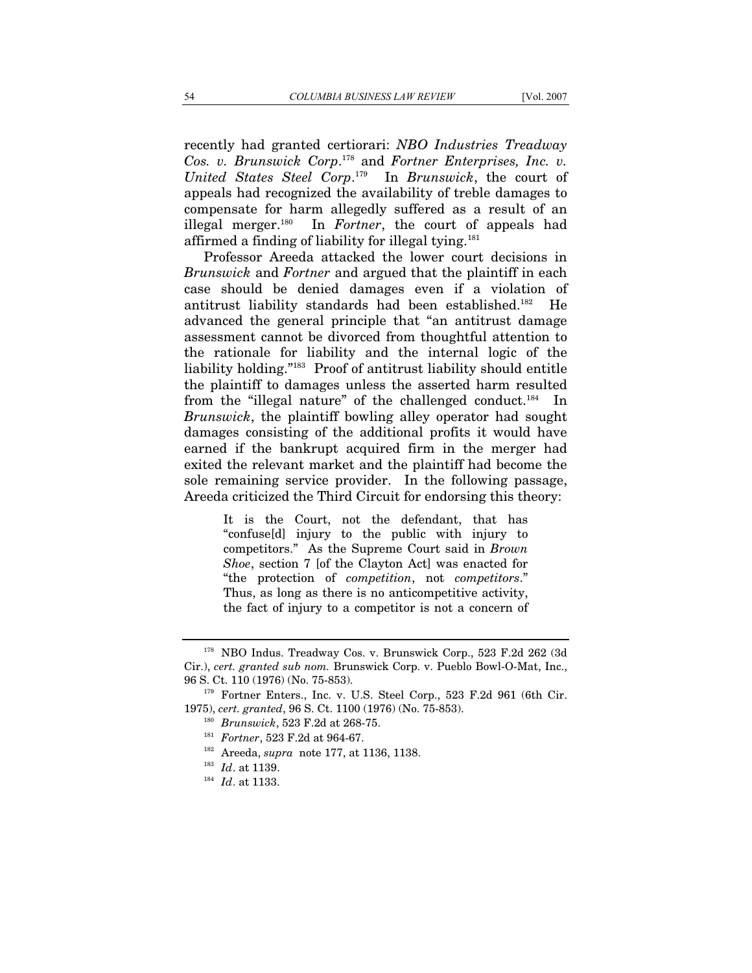affirmed a finding of liability for illegal tying.181

recently had granted certiorari: *NBO Industries Treadway Cos. v. Brunswick Corp*. 178 and *Fortner Enterprises, Inc. v. United States Steel Corp*. 179 In *Brunswick*, the court of appeals had recognized the availability of treble damages to compensate for harm allegedly suffered as a result of an illegal merger.180 In *Fortner*, the court of appeals had

Professor Areeda attacked the lower court decisions in *Brunswick* and *Fortner* and argued that the plaintiff in each case should be denied damages even if a violation of antitrust liability standards had been established.182 He advanced the general principle that "an antitrust damage assessment cannot be divorced from thoughtful attention to the rationale for liability and the internal logic of the liability holding."183 Proof of antitrust liability should entitle the plaintiff to damages unless the asserted harm resulted from the "illegal nature" of the challenged conduct.<sup>184</sup> In *Brunswick*, the plaintiff bowling alley operator had sought damages consisting of the additional profits it would have earned if the bankrupt acquired firm in the merger had exited the relevant market and the plaintiff had become the sole remaining service provider. In the following passage, Areeda criticized the Third Circuit for endorsing this theory:

> It is the Court, not the defendant, that has "confuse[d] injury to the public with injury to competitors." As the Supreme Court said in *Brown Shoe*, section 7 [of the Clayton Act] was enacted for "the protection of *competition*, not *competitors*." Thus, as long as there is no anticompetitive activity, the fact of injury to a competitor is not a concern of

<sup>178</sup> NBO Indus. Treadway Cos. v. Brunswick Corp., 523 F.2d 262 (3d Cir.), *cert. granted sub nom.* Brunswick Corp. v. Pueblo Bowl-O-Mat, Inc., 96 S. Ct. 110 (1976) (No. 75-853). 179 Fortner Enters., Inc. v. U.S. Steel Corp., 523 F.2d 961 (6th Cir.

<sup>1975),</sup> cert. granted, 96 S. Ct. 1100 (1976) (No. 75-853).<br><sup>180</sup> Brunswick, 523 F.2d at 268-75.<br><sup>181</sup> Fortner, 523 F.2d at 964-67.<br><sup>182</sup> Areeda, *supra* note 177, at 1136, 1138.<br><sup>183</sup> Id. at 1139.<br><sup>184</sup> Id. at 1133.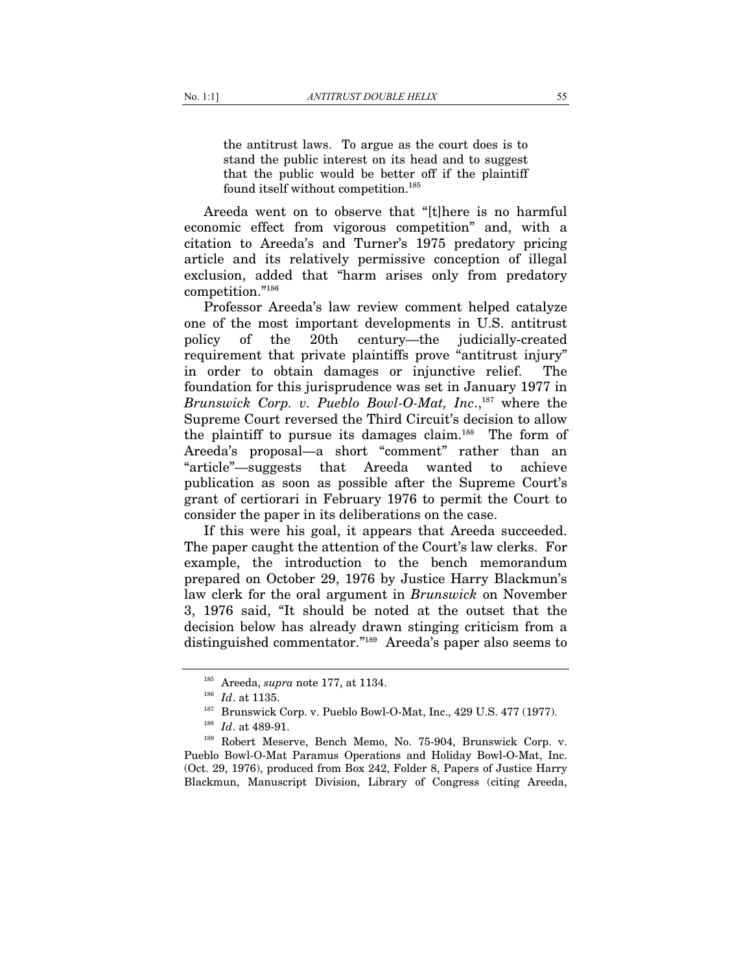the antitrust laws. To argue as the court does is to stand the public interest on its head and to suggest that the public would be better off if the plaintiff found itself without competition.<sup>185</sup>

Areeda went on to observe that "[t]here is no harmful economic effect from vigorous competition" and, with a citation to Areeda's and Turner's 1975 predatory pricing article and its relatively permissive conception of illegal exclusion, added that "harm arises only from predatory competition."186

Professor Areeda's law review comment helped catalyze one of the most important developments in U.S. antitrust policy of the 20th century—the judicially-created requirement that private plaintiffs prove "antitrust injury" in order to obtain damages or injunctive relief. The foundation for this jurisprudence was set in January 1977 in *Brunswick Corp. v. Pueblo Bowl-O-Mat, Inc.*<sup>187</sup> where the Supreme Court reversed the Third Circuit's decision to allow the plaintiff to pursue its damages claim.188 The form of Areeda's proposal—a short "comment" rather than an "article"—suggests that Areeda wanted to achieve publication as soon as possible after the Supreme Court's grant of certiorari in February 1976 to permit the Court to consider the paper in its deliberations on the case.

If this were his goal, it appears that Areeda succeeded. The paper caught the attention of the Court's law clerks. For example, the introduction to the bench memorandum prepared on October 29, 1976 by Justice Harry Blackmun's law clerk for the oral argument in *Brunswick* on November 3, 1976 said, "It should be noted at the outset that the decision below has already drawn stinging criticism from a distinguished commentator."189 Areeda's paper also seems to

<sup>&</sup>lt;sup>185</sup> Areeda, *supra* note 177, at 1134.<br><sup>186</sup> *Id.* at 1135.<br><sup>187</sup> Brunswick Corp. v. Pueblo Bowl-O-Mat, Inc., 429 U.S. 477 (1977).<br><sup>187</sup> *Id.* at 489-91.<br><sup>188</sup> Robert Meserve, Bench Memo, No. 75-904, Brunswick Corp. v.

Pueblo Bowl-O-Mat Paramus Operations and Holiday Bowl-O-Mat, Inc. (Oct. 29, 1976), produced from Box 242, Folder 8, Papers of Justice Harry Blackmun, Manuscript Division, Library of Congress (citing Areeda,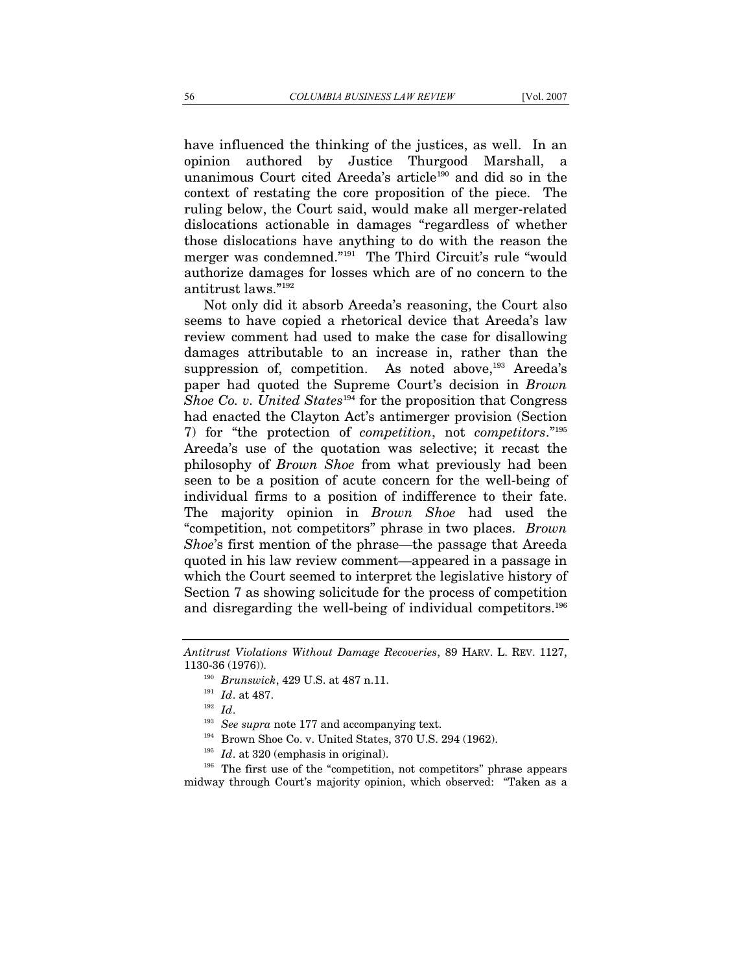have influenced the thinking of the justices, as well. In an opinion authored by Justice Thurgood Marshall, a unanimous Court cited Areeda's article<sup>190</sup> and did so in the context of restating the core proposition of the piece. The ruling below, the Court said, would make all merger-related dislocations actionable in damages "regardless of whether those dislocations have anything to do with the reason the merger was condemned."191 The Third Circuit's rule "would authorize damages for losses which are of no concern to the antitrust laws."192

Not only did it absorb Areeda's reasoning, the Court also seems to have copied a rhetorical device that Areeda's law review comment had used to make the case for disallowing damages attributable to an increase in, rather than the suppression of, competition. As noted above,<sup>193</sup> Areeda's paper had quoted the Supreme Court's decision in *Brown Shoe Co. v. United States*<sup>194</sup> for the proposition that Congress had enacted the Clayton Act's antimerger provision (Section 7) for "the protection of *competition*, not *competitors*."195 Areeda's use of the quotation was selective; it recast the philosophy of *Brown Shoe* from what previously had been seen to be a position of acute concern for the well-being of individual firms to a position of indifference to their fate. The majority opinion in *Brown Shoe* had used the "competition, not competitors" phrase in two places. *Brown Shoe*'s first mention of the phrase—the passage that Areeda quoted in his law review comment—appeared in a passage in which the Court seemed to interpret the legislative history of Section 7 as showing solicitude for the process of competition and disregarding the well-being of individual competitors.196

- 
- 

1130-36 (1976)).<br>
<sup>190</sup> Brunswick, 429 U.S. at 487 n.11.<br>
<sup>191</sup> Id. at 487.<br>
<sup>192</sup> Id.<br>
<sup>193</sup> See supra note 177 and accompanying text.<br>
<sup>194</sup> Brown Shoe Co. v. United States, 370 U.S. 294 (1962).<br>
<sup>195</sup> Id. at 320 (empha midway through Court's majority opinion, which observed: "Taken as a

*Antitrust Violations Without Damage Recoveries*, 89 HARV. L. REV. 1127,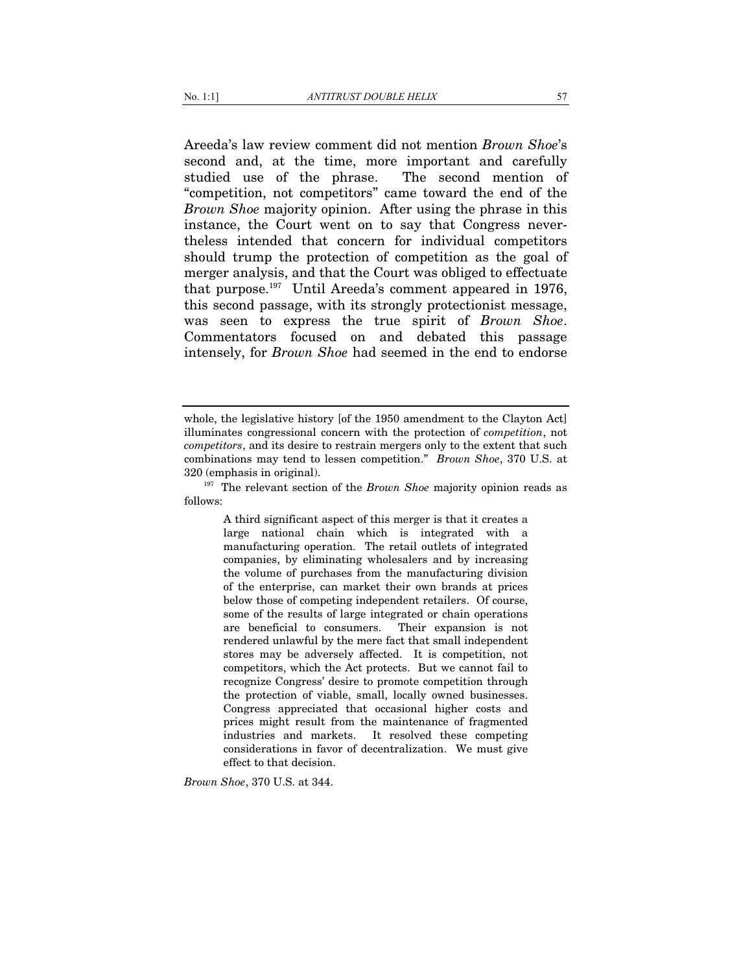Areeda's law review comment did not mention *Brown Shoe*'s second and, at the time, more important and carefully studied use of the phrase. The second mention of "competition, not competitors" came toward the end of the *Brown Shoe* majority opinion. After using the phrase in this instance, the Court went on to say that Congress nevertheless intended that concern for individual competitors should trump the protection of competition as the goal of merger analysis, and that the Court was obliged to effectuate that purpose.197 Until Areeda's comment appeared in 1976, this second passage, with its strongly protectionist message, was seen to express the true spirit of *Brown Shoe*. Commentators focused on and debated this passage intensely, for *Brown Shoe* had seemed in the end to endorse

A third significant aspect of this merger is that it creates a large national chain which is integrated with a manufacturing operation. The retail outlets of integrated companies, by eliminating wholesalers and by increasing the volume of purchases from the manufacturing division of the enterprise, can market their own brands at prices below those of competing independent retailers. Of course, some of the results of large integrated or chain operations are beneficial to consumers. Their expansion is not are beneficial to consumers. rendered unlawful by the mere fact that small independent stores may be adversely affected. It is competition, not competitors, which the Act protects. But we cannot fail to recognize Congress' desire to promote competition through the protection of viable, small, locally owned businesses. Congress appreciated that occasional higher costs and prices might result from the maintenance of fragmented industries and markets. It resolved these competing considerations in favor of decentralization. We must give effect to that decision.

*Brown Shoe*, 370 U.S. at 344.

whole, the legislative history [of the 1950 amendment to the Clayton Act] illuminates congressional concern with the protection of *competition*, not *competitors*, and its desire to restrain mergers only to the extent that such combinations may tend to lessen competition." *Brown Shoe*, 370 U.S. at 320 (emphasis in original). 197 The relevant section of the *Brown Shoe* majority opinion reads as

follows: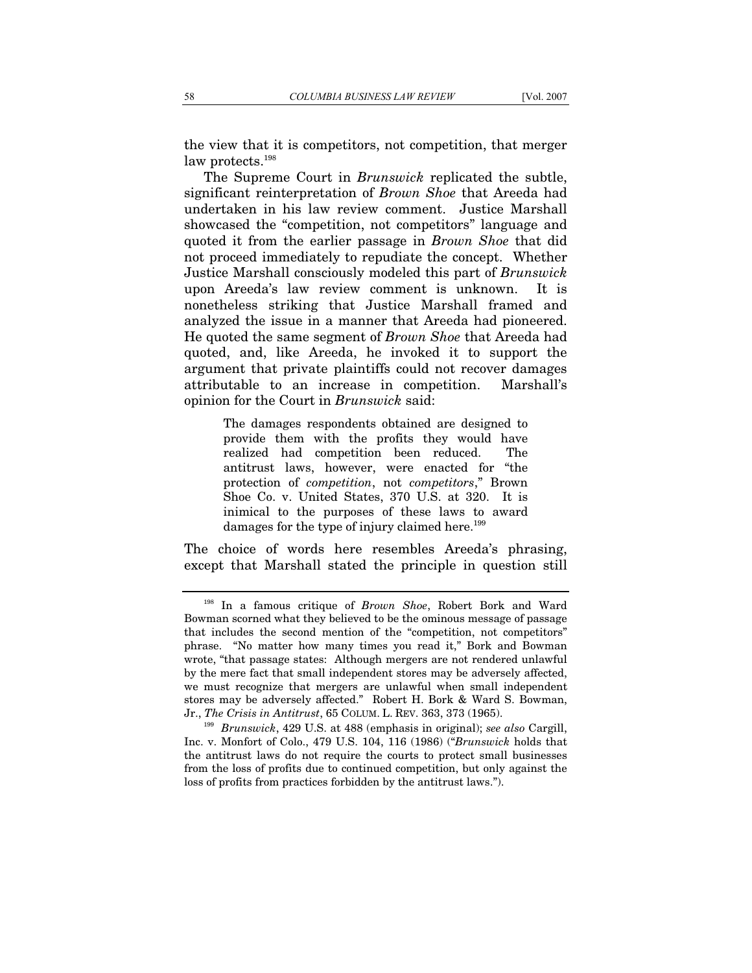the view that it is competitors, not competition, that merger law protects.<sup>198</sup>

The Supreme Court in *Brunswick* replicated the subtle, significant reinterpretation of *Brown Shoe* that Areeda had undertaken in his law review comment. Justice Marshall showcased the "competition, not competitors" language and quoted it from the earlier passage in *Brown Shoe* that did not proceed immediately to repudiate the concept. Whether Justice Marshall consciously modeled this part of *Brunswick* upon Areeda's law review comment is unknown. It is nonetheless striking that Justice Marshall framed and analyzed the issue in a manner that Areeda had pioneered. He quoted the same segment of *Brown Shoe* that Areeda had quoted, and, like Areeda, he invoked it to support the argument that private plaintiffs could not recover damages attributable to an increase in competition. Marshall's opinion for the Court in *Brunswick* said:

> The damages respondents obtained are designed to provide them with the profits they would have realized had competition been reduced. The antitrust laws, however, were enacted for "the protection of *competition*, not *competitors*," Brown Shoe Co. v. United States, 370 U.S. at 320. It is inimical to the purposes of these laws to award damages for the type of injury claimed here.<sup>199</sup>

The choice of words here resembles Areeda's phrasing, except that Marshall stated the principle in question still

<sup>198</sup> In a famous critique of *Brown Shoe*, Robert Bork and Ward Bowman scorned what they believed to be the ominous message of passage that includes the second mention of the "competition, not competitors" phrase. "No matter how many times you read it," Bork and Bowman wrote, "that passage states: Although mergers are not rendered unlawful by the mere fact that small independent stores may be adversely affected, we must recognize that mergers are unlawful when small independent stores may be adversely affected." Robert H. Bork & Ward S. Bowman, Jr., *The Crisis in Antitrust*, 65 COLUM. L. REV. 363, 373 (1965). 199 *Brunswick*, 429 U.S. at 488 (emphasis in original); *see also* Cargill,

Inc. v. Monfort of Colo., 479 U.S. 104, 116 (1986) ("*Brunswick* holds that the antitrust laws do not require the courts to protect small businesses from the loss of profits due to continued competition, but only against the loss of profits from practices forbidden by the antitrust laws.").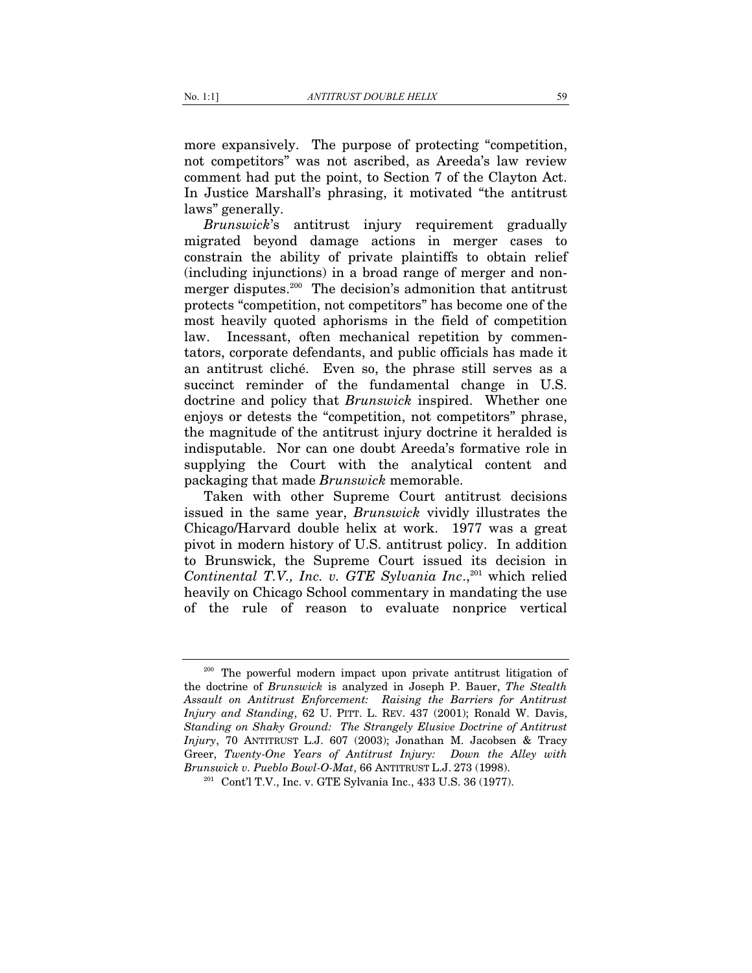more expansively. The purpose of protecting "competition, not competitors" was not ascribed, as Areeda's law review comment had put the point, to Section 7 of the Clayton Act. In Justice Marshall's phrasing, it motivated "the antitrust laws" generally.

*Brunswick*'s antitrust injury requirement gradually migrated beyond damage actions in merger cases to constrain the ability of private plaintiffs to obtain relief (including injunctions) in a broad range of merger and nonmerger disputes.<sup>200</sup> The decision's admonition that antitrust protects "competition, not competitors" has become one of the most heavily quoted aphorisms in the field of competition law. Incessant, often mechanical repetition by commentators, corporate defendants, and public officials has made it an antitrust cliché. Even so, the phrase still serves as a succinct reminder of the fundamental change in U.S. doctrine and policy that *Brunswick* inspired. Whether one enjoys or detests the "competition, not competitors" phrase, the magnitude of the antitrust injury doctrine it heralded is indisputable. Nor can one doubt Areeda's formative role in supplying the Court with the analytical content and packaging that made *Brunswick* memorable.

Taken with other Supreme Court antitrust decisions issued in the same year, *Brunswick* vividly illustrates the Chicago/Harvard double helix at work. 1977 was a great pivot in modern history of U.S. antitrust policy. In addition to Brunswick, the Supreme Court issued its decision in *Continental T.V., Inc. v. GTE Sylvania Inc.*<sup>201</sup> which relied heavily on Chicago School commentary in mandating the use of the rule of reason to evaluate nonprice vertical

<sup>&</sup>lt;sup>200</sup> The powerful modern impact upon private antitrust litigation of the doctrine of *Brunswick* is analyzed in Joseph P. Bauer, *The Stealth Assault on Antitrust Enforcement: Raising the Barriers for Antitrust Injury and Standing*, 62 U. PITT. L. REV. 437 (2001); Ronald W. Davis, *Standing on Shaky Ground: The Strangely Elusive Doctrine of Antitrust Injury*, 70 ANTITRUST L.J. 607 (2003); Jonathan M. Jacobsen & Tracy Greer, *Twenty-One Years of Antitrust Injury: Down the Alley with Brunswick v. Pueblo Bowl-O-Mat*, 66 ANTITRUST L.J. 273 (1998).<br><sup>201</sup> Cont'l T.V., Inc. v. GTE Sylvania Inc., 433 U.S. 36 (1977).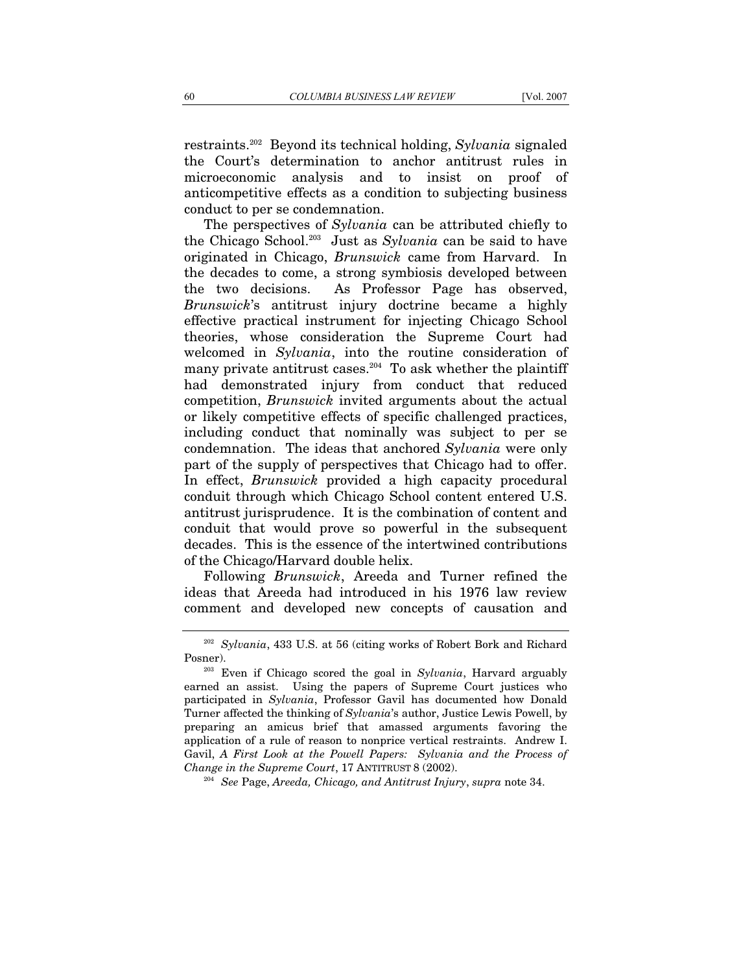restraints.202 Beyond its technical holding, *Sylvania* signaled the Court's determination to anchor antitrust rules in microeconomic analysis and to insist on proof of anticompetitive effects as a condition to subjecting business conduct to per se condemnation.

The perspectives of *Sylvania* can be attributed chiefly to the Chicago School.203 Just as *Sylvania* can be said to have originated in Chicago, *Brunswick* came from Harvard. In the decades to come, a strong symbiosis developed between the two decisions. As Professor Page has observed, *Brunswick*'s antitrust injury doctrine became a highly effective practical instrument for injecting Chicago School theories, whose consideration the Supreme Court had welcomed in *Sylvania*, into the routine consideration of many private antitrust cases.<sup>204</sup> To ask whether the plaintiff had demonstrated injury from conduct that reduced competition, *Brunswick* invited arguments about the actual or likely competitive effects of specific challenged practices, including conduct that nominally was subject to per se condemnation. The ideas that anchored *Sylvania* were only part of the supply of perspectives that Chicago had to offer. In effect, *Brunswick* provided a high capacity procedural conduit through which Chicago School content entered U.S. antitrust jurisprudence. It is the combination of content and conduit that would prove so powerful in the subsequent decades. This is the essence of the intertwined contributions of the Chicago/Harvard double helix.

Following *Brunswick*, Areeda and Turner refined the ideas that Areeda had introduced in his 1976 law review comment and developed new concepts of causation and

<sup>202</sup> *Sylvania*, 433 U.S. at 56 (citing works of Robert Bork and Richard

Posner). 203 Even if Chicago scored the goal in *Sylvania*, Harvard arguably earned an assist. Using the papers of Supreme Court justices who participated in *Sylvania*, Professor Gavil has documented how Donald Turner affected the thinking of *Sylvania*'s author, Justice Lewis Powell, by preparing an amicus brief that amassed arguments favoring the application of a rule of reason to nonprice vertical restraints. Andrew I. Gavil, *A First Look at the Powell Papers: Sylvania and the Process of Change in the Supreme Court*, 17 ANTITRUST 8 (2002). 204 *See* Page, *Areeda, Chicago, and Antitrust Injury*, *supra* note 34.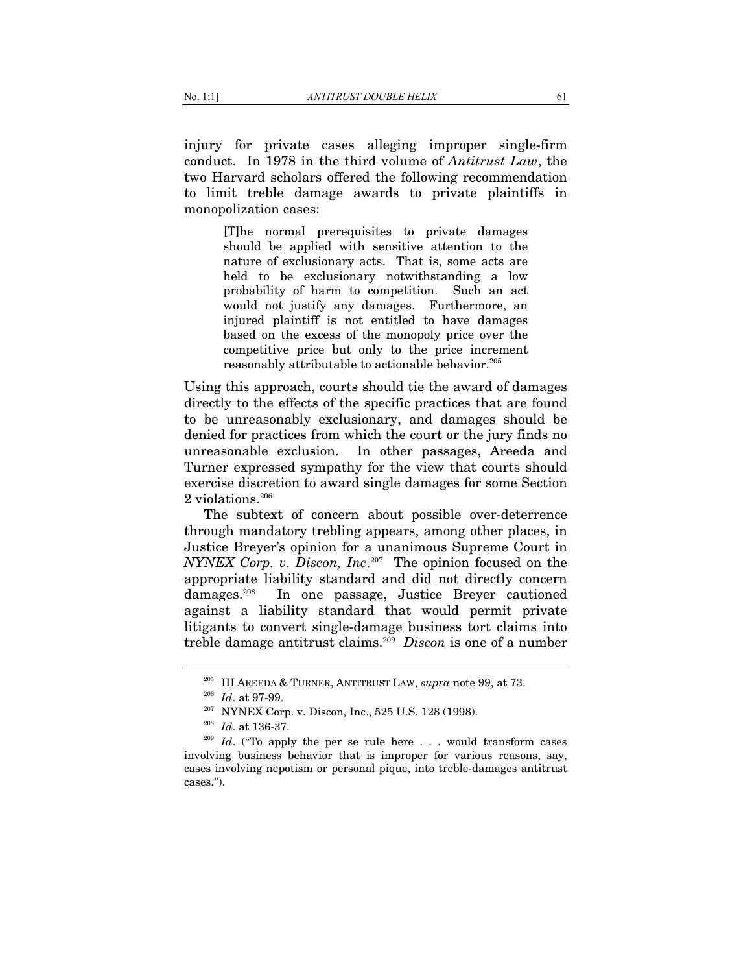injury for private cases alleging improper single-firm conduct. In 1978 in the third volume of *Antitrust Law*, the two Harvard scholars offered the following recommendation to limit treble damage awards to private plaintiffs in monopolization cases:

> [T]he normal prerequisites to private damages should be applied with sensitive attention to the nature of exclusionary acts. That is, some acts are held to be exclusionary notwithstanding a low probability of harm to competition. Such an act would not justify any damages. Furthermore, an injured plaintiff is not entitled to have damages based on the excess of the monopoly price over the competitive price but only to the price increment reasonably attributable to actionable behavior.<sup>205</sup>

Using this approach, courts should tie the award of damages directly to the effects of the specific practices that are found to be unreasonably exclusionary, and damages should be denied for practices from which the court or the jury finds no unreasonable exclusion. In other passages, Areeda and Turner expressed sympathy for the view that courts should exercise discretion to award single damages for some Section 2 violations.<sup>206</sup>

The subtext of concern about possible over-deterrence through mandatory trebling appears, among other places, in Justice Breyer's opinion for a unanimous Supreme Court in *NYNEX Corp. v. Discon, Inc*. 207 The opinion focused on the appropriate liability standard and did not directly concern damages.208 In one passage, Justice Breyer cautioned against a liability standard that would permit private litigants to convert single-damage business tort claims into treble damage antitrust claims.209 *Discon* is one of a number

<sup>&</sup>lt;sup>205</sup> III AREEDA & TURNER, ANTITRUST LAW, *supra* note 99, at 73.<br><sup>206</sup> Id. at 97-99.<br><sup>207</sup> NYNEX Corp. v. Discon, Inc., 525 U.S. 128 (1998).<br><sup>208</sup> Id. at 136-37.<br><sup>209</sup> Id. ("To apply the per se rule here . . . would tran involving business behavior that is improper for various reasons, say, cases involving nepotism or personal pique, into treble-damages antitrust cases.").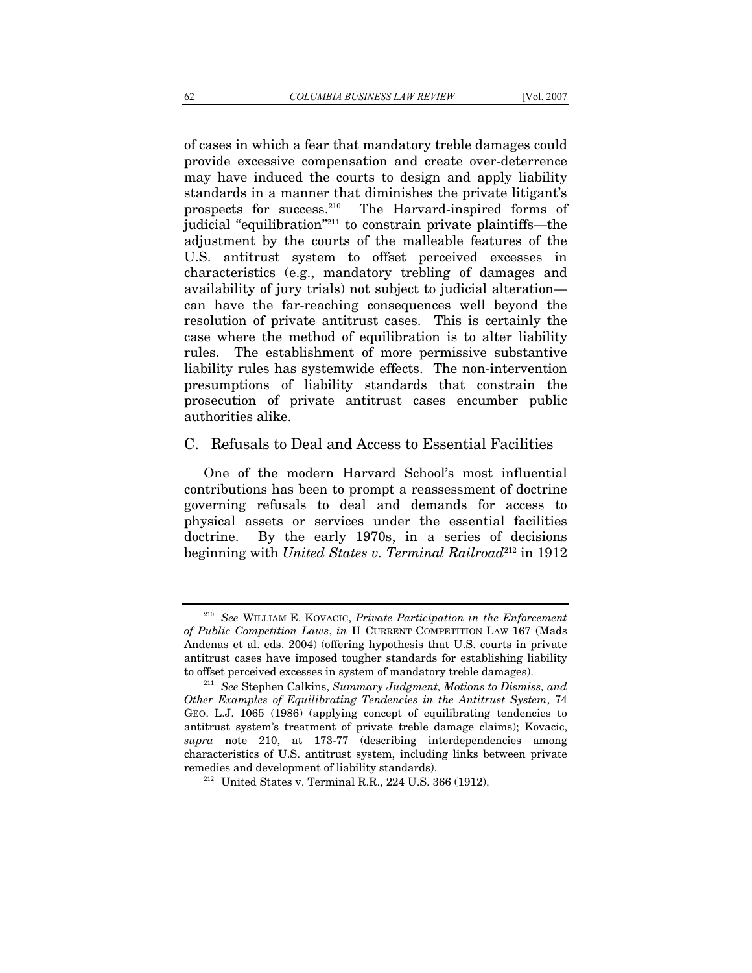of cases in which a fear that mandatory treble damages could provide excessive compensation and create over-deterrence may have induced the courts to design and apply liability standards in a manner that diminishes the private litigant's prospects for success.210 The Harvard-inspired forms of judicial "equilibration"211 to constrain private plaintiffs—the adjustment by the courts of the malleable features of the U.S. antitrust system to offset perceived excesses in characteristics (e.g., mandatory trebling of damages and availability of jury trials) not subject to judicial alteration can have the far-reaching consequences well beyond the resolution of private antitrust cases. This is certainly the case where the method of equilibration is to alter liability rules. The establishment of more permissive substantive liability rules has systemwide effects. The non-intervention presumptions of liability standards that constrain the prosecution of private antitrust cases encumber public authorities alike.

# C. Refusals to Deal and Access to Essential Facilities

One of the modern Harvard School's most influential contributions has been to prompt a reassessment of doctrine governing refusals to deal and demands for access to physical assets or services under the essential facilities doctrine. By the early 1970s, in a series of decisions beginning with *United States v. Terminal Railroad*<sup>212</sup> in 1912

<sup>210</sup> *See* WILLIAM E. KOVACIC, *Private Participation in the Enforcement of Public Competition Laws*, *in* II CURRENT COMPETITION LAW 167 (Mads Andenas et al. eds. 2004) (offering hypothesis that U.S. courts in private antitrust cases have imposed tougher standards for establishing liability to offset perceived excesses in system of mandatory treble damages). 211 *See* Stephen Calkins, *Summary Judgment, Motions to Dismiss, and* 

*Other Examples of Equilibrating Tendencies in the Antitrust System*, 74 GEO. L.J. 1065 (1986) (applying concept of equilibrating tendencies to antitrust system's treatment of private treble damage claims); Kovacic, *supra* note 210, at 173-77 (describing interdependencies among characteristics of U.S. antitrust system, including links between private remedies and development of liability standards).<br><sup>212</sup> United States v. Terminal R.R., 224 U.S. 366 (1912).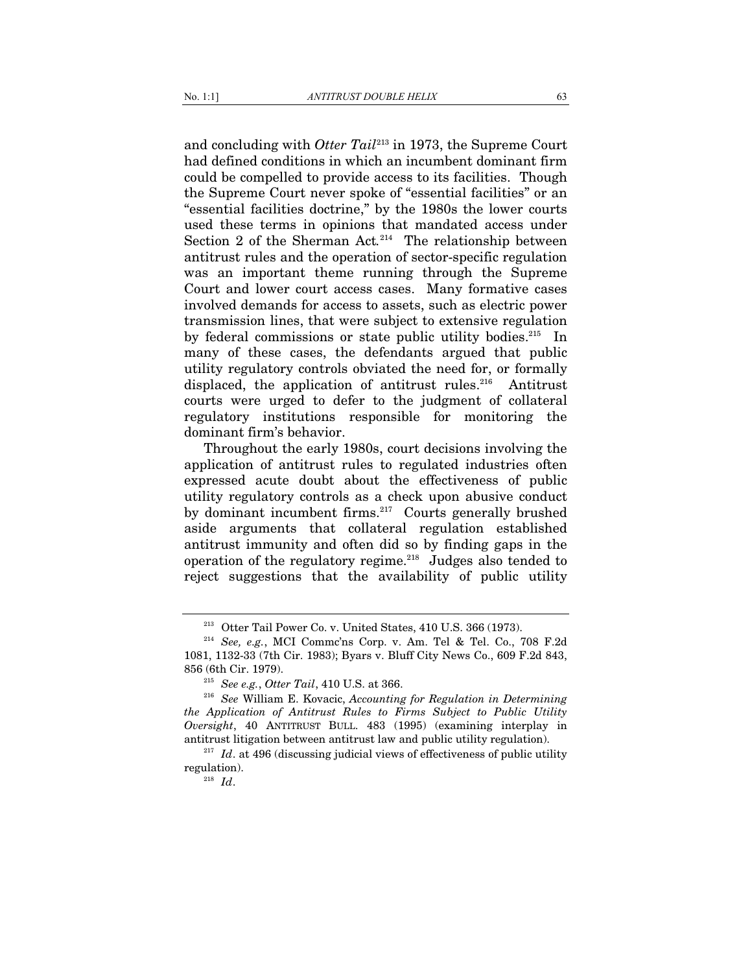and concluding with *Otter Tail*213 in 1973, the Supreme Court had defined conditions in which an incumbent dominant firm could be compelled to provide access to its facilities. Though the Supreme Court never spoke of "essential facilities" or an "essential facilities doctrine," by the 1980s the lower courts used these terms in opinions that mandated access under Section 2 of the Sherman Act.<sup>214</sup> The relationship between antitrust rules and the operation of sector-specific regulation was an important theme running through the Supreme Court and lower court access cases. Many formative cases involved demands for access to assets, such as electric power transmission lines, that were subject to extensive regulation by federal commissions or state public utility bodies.<sup>215</sup> In many of these cases, the defendants argued that public utility regulatory controls obviated the need for, or formally displaced, the application of antitrust rules.<sup>216</sup> Antitrust courts were urged to defer to the judgment of collateral regulatory institutions responsible for monitoring the dominant firm's behavior.

Throughout the early 1980s, court decisions involving the application of antitrust rules to regulated industries often expressed acute doubt about the effectiveness of public utility regulatory controls as a check upon abusive conduct by dominant incumbent firms.<sup>217</sup> Courts generally brushed aside arguments that collateral regulation established antitrust immunity and often did so by finding gaps in the operation of the regulatory regime.218 Judges also tended to reject suggestions that the availability of public utility

<sup>213</sup> Otter Tail Power Co. v. United States, 410 U.S. 366 (1973). 214 *See, e.g.*, MCI Commc'ns Corp. v. Am. Tel & Tel. Co., 708 F.2d 1081, 1132-33 (7th Cir. 1983); Byars v. Bluff City News Co., 609 F.2d 843, 856 (6th Cir. 1979). 215 *See e.g.*, *Otter Tail*, 410 U.S. at 366. 216 *See* William E. Kovacic, *Accounting for Regulation in Determining* 

*the Application of Antitrust Rules to Firms Subject to Public Utility Oversight*, 40 ANTITRUST BULL. 483 (1995) (examining interplay in antitrust litigation between antitrust law and public utility regulation). 217 *Id*. at 496 (discussing judicial views of effectiveness of public utility

regulation). 218 *Id*.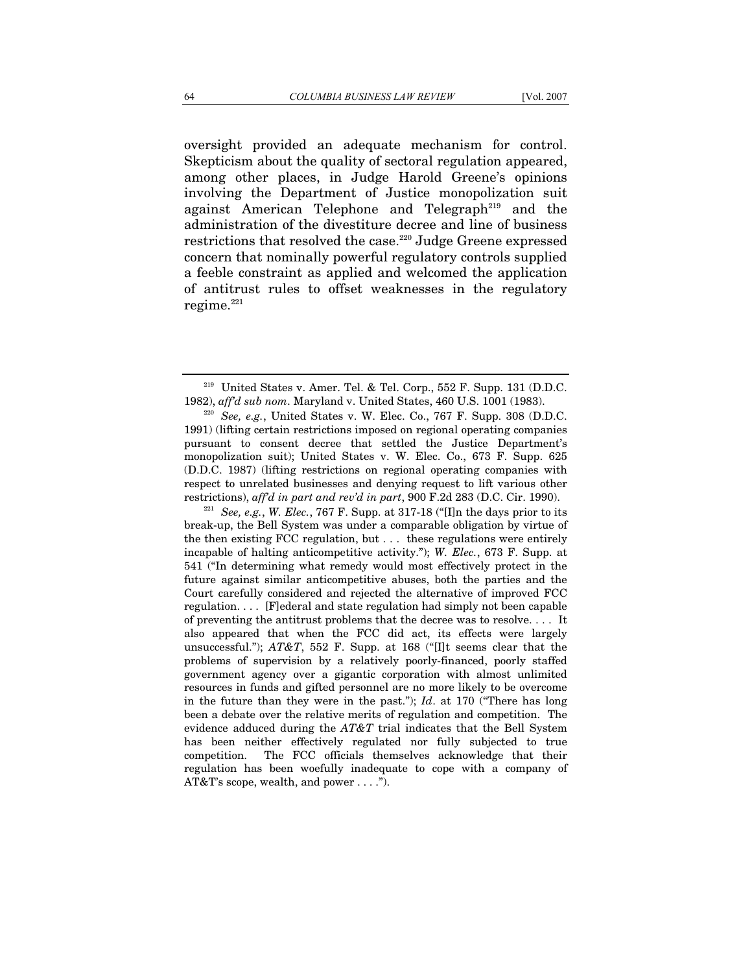oversight provided an adequate mechanism for control. Skepticism about the quality of sectoral regulation appeared, among other places, in Judge Harold Greene's opinions involving the Department of Justice monopolization suit against American Telephone and Telegraph<sup>219</sup> and the administration of the divestiture decree and line of business restrictions that resolved the case.<sup>220</sup> Judge Greene expressed concern that nominally powerful regulatory controls supplied a feeble constraint as applied and welcomed the application of antitrust rules to offset weaknesses in the regulatory regime. $221$ 

break-up, the Bell System was under a comparable obligation by virtue of the then existing FCC regulation, but . . . these regulations were entirely incapable of halting anticompetitive activity."); *W. Elec.*, 673 F. Supp. at 541 ("In determining what remedy would most effectively protect in the future against similar anticompetitive abuses, both the parties and the Court carefully considered and rejected the alternative of improved FCC regulation. . . . [F]ederal and state regulation had simply not been capable of preventing the antitrust problems that the decree was to resolve. . . . It also appeared that when the FCC did act, its effects were largely unsuccessful."); *AT&T*, 552 F. Supp. at 168 ("[I]t seems clear that the problems of supervision by a relatively poorly-financed, poorly staffed government agency over a gigantic corporation with almost unlimited resources in funds and gifted personnel are no more likely to be overcome in the future than they were in the past."); *Id*. at 170 ("There has long been a debate over the relative merits of regulation and competition. The evidence adduced during the *AT&T* trial indicates that the Bell System has been neither effectively regulated nor fully subjected to true competition. The FCC officials themselves acknowledge that their regulation has been woefully inadequate to cope with a company of AT&T's scope, wealth, and power . . . .").

<sup>&</sup>lt;sup>219</sup> United States v. Amer. Tel. & Tel. Corp., 552 F. Supp. 131 (D.D.C. 1982), *aff'd sub nom*. Maryland v. United States, 460 U.S. 1001 (1983). 220 *See, e.g.*, United States v. W. Elec. Co., 767 F. Supp. 308 (D.D.C.

<sup>1991) (</sup>lifting certain restrictions imposed on regional operating companies pursuant to consent decree that settled the Justice Department's monopolization suit); United States v. W. Elec. Co., 673 F. Supp. 625 (D.D.C. 1987) (lifting restrictions on regional operating companies with respect to unrelated businesses and denying request to lift various other restrictions), *aff'd in part and rev'd in part*, 900 F.2d 283 (D.C. Cir. 1990).<br><sup>221</sup> *See, e.g.*, *W. Elec.*, 767 F. Supp. at 317-18 ("[I]n the days prior to its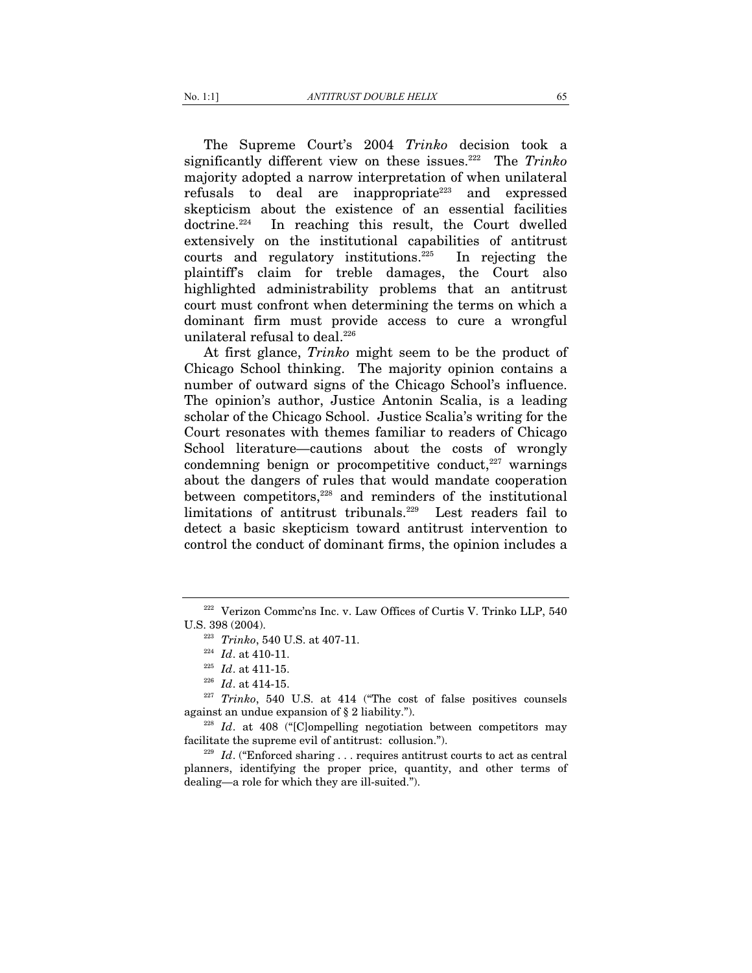The Supreme Court's 2004 *Trinko* decision took a significantly different view on these issues.<sup>222</sup> The *Trinko* majority adopted a narrow interpretation of when unilateral refusals to deal are inappropriate<sup>223</sup> and expressed skepticism about the existence of an essential facilities doctrine.224 In reaching this result, the Court dwelled extensively on the institutional capabilities of antitrust courts and regulatory institutions.225 In rejecting the plaintiff's claim for treble damages, the Court also highlighted administrability problems that an antitrust court must confront when determining the terms on which a dominant firm must provide access to cure a wrongful unilateral refusal to deal.<sup>226</sup>

At first glance, *Trinko* might seem to be the product of Chicago School thinking. The majority opinion contains a number of outward signs of the Chicago School's influence. The opinion's author, Justice Antonin Scalia, is a leading scholar of the Chicago School. Justice Scalia's writing for the Court resonates with themes familiar to readers of Chicago School literature—cautions about the costs of wrongly condemning benign or procompetitive conduct, $227$  warnings about the dangers of rules that would mandate cooperation between competitors,<sup>228</sup> and reminders of the institutional limitations of antitrust tribunals.229 Lest readers fail to detect a basic skepticism toward antitrust intervention to control the conduct of dominant firms, the opinion includes a

<sup>&</sup>lt;sup>222</sup> Verizon Commc'ns Inc. v. Law Offices of Curtis V. Trinko LLP, 540 U.S. 398 (2004).<br><sup>223</sup> *Trinko*, 540 U.S. at 407-11.<br><sup>224</sup> *Id.* at 410-11.<br><sup>225</sup> *Id.* at 411-15.<br><sup>226</sup> *Id.* at 414-15.<br><sup>227</sup> *Trinko*, 540 U.S. at 414 ("The cost of false positives counsels

against an undue expansion of § 2 liability.").<br><sup>228</sup> *Id*. at 408 ("[C]ompelling negotiation between competitors may

facilitate the supreme evil of antitrust: collusion.").<br><sup>229</sup> *Id*. ("Enforced sharing . . . requires antitrust courts to act as central

planners, identifying the proper price, quantity, and other terms of dealing—a role for which they are ill-suited.").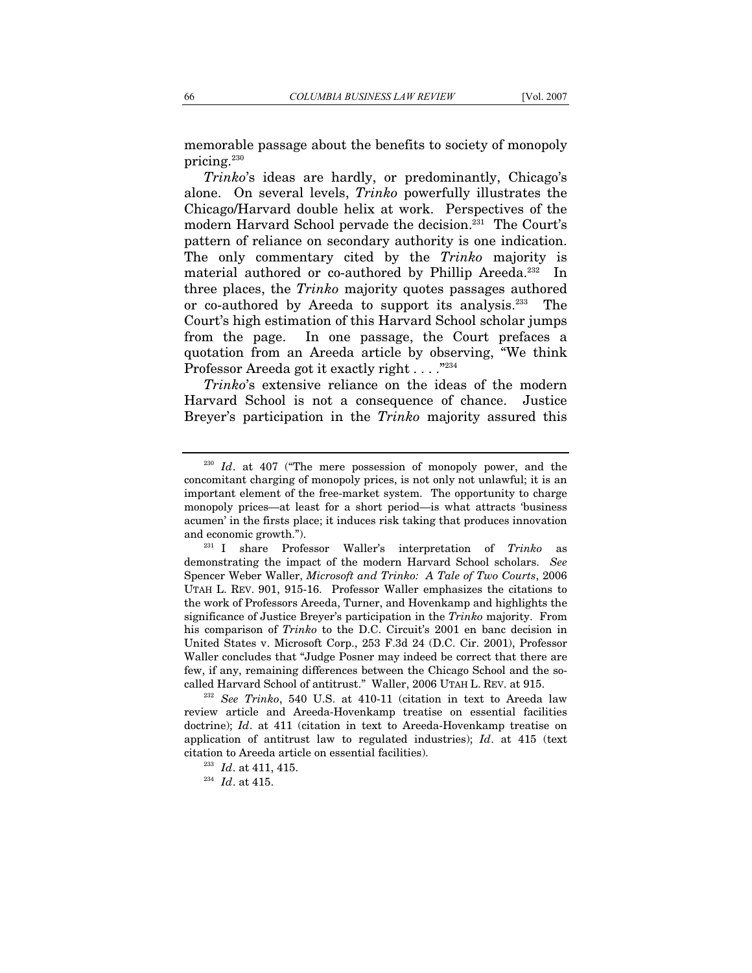memorable passage about the benefits to society of monopoly pricing.<sup>230</sup>

*Trinko*'s ideas are hardly, or predominantly, Chicago's alone. On several levels, *Trinko* powerfully illustrates the Chicago/Harvard double helix at work. Perspectives of the modern Harvard School pervade the decision.231 The Court's pattern of reliance on secondary authority is one indication. The only commentary cited by the *Trinko* majority is material authored or co-authored by Phillip Areeda.<sup>232</sup> In three places, the *Trinko* majority quotes passages authored or co-authored by Areeda to support its analysis.233 The Court's high estimation of this Harvard School scholar jumps from the page. In one passage, the Court prefaces a quotation from an Areeda article by observing, "We think Professor Areeda got it exactly right . . . . "234"

*Trinko*'s extensive reliance on the ideas of the modern Harvard School is not a consequence of chance. Justice Breyer's participation in the *Trinko* majority assured this

<sup>&</sup>lt;sup>230</sup> *Id.* at 407 ("The mere possession of monopoly power, and the concomitant charging of monopoly prices, is not only not unlawful; it is an important element of the free-market system. The opportunity to charge monopoly prices—at least for a short period—is what attracts 'business acumen' in the firsts place; it induces risk taking that produces innovation and economic growth."). 231 I share Professor Waller's interpretation of *Trinko* as

demonstrating the impact of the modern Harvard School scholars. *See* Spencer Weber Waller, *Microsoft and Trinko: A Tale of Two Courts*, 2006 UTAH L. REV. 901, 915-16. Professor Waller emphasizes the citations to the work of Professors Areeda, Turner, and Hovenkamp and highlights the significance of Justice Breyer's participation in the *Trinko* majority. From his comparison of *Trinko* to the D.C. Circuit's 2001 en banc decision in United States v. Microsoft Corp., 253 F.3d 24 (D.C. Cir. 2001), Professor Waller concludes that "Judge Posner may indeed be correct that there are few, if any, remaining differences between the Chicago School and the socalled Harvard School of antitrust." Waller, 2006 UTAH L. REV. at 915. 232 *See Trinko*, 540 U.S. at 410-11 (citation in text to Areeda law

review article and Areeda-Hovenkamp treatise on essential facilities doctrine); *Id*. at 411 (citation in text to Areeda-Hovenkamp treatise on application of antitrust law to regulated industries); *Id*. at 415 (text citation to Areeda article on essential facilities). 233 *Id*. at 411, 415. 234 *Id*. at 415.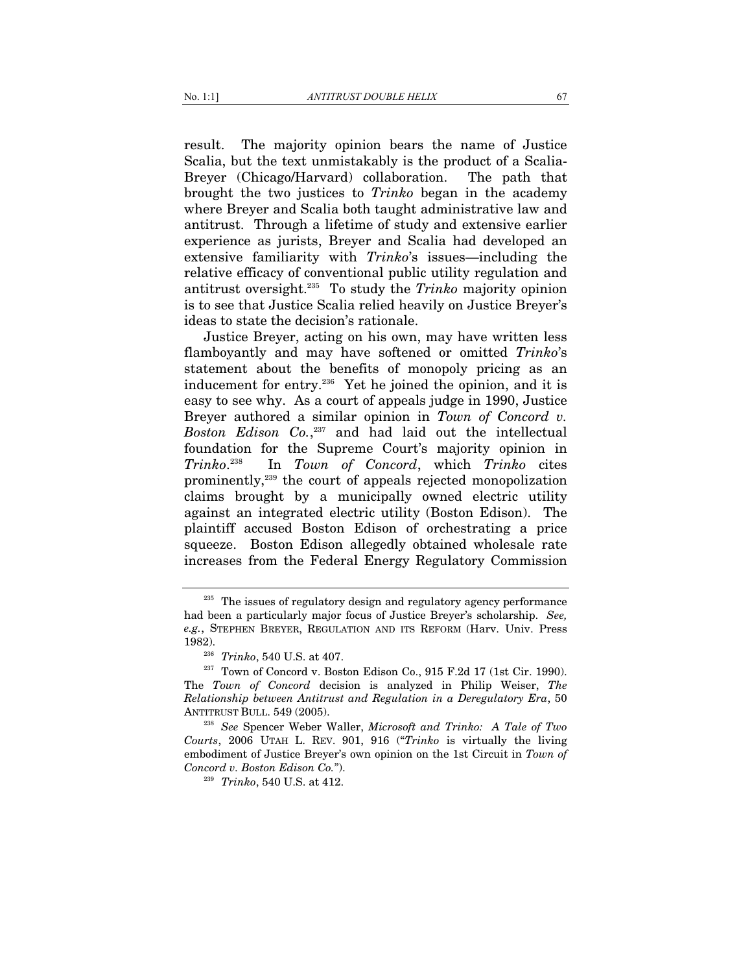result. The majority opinion bears the name of Justice Scalia, but the text unmistakably is the product of a Scalia-Breyer (Chicago/Harvard) collaboration. The path that brought the two justices to *Trinko* began in the academy where Breyer and Scalia both taught administrative law and antitrust. Through a lifetime of study and extensive earlier experience as jurists, Breyer and Scalia had developed an extensive familiarity with *Trinko*'s issues—including the relative efficacy of conventional public utility regulation and antitrust oversight.235 To study the *Trinko* majority opinion is to see that Justice Scalia relied heavily on Justice Breyer's ideas to state the decision's rationale.

Justice Breyer, acting on his own, may have written less flamboyantly and may have softened or omitted *Trinko*'s statement about the benefits of monopoly pricing as an inducement for entry.<sup>236</sup> Yet he joined the opinion, and it is easy to see why. As a court of appeals judge in 1990, Justice Breyer authored a similar opinion in *Town of Concord v. Boston Edison Co.*, 237 and had laid out the intellectual foundation for the Supreme Court's majority opinion in *Trinko*. 238 In *Town of Concord*, which *Trinko* cites prominently,239 the court of appeals rejected monopolization claims brought by a municipally owned electric utility against an integrated electric utility (Boston Edison). The plaintiff accused Boston Edison of orchestrating a price squeeze. Boston Edison allegedly obtained wholesale rate increases from the Federal Energy Regulatory Commission

<sup>&</sup>lt;sup>235</sup> The issues of regulatory design and regulatory agency performance had been a particularly major focus of Justice Breyer's scholarship. *See, e.g.*, STEPHEN BREYER, REGULATION AND ITS REFORM (Harv. Univ. Press 1982). 236 *Trinko*, 540 U.S. at 407. 237 Town of Concord v. Boston Edison Co., 915 F.2d 17 (1st Cir. 1990).

The *Town of Concord* decision is analyzed in Philip Weiser, *The Relationship between Antitrust and Regulation in a Deregulatory Era*, 50

ANTITRUST BULL. 549 (2005). 238 *See* Spencer Weber Waller, *Microsoft and Trinko: A Tale of Two Courts*, 2006 UTAH L. REV. 901, 916 ("*Trinko* is virtually the living embodiment of Justice Breyer's own opinion on the 1st Circuit in *Town of Concord v. Boston Edison Co.*"). 239 *Trinko*, 540 U.S. at 412.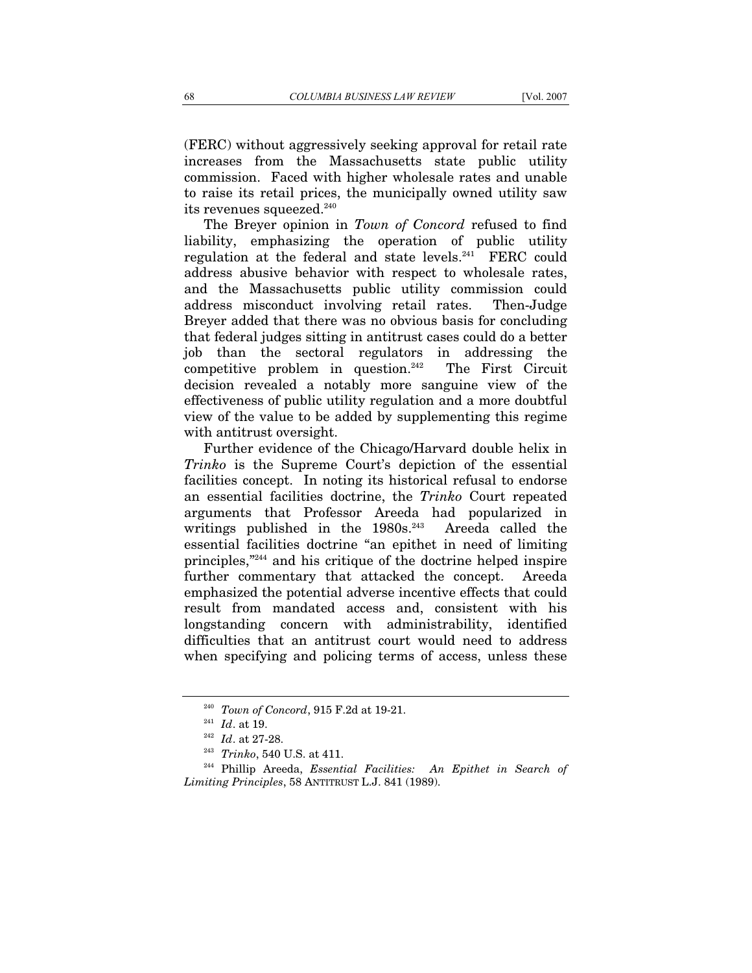(FERC) without aggressively seeking approval for retail rate increases from the Massachusetts state public utility commission. Faced with higher wholesale rates and unable to raise its retail prices, the municipally owned utility saw its revenues squeezed.<sup>240</sup>

The Breyer opinion in *Town of Concord* refused to find liability, emphasizing the operation of public utility regulation at the federal and state levels.<sup>241</sup> FERC could address abusive behavior with respect to wholesale rates, and the Massachusetts public utility commission could address misconduct involving retail rates. Then-Judge Breyer added that there was no obvious basis for concluding that federal judges sitting in antitrust cases could do a better job than the sectoral regulators in addressing the competitive problem in question.<sup>242</sup> The First Circuit decision revealed a notably more sanguine view of the effectiveness of public utility regulation and a more doubtful view of the value to be added by supplementing this regime with antitrust oversight.

Further evidence of the Chicago/Harvard double helix in *Trinko* is the Supreme Court's depiction of the essential facilities concept. In noting its historical refusal to endorse an essential facilities doctrine, the *Trinko* Court repeated arguments that Professor Areeda had popularized in writings published in the 1980s.<sup>243</sup> Areeda called the essential facilities doctrine "an epithet in need of limiting principles,"244 and his critique of the doctrine helped inspire further commentary that attacked the concept. Areeda emphasized the potential adverse incentive effects that could result from mandated access and, consistent with his longstanding concern with administrability, identified difficulties that an antitrust court would need to address when specifying and policing terms of access, unless these

<sup>&</sup>lt;sup>240</sup> *Town of Concord*, 915 F.2d at 19-21.<br><sup>241</sup> *Id.* at 19.<br><sup>242</sup> *Id.* at 27-28.

<sup>&</sup>lt;sup>243</sup> *Trinko*, 540 U.S. at 411.<br><sup>244</sup> Phillip Areeda, *Essential Facilities: An Epithet in Search of Limiting Principles*, 58 ANTITRUST L.J. 841 (1989).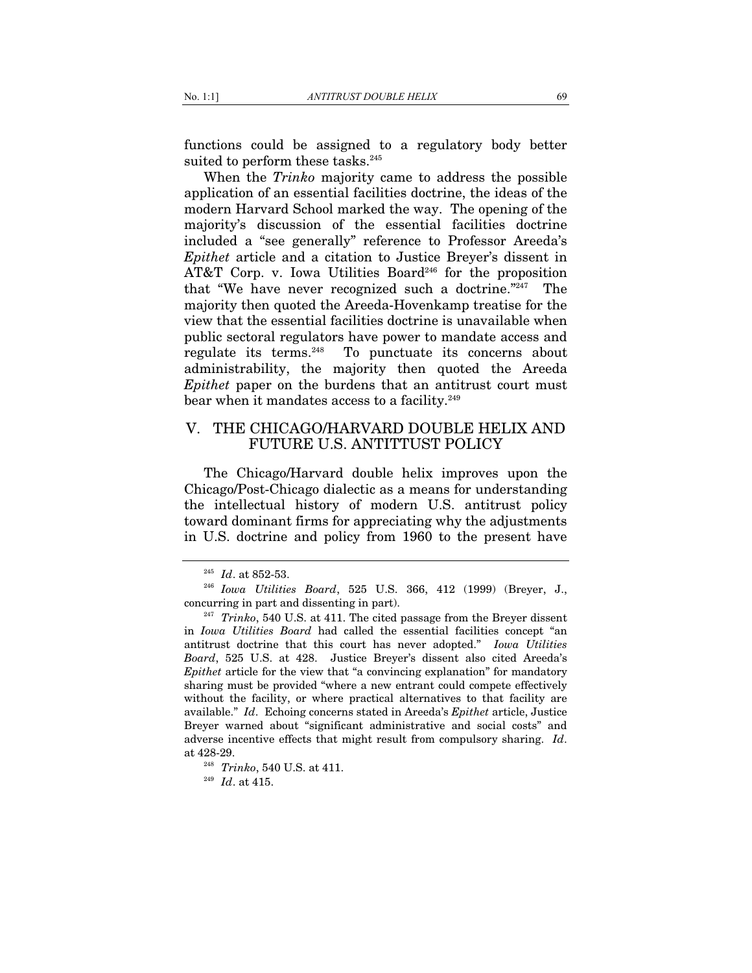functions could be assigned to a regulatory body better suited to perform these tasks.<sup>245</sup>

When the *Trinko* majority came to address the possible application of an essential facilities doctrine, the ideas of the modern Harvard School marked the way. The opening of the majority's discussion of the essential facilities doctrine included a "see generally" reference to Professor Areeda's *Epithet* article and a citation to Justice Breyer's dissent in AT&T Corp. v. Iowa Utilities Board<sup>246</sup> for the proposition that "We have never recognized such a doctrine."247 The majority then quoted the Areeda-Hovenkamp treatise for the view that the essential facilities doctrine is unavailable when public sectoral regulators have power to mandate access and regulate its terms.248 To punctuate its concerns about administrability, the majority then quoted the Areeda *Epithet* paper on the burdens that an antitrust court must bear when it mandates access to a facility.<sup>249</sup>

# V. THE CHICAGO/HARVARD DOUBLE HELIX AND FUTURE U.S. ANTITTUST POLICY

The Chicago/Harvard double helix improves upon the Chicago/Post-Chicago dialectic as a means for understanding the intellectual history of modern U.S. antitrust policy toward dominant firms for appreciating why the adjustments in U.S. doctrine and policy from 1960 to the present have

<sup>245</sup> *Id*. at 852-53. 246 *Iowa Utilities Board*, 525 U.S. 366, 412 (1999) (Breyer, J., concurring in part and dissenting in part). 247 *Trinko*, 540 U.S. at 411. The cited passage from the Breyer dissent

in *Iowa Utilities Board* had called the essential facilities concept "an antitrust doctrine that this court has never adopted." *Iowa Utilities Board*, 525 U.S. at 428. Justice Breyer's dissent also cited Areeda's *Epithet* article for the view that "a convincing explanation" for mandatory sharing must be provided "where a new entrant could compete effectively without the facility, or where practical alternatives to that facility are available." *Id*. Echoing concerns stated in Areeda's *Epithet* article, Justice Breyer warned about "significant administrative and social costs" and adverse incentive effects that might result from compulsory sharing. *Id*. at 428-29. 248 *Trinko*, 540 U.S. at 411. 249 *Id*. at 415.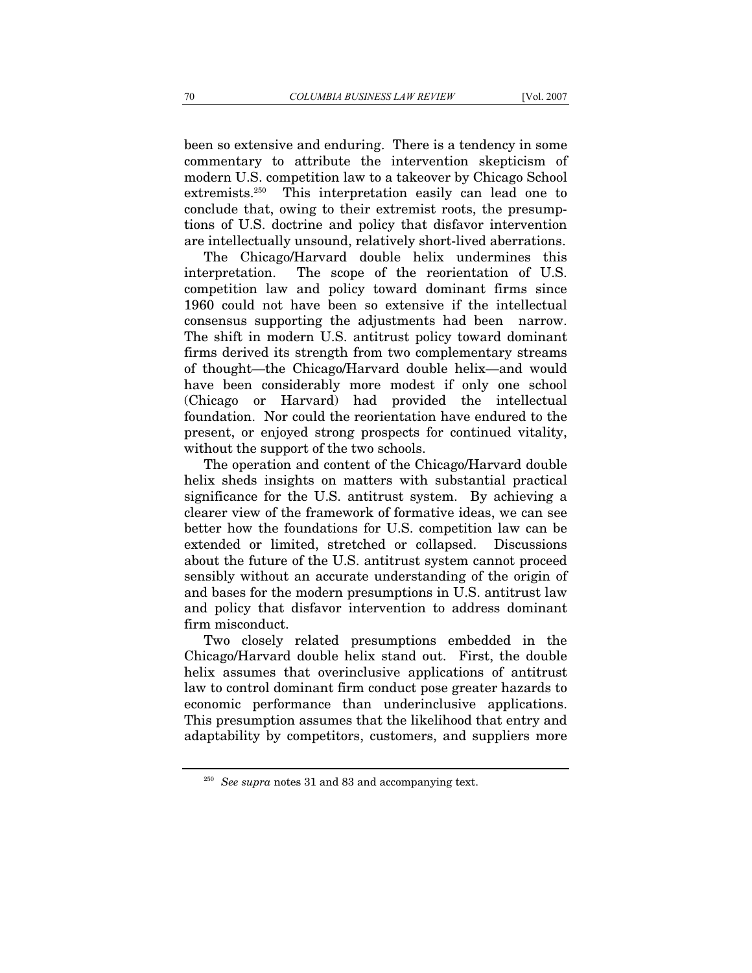been so extensive and enduring. There is a tendency in some commentary to attribute the intervention skepticism of modern U.S. competition law to a takeover by Chicago School extremists.250 This interpretation easily can lead one to conclude that, owing to their extremist roots, the presumptions of U.S. doctrine and policy that disfavor intervention are intellectually unsound, relatively short-lived aberrations.

The Chicago/Harvard double helix undermines this interpretation. The scope of the reorientation of U.S. competition law and policy toward dominant firms since 1960 could not have been so extensive if the intellectual consensus supporting the adjustments had been narrow. The shift in modern U.S. antitrust policy toward dominant firms derived its strength from two complementary streams of thought—the Chicago/Harvard double helix—and would have been considerably more modest if only one school (Chicago or Harvard) had provided the intellectual foundation. Nor could the reorientation have endured to the present, or enjoyed strong prospects for continued vitality, without the support of the two schools.

The operation and content of the Chicago/Harvard double helix sheds insights on matters with substantial practical significance for the U.S. antitrust system. By achieving a clearer view of the framework of formative ideas, we can see better how the foundations for U.S. competition law can be extended or limited, stretched or collapsed. Discussions about the future of the U.S. antitrust system cannot proceed sensibly without an accurate understanding of the origin of and bases for the modern presumptions in U.S. antitrust law and policy that disfavor intervention to address dominant firm misconduct.

Two closely related presumptions embedded in the Chicago/Harvard double helix stand out. First, the double helix assumes that overinclusive applications of antitrust law to control dominant firm conduct pose greater hazards to economic performance than underinclusive applications. This presumption assumes that the likelihood that entry and adaptability by competitors, customers, and suppliers more

<sup>&</sup>lt;sup>250</sup> *See supra* notes 31 and 83 and accompanying text.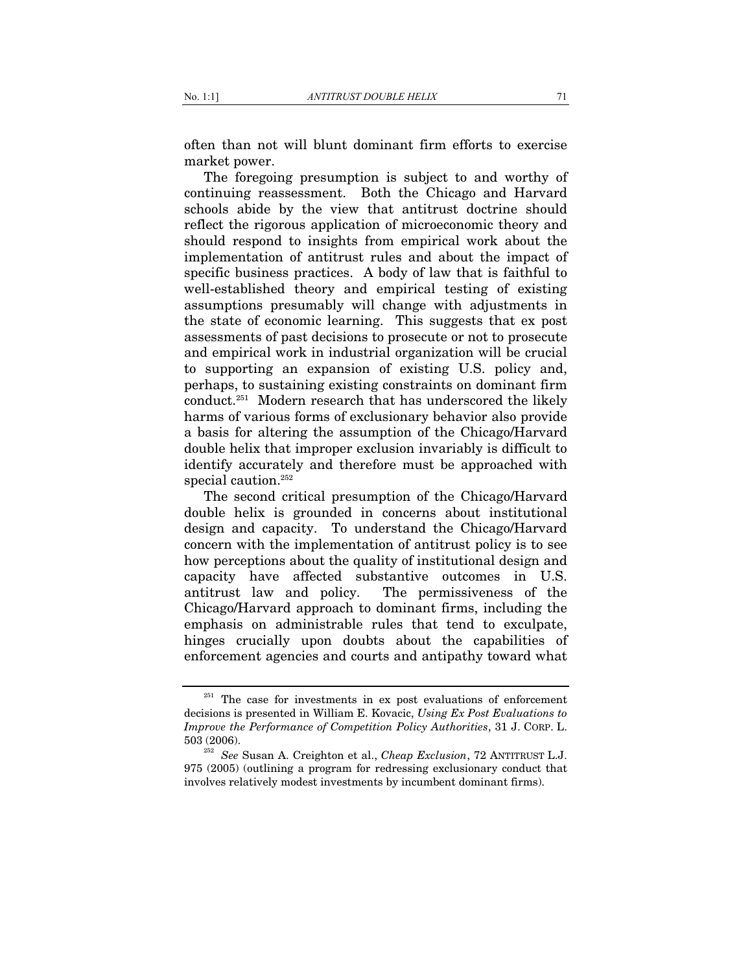often than not will blunt dominant firm efforts to exercise market power.

The foregoing presumption is subject to and worthy of continuing reassessment. Both the Chicago and Harvard schools abide by the view that antitrust doctrine should reflect the rigorous application of microeconomic theory and should respond to insights from empirical work about the implementation of antitrust rules and about the impact of specific business practices. A body of law that is faithful to well-established theory and empirical testing of existing assumptions presumably will change with adjustments in the state of economic learning. This suggests that ex post assessments of past decisions to prosecute or not to prosecute and empirical work in industrial organization will be crucial to supporting an expansion of existing U.S. policy and, perhaps, to sustaining existing constraints on dominant firm conduct.251 Modern research that has underscored the likely harms of various forms of exclusionary behavior also provide a basis for altering the assumption of the Chicago/Harvard double helix that improper exclusion invariably is difficult to identify accurately and therefore must be approached with special caution.<sup>252</sup>

The second critical presumption of the Chicago/Harvard double helix is grounded in concerns about institutional design and capacity. To understand the Chicago/Harvard concern with the implementation of antitrust policy is to see how perceptions about the quality of institutional design and capacity have affected substantive outcomes in U.S. antitrust law and policy. The permissiveness of the Chicago/Harvard approach to dominant firms, including the emphasis on administrable rules that tend to exculpate, hinges crucially upon doubts about the capabilities of enforcement agencies and courts and antipathy toward what

<sup>&</sup>lt;sup>251</sup> The case for investments in ex post evaluations of enforcement decisions is presented in William E. Kovacic, *Using Ex Post Evaluations to Improve the Performance of Competition Policy Authorities*, 31 J. CORP. L. 503 (2006). 252 *See* Susan A. Creighton et al., *Cheap Exclusion*, 72 ANTITRUST L.J.

<sup>975 (2005) (</sup>outlining a program for redressing exclusionary conduct that involves relatively modest investments by incumbent dominant firms).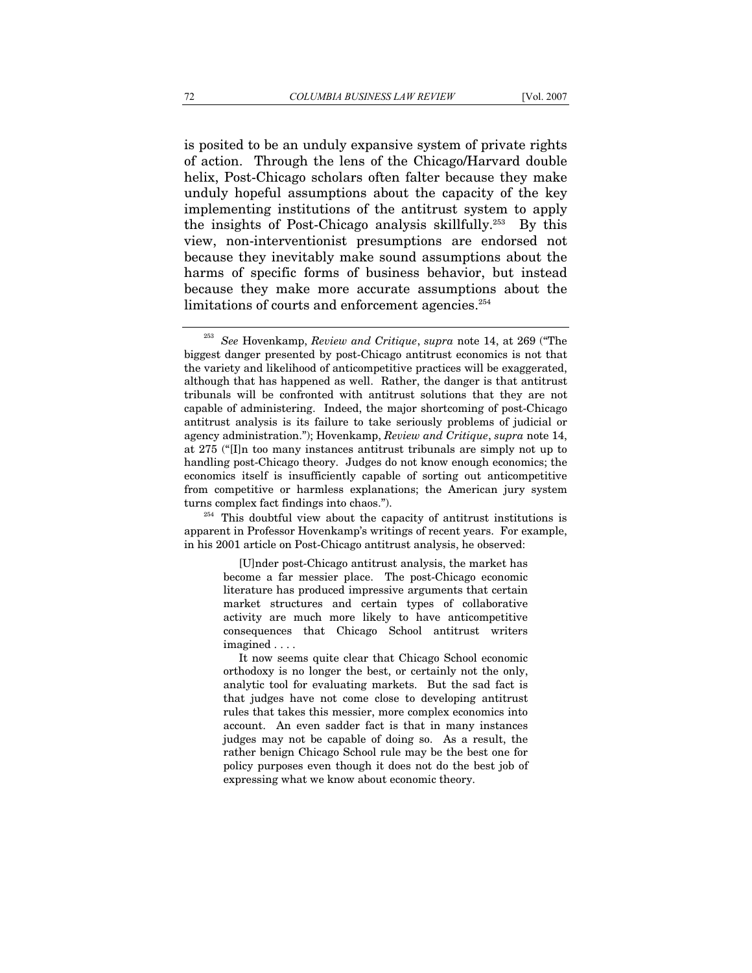is posited to be an unduly expansive system of private rights of action. Through the lens of the Chicago/Harvard double helix, Post-Chicago scholars often falter because they make unduly hopeful assumptions about the capacity of the key implementing institutions of the antitrust system to apply the insights of Post-Chicago analysis skillfully.253 By this view, non-interventionist presumptions are endorsed not because they inevitably make sound assumptions about the harms of specific forms of business behavior, but instead because they make more accurate assumptions about the limitations of courts and enforcement agencies.<sup>254</sup>

apparent in Professor Hovenkamp's writings of recent years. For example, in his 2001 article on Post-Chicago antitrust analysis, he observed:

> [U]nder post-Chicago antitrust analysis, the market has become a far messier place. The post-Chicago economic literature has produced impressive arguments that certain market structures and certain types of collaborative activity are much more likely to have anticompetitive consequences that Chicago School antitrust writers imagined . . . .

> It now seems quite clear that Chicago School economic orthodoxy is no longer the best, or certainly not the only, analytic tool for evaluating markets. But the sad fact is that judges have not come close to developing antitrust rules that takes this messier, more complex economics into account. An even sadder fact is that in many instances judges may not be capable of doing so. As a result, the rather benign Chicago School rule may be the best one for policy purposes even though it does not do the best job of expressing what we know about economic theory.

<sup>253</sup> *See* Hovenkamp, *Review and Critique*, *supra* note 14, at 269 ("The biggest danger presented by post-Chicago antitrust economics is not that the variety and likelihood of anticompetitive practices will be exaggerated, although that has happened as well. Rather, the danger is that antitrust tribunals will be confronted with antitrust solutions that they are not capable of administering. Indeed, the major shortcoming of post-Chicago antitrust analysis is its failure to take seriously problems of judicial or agency administration."); Hovenkamp, *Review and Critique*, *supra* note 14, at 275 ("[I]n too many instances antitrust tribunals are simply not up to handling post-Chicago theory. Judges do not know enough economics; the economics itself is insufficiently capable of sorting out anticompetitive from competitive or harmless explanations; the American jury system turns complex fact findings into chaos.").  $^{254}$  This doubtful view about the capacity of antitrust institutions is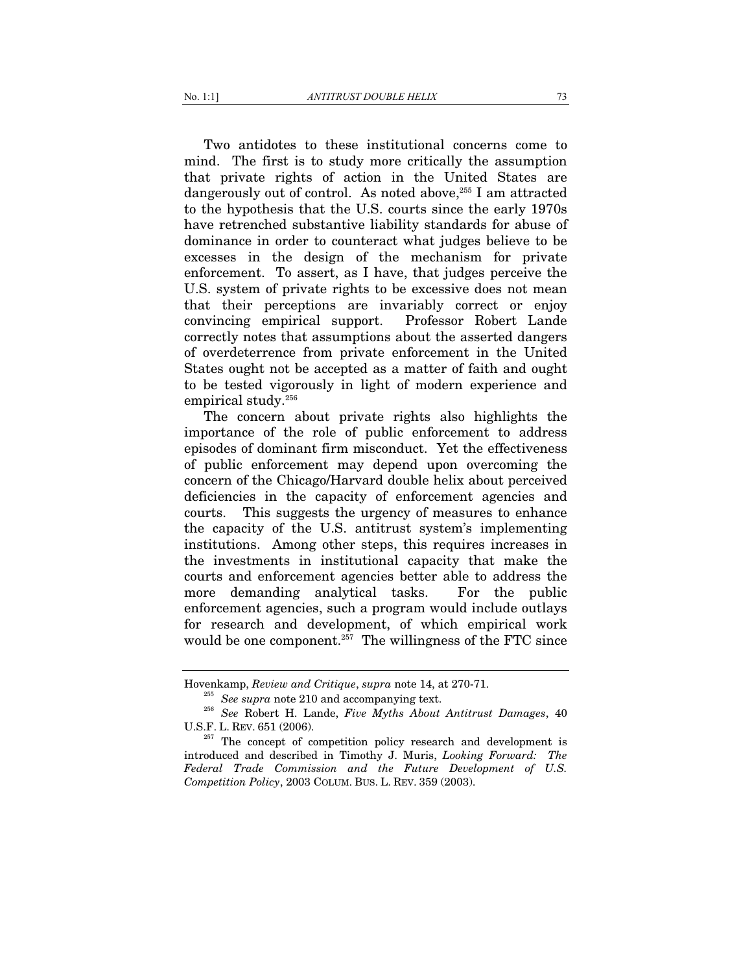Two antidotes to these institutional concerns come to mind. The first is to study more critically the assumption that private rights of action in the United States are dangerously out of control. As noted above,<sup>255</sup> I am attracted to the hypothesis that the U.S. courts since the early 1970s have retrenched substantive liability standards for abuse of dominance in order to counteract what judges believe to be excesses in the design of the mechanism for private enforcement. To assert, as I have, that judges perceive the U.S. system of private rights to be excessive does not mean that their perceptions are invariably correct or enjoy convincing empirical support. Professor Robert Lande correctly notes that assumptions about the asserted dangers of overdeterrence from private enforcement in the United States ought not be accepted as a matter of faith and ought to be tested vigorously in light of modern experience and empirical study.<sup>256</sup>

 The concern about private rights also highlights the importance of the role of public enforcement to address episodes of dominant firm misconduct. Yet the effectiveness of public enforcement may depend upon overcoming the concern of the Chicago/Harvard double helix about perceived deficiencies in the capacity of enforcement agencies and courts. This suggests the urgency of measures to enhance the capacity of the U.S. antitrust system's implementing institutions. Among other steps, this requires increases in the investments in institutional capacity that make the courts and enforcement agencies better able to address the more demanding analytical tasks. For the public enforcement agencies, such a program would include outlays for research and development, of which empirical work would be one component. $257$  The willingness of the FTC since

Hovenkamp, *Review and Critique*, *supra* note 14, at 270-71. 255 *See supra* note 210 and accompanying text. 256 *See* Robert H. Lande, *Five Myths About Antitrust Damages*, 40 U.S.F. L. REV. 651 (2006). <sup>257</sup> The concept of competition policy research and development is

introduced and described in Timothy J. Muris, *Looking Forward: The Federal Trade Commission and the Future Development of U.S. Competition Policy*, 2003 COLUM. BUS. L. REV. 359 (2003).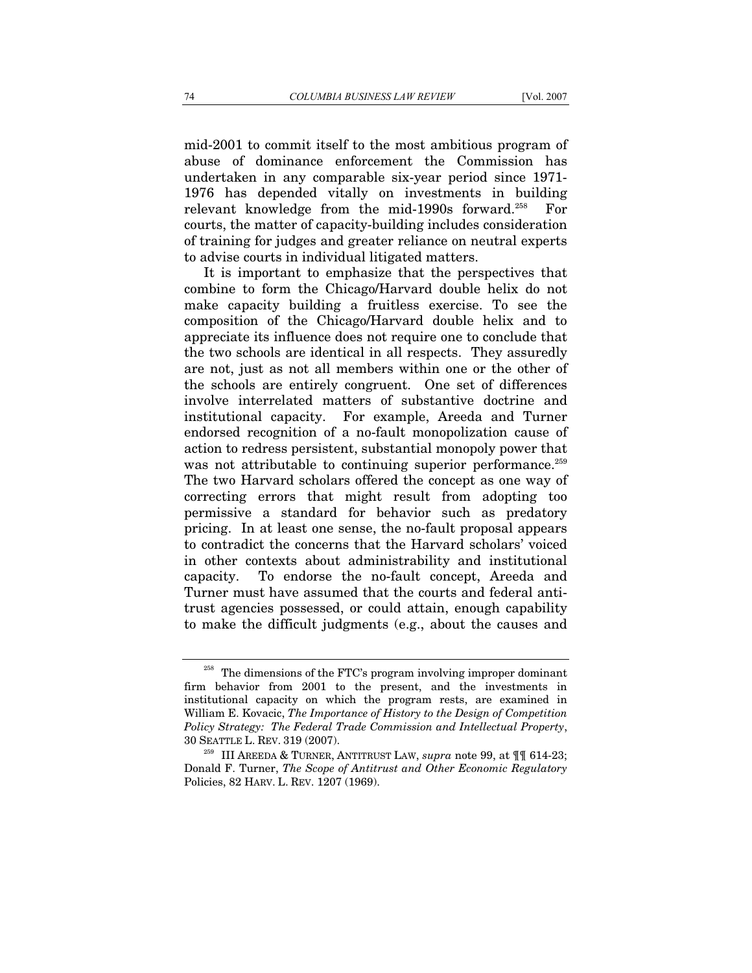mid-2001 to commit itself to the most ambitious program of abuse of dominance enforcement the Commission has undertaken in any comparable six-year period since 1971- 1976 has depended vitally on investments in building relevant knowledge from the mid-1990s forward.258 For courts, the matter of capacity-building includes consideration of training for judges and greater reliance on neutral experts to advise courts in individual litigated matters.

It is important to emphasize that the perspectives that combine to form the Chicago/Harvard double helix do not make capacity building a fruitless exercise. To see the composition of the Chicago/Harvard double helix and to appreciate its influence does not require one to conclude that the two schools are identical in all respects. They assuredly are not, just as not all members within one or the other of the schools are entirely congruent. One set of differences involve interrelated matters of substantive doctrine and institutional capacity. For example, Areeda and Turner endorsed recognition of a no-fault monopolization cause of action to redress persistent, substantial monopoly power that was not attributable to continuing superior performance.<sup>259</sup> The two Harvard scholars offered the concept as one way of correcting errors that might result from adopting too permissive a standard for behavior such as predatory pricing. In at least one sense, the no-fault proposal appears to contradict the concerns that the Harvard scholars' voiced in other contexts about administrability and institutional capacity. To endorse the no-fault concept, Areeda and Turner must have assumed that the courts and federal antitrust agencies possessed, or could attain, enough capability to make the difficult judgments (e.g., about the causes and

<sup>&</sup>lt;sup>258</sup> The dimensions of the FTC's program involving improper dominant firm behavior from 2001 to the present, and the investments in institutional capacity on which the program rests, are examined in William E. Kovacic, *The Importance of History to the Design of Competition Policy Strategy: The Federal Trade Commission and Intellectual Property*, 30 SEATTLE L. REV. 319 (2007). 259 III AREEDA & TURNER, ANTITRUST LAW, *supra* note 99, at ¶¶ 614-23;

Donald F. Turner, *The Scope of Antitrust and Other Economic Regulatory*  Policies, 82 HARV. L. REV. 1207 (1969).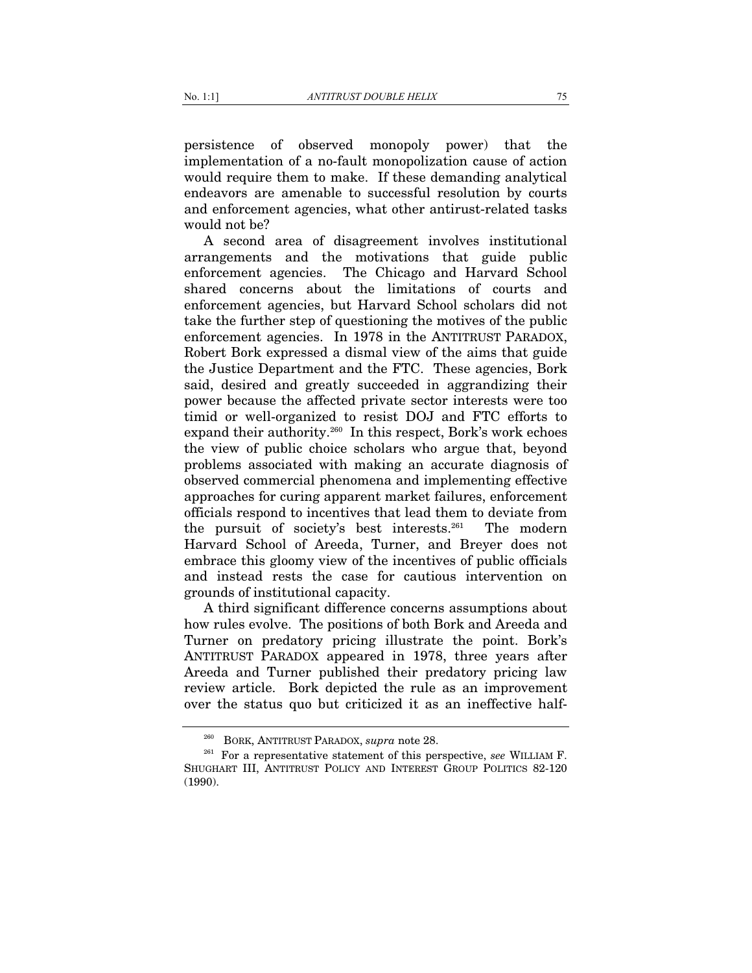persistence of observed monopoly power) that the implementation of a no-fault monopolization cause of action would require them to make. If these demanding analytical endeavors are amenable to successful resolution by courts and enforcement agencies, what other antirust-related tasks would not be?

A second area of disagreement involves institutional arrangements and the motivations that guide public enforcement agencies. The Chicago and Harvard School shared concerns about the limitations of courts and enforcement agencies, but Harvard School scholars did not take the further step of questioning the motives of the public enforcement agencies. In 1978 in the ANTITRUST PARADOX, Robert Bork expressed a dismal view of the aims that guide the Justice Department and the FTC. These agencies, Bork said, desired and greatly succeeded in aggrandizing their power because the affected private sector interests were too timid or well-organized to resist DOJ and FTC efforts to expand their authority.<sup>260</sup> In this respect, Bork's work echoes the view of public choice scholars who argue that, beyond problems associated with making an accurate diagnosis of observed commercial phenomena and implementing effective approaches for curing apparent market failures, enforcement officials respond to incentives that lead them to deviate from the pursuit of society's best interests.261 The modern Harvard School of Areeda, Turner, and Breyer does not embrace this gloomy view of the incentives of public officials and instead rests the case for cautious intervention on grounds of institutional capacity.

A third significant difference concerns assumptions about how rules evolve. The positions of both Bork and Areeda and Turner on predatory pricing illustrate the point. Bork's ANTITRUST PARADOX appeared in 1978, three years after Areeda and Turner published their predatory pricing law review article. Bork depicted the rule as an improvement over the status quo but criticized it as an ineffective half-

<sup>&</sup>lt;sup>260</sup> BORK, ANTITRUST PARADOX, *supra* note 28.<br><sup>261</sup> For a representative statement of this perspective, *see* WILLIAM F. SHUGHART III, ANTITRUST POLICY AND INTEREST GROUP POLITICS 82-120 (1990).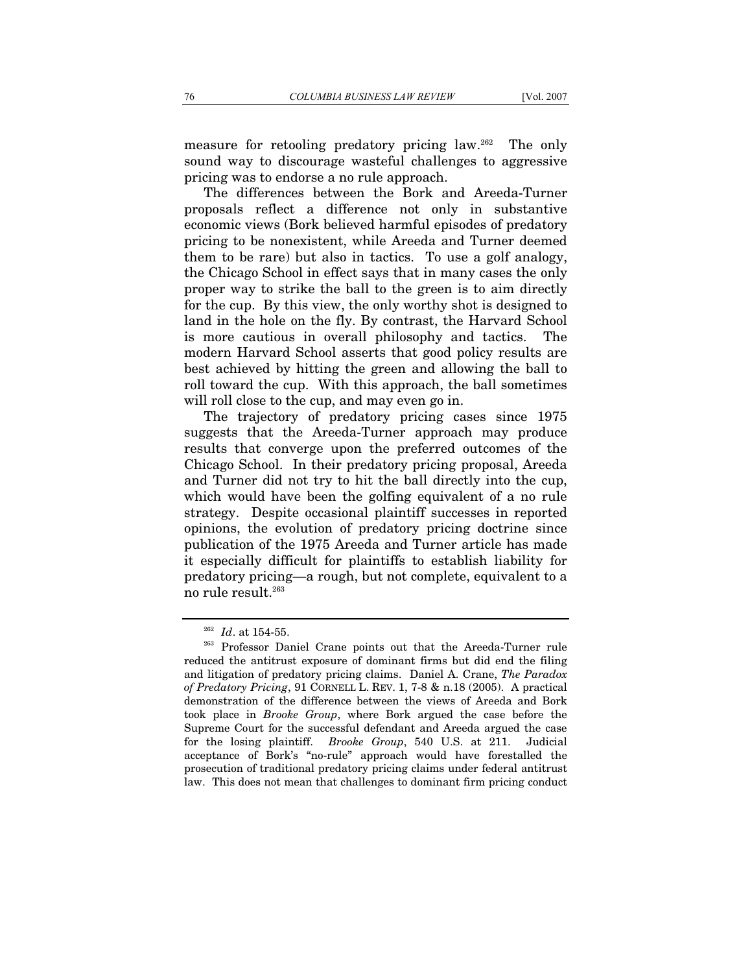measure for retooling predatory pricing law.262 The only sound way to discourage wasteful challenges to aggressive pricing was to endorse a no rule approach.

The differences between the Bork and Areeda-Turner proposals reflect a difference not only in substantive economic views (Bork believed harmful episodes of predatory pricing to be nonexistent, while Areeda and Turner deemed them to be rare) but also in tactics. To use a golf analogy, the Chicago School in effect says that in many cases the only proper way to strike the ball to the green is to aim directly for the cup. By this view, the only worthy shot is designed to land in the hole on the fly. By contrast, the Harvard School is more cautious in overall philosophy and tactics. The modern Harvard School asserts that good policy results are best achieved by hitting the green and allowing the ball to roll toward the cup. With this approach, the ball sometimes will roll close to the cup, and may even go in.

The trajectory of predatory pricing cases since 1975 suggests that the Areeda-Turner approach may produce results that converge upon the preferred outcomes of the Chicago School. In their predatory pricing proposal, Areeda and Turner did not try to hit the ball directly into the cup, which would have been the golfing equivalent of a no rule strategy. Despite occasional plaintiff successes in reported opinions, the evolution of predatory pricing doctrine since publication of the 1975 Areeda and Turner article has made it especially difficult for plaintiffs to establish liability for predatory pricing—a rough, but not complete, equivalent to a no rule result.263

<sup>&</sup>lt;sup>262</sup> *Id.* at 154-55.<br><sup>263</sup> Professor Daniel Crane points out that the Areeda-Turner rule reduced the antitrust exposure of dominant firms but did end the filing and litigation of predatory pricing claims. Daniel A. Crane, *The Paradox of Predatory Pricing*, 91 CORNELL L. REV. 1, 7-8 & n.18 (2005). A practical demonstration of the difference between the views of Areeda and Bork took place in *Brooke Group*, where Bork argued the case before the Supreme Court for the successful defendant and Areeda argued the case for the losing plaintiff. *Brooke Group*, 540 U.S. at 211. Judicial acceptance of Bork's "no-rule" approach would have forestalled the prosecution of traditional predatory pricing claims under federal antitrust law. This does not mean that challenges to dominant firm pricing conduct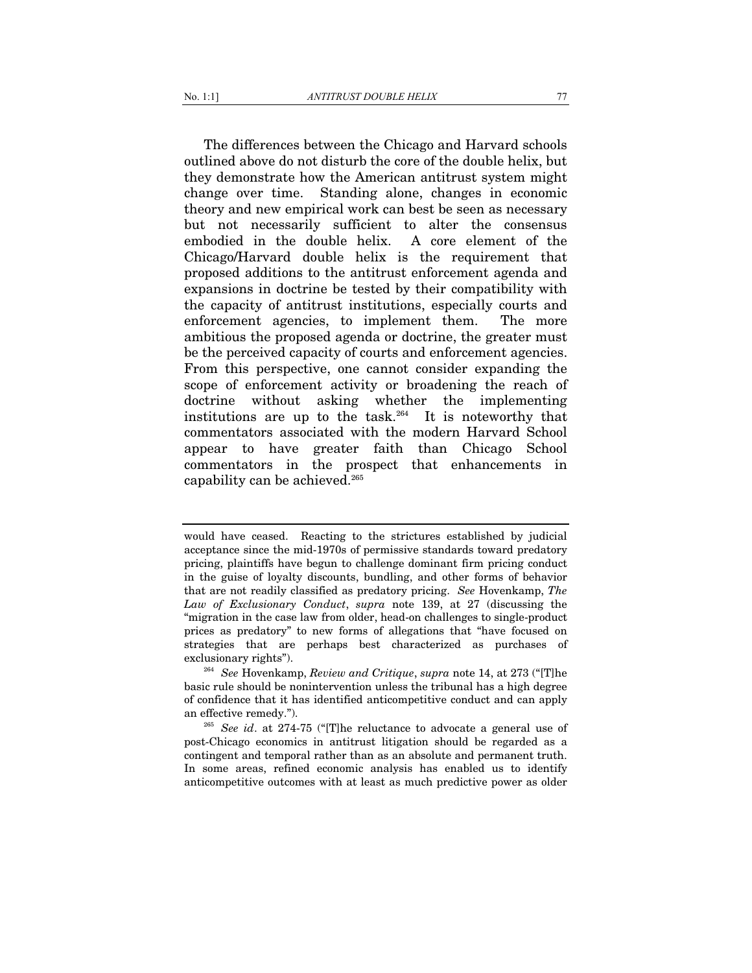The differences between the Chicago and Harvard schools outlined above do not disturb the core of the double helix, but they demonstrate how the American antitrust system might change over time. Standing alone, changes in economic theory and new empirical work can best be seen as necessary but not necessarily sufficient to alter the consensus embodied in the double helix. A core element of the Chicago/Harvard double helix is the requirement that proposed additions to the antitrust enforcement agenda and expansions in doctrine be tested by their compatibility with the capacity of antitrust institutions, especially courts and enforcement agencies, to implement them. The more ambitious the proposed agenda or doctrine, the greater must be the perceived capacity of courts and enforcement agencies. From this perspective, one cannot consider expanding the scope of enforcement activity or broadening the reach of doctrine without asking whether the implementing institutions are up to the task.<sup>264</sup> It is noteworthy that commentators associated with the modern Harvard School appear to have greater faith than Chicago School commentators in the prospect that enhancements in

capability can be achieved.265

would have ceased. Reacting to the strictures established by judicial acceptance since the mid-1970s of permissive standards toward predatory pricing, plaintiffs have begun to challenge dominant firm pricing conduct in the guise of loyalty discounts, bundling, and other forms of behavior that are not readily classified as predatory pricing. *See* Hovenkamp, *The Law of Exclusionary Conduct*, *supra* note 139, at 27 (discussing the "migration in the case law from older, head-on challenges to single-product prices as predatory" to new forms of allegations that "have focused on strategies that are perhaps best characterized as purchases of exclusionary rights"). 264 *See* Hovenkamp, *Review and Critique*, *supra* note 14, at 273 ("[T]he

basic rule should be nonintervention unless the tribunal has a high degree of confidence that it has identified anticompetitive conduct and can apply

an effective remedy."). 265 *See id*. at 274-75 ("[T]he reluctance to advocate a general use of post-Chicago economics in antitrust litigation should be regarded as a contingent and temporal rather than as an absolute and permanent truth. In some areas, refined economic analysis has enabled us to identify anticompetitive outcomes with at least as much predictive power as older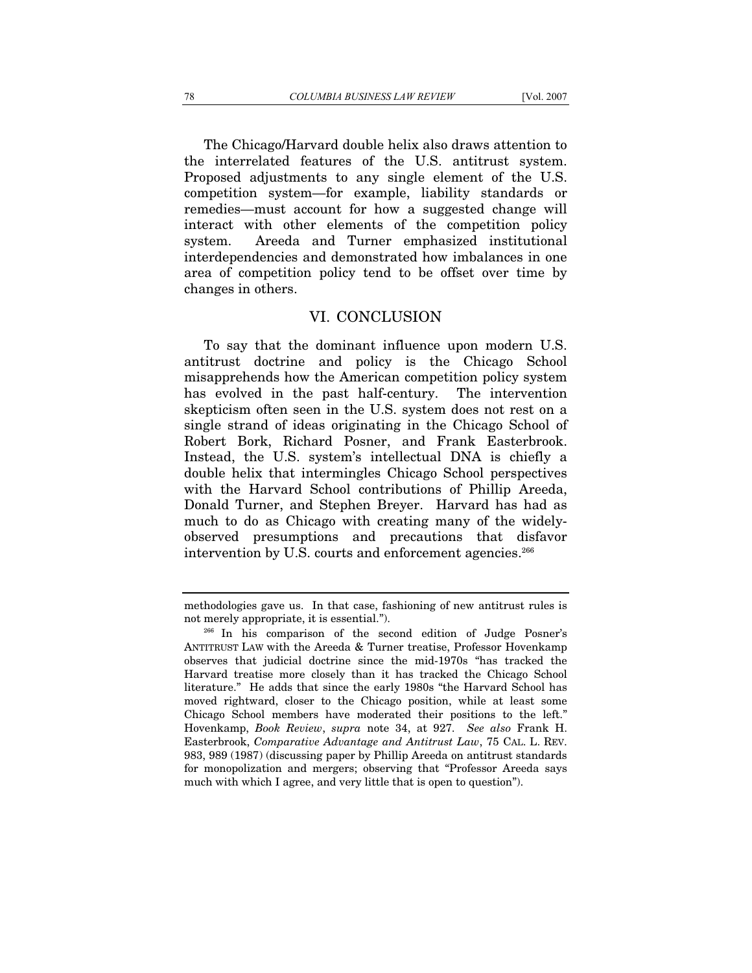The Chicago/Harvard double helix also draws attention to the interrelated features of the U.S. antitrust system. Proposed adjustments to any single element of the U.S. competition system—for example, liability standards or remedies—must account for how a suggested change will interact with other elements of the competition policy system. Areeda and Turner emphasized institutional interdependencies and demonstrated how imbalances in one area of competition policy tend to be offset over time by changes in others.

## VI. CONCLUSION

To say that the dominant influence upon modern U.S. antitrust doctrine and policy is the Chicago School misapprehends how the American competition policy system has evolved in the past half-century. The intervention skepticism often seen in the U.S. system does not rest on a single strand of ideas originating in the Chicago School of Robert Bork, Richard Posner, and Frank Easterbrook. Instead, the U.S. system's intellectual DNA is chiefly a double helix that intermingles Chicago School perspectives with the Harvard School contributions of Phillip Areeda, Donald Turner, and Stephen Breyer. Harvard has had as much to do as Chicago with creating many of the widelyobserved presumptions and precautions that disfavor intervention by U.S. courts and enforcement agencies.<sup>266</sup>

methodologies gave us. In that case, fashioning of new antitrust rules is not merely appropriate, it is essential.").<br><sup>266</sup> In his comparison of the second edition of Judge Posner's

ANTITRUST LAW with the Areeda & Turner treatise, Professor Hovenkamp observes that judicial doctrine since the mid-1970s "has tracked the Harvard treatise more closely than it has tracked the Chicago School literature." He adds that since the early 1980s "the Harvard School has moved rightward, closer to the Chicago position, while at least some Chicago School members have moderated their positions to the left." Hovenkamp, *Book Review*, *supra* note 34, at 927. *See also* Frank H. Easterbrook, *Comparative Advantage and Antitrust Law*, 75 CAL. L. REV. 983, 989 (1987) (discussing paper by Phillip Areeda on antitrust standards for monopolization and mergers; observing that "Professor Areeda says much with which I agree, and very little that is open to question").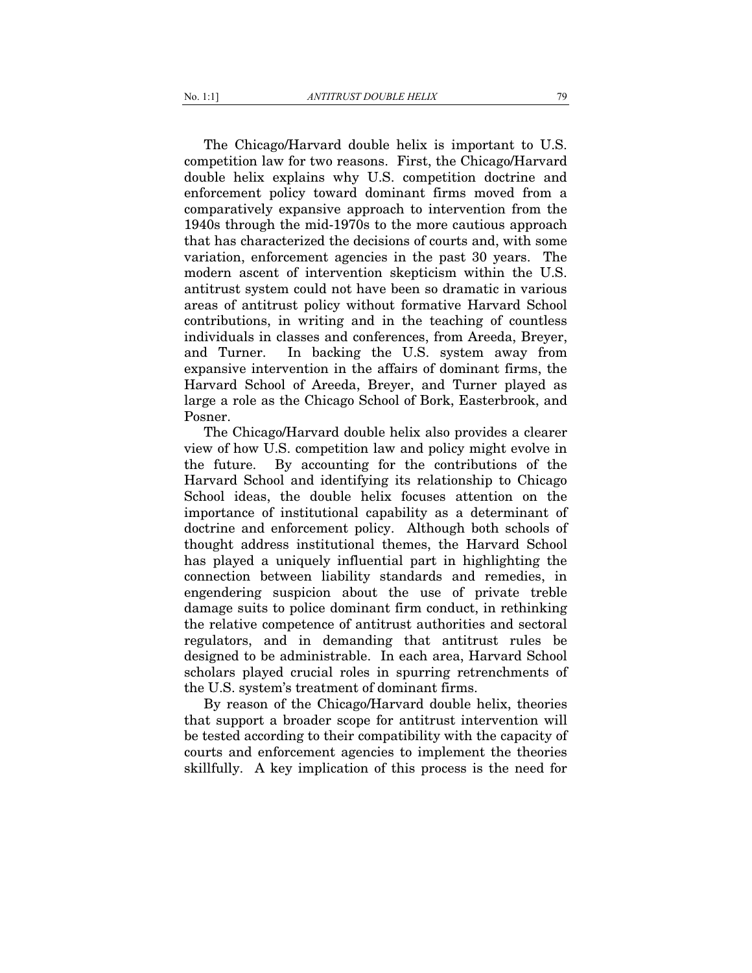The Chicago/Harvard double helix is important to U.S. competition law for two reasons. First, the Chicago/Harvard double helix explains why U.S. competition doctrine and enforcement policy toward dominant firms moved from a comparatively expansive approach to intervention from the 1940s through the mid-1970s to the more cautious approach that has characterized the decisions of courts and, with some variation, enforcement agencies in the past 30 years. The modern ascent of intervention skepticism within the U.S. antitrust system could not have been so dramatic in various areas of antitrust policy without formative Harvard School contributions, in writing and in the teaching of countless individuals in classes and conferences, from Areeda, Breyer, and Turner. In backing the U.S. system away from expansive intervention in the affairs of dominant firms, the Harvard School of Areeda, Breyer, and Turner played as large a role as the Chicago School of Bork, Easterbrook, and Posner.

The Chicago/Harvard double helix also provides a clearer view of how U.S. competition law and policy might evolve in the future. By accounting for the contributions of the Harvard School and identifying its relationship to Chicago School ideas, the double helix focuses attention on the importance of institutional capability as a determinant of doctrine and enforcement policy. Although both schools of thought address institutional themes, the Harvard School has played a uniquely influential part in highlighting the connection between liability standards and remedies, in engendering suspicion about the use of private treble damage suits to police dominant firm conduct, in rethinking the relative competence of antitrust authorities and sectoral regulators, and in demanding that antitrust rules be designed to be administrable. In each area, Harvard School scholars played crucial roles in spurring retrenchments of the U.S. system's treatment of dominant firms.

By reason of the Chicago/Harvard double helix, theories that support a broader scope for antitrust intervention will be tested according to their compatibility with the capacity of courts and enforcement agencies to implement the theories skillfully. A key implication of this process is the need for